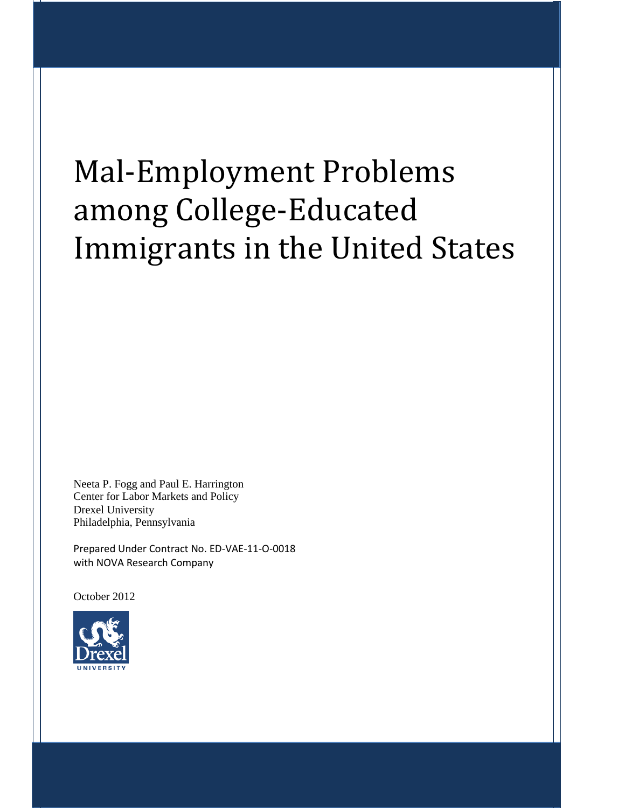# Mal-Employment Problems among College-Educated Immigrants in the United States

Neeta P. Fogg and Paul E. Harrington Center for Labor Markets and Policy Drexel University Philadelphia, Pennsylvania

Prepared Under Contract No. ED-VAE-11-O-0018 with NOVA Research Company

October 2012

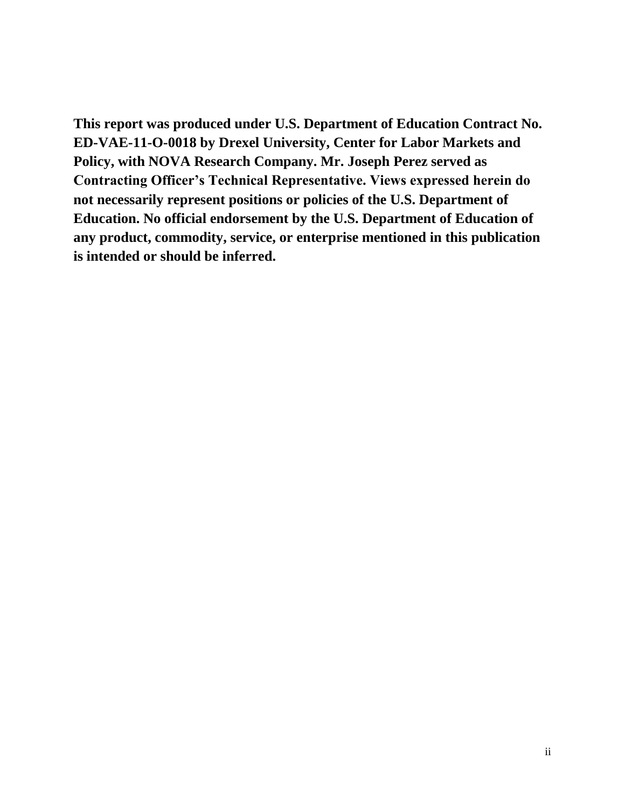**This report was produced under U.S. Department of Education Contract No. ED-VAE-11-O-0018 by Drexel University, Center for Labor Markets and Policy, with NOVA Research Company. Mr. Joseph Perez served as Contracting Officer's Technical Representative. Views expressed herein do not necessarily represent positions or policies of the U.S. Department of Education. No official endorsement by the U.S. Department of Education of any product, commodity, service, or enterprise mentioned in this publication is intended or should be inferred.**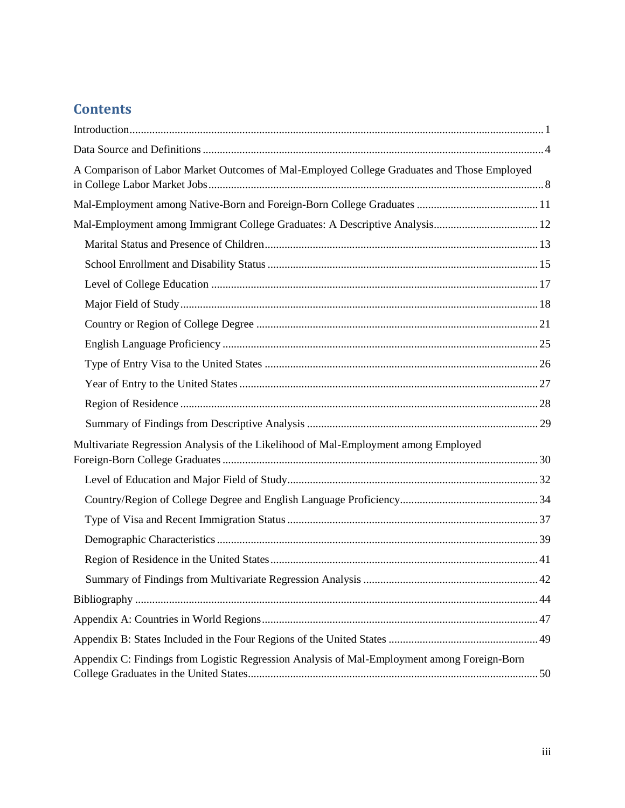# **Contents**

| A Comparison of Labor Market Outcomes of Mal-Employed College Graduates and Those Employed  |  |
|---------------------------------------------------------------------------------------------|--|
|                                                                                             |  |
| Mal-Employment among Immigrant College Graduates: A Descriptive Analysis 12                 |  |
|                                                                                             |  |
|                                                                                             |  |
|                                                                                             |  |
|                                                                                             |  |
|                                                                                             |  |
|                                                                                             |  |
|                                                                                             |  |
|                                                                                             |  |
|                                                                                             |  |
|                                                                                             |  |
| Multivariate Regression Analysis of the Likelihood of Mal-Employment among Employed         |  |
|                                                                                             |  |
|                                                                                             |  |
|                                                                                             |  |
|                                                                                             |  |
|                                                                                             |  |
|                                                                                             |  |
|                                                                                             |  |
|                                                                                             |  |
|                                                                                             |  |
| Appendix C: Findings from Logistic Regression Analysis of Mal-Employment among Foreign-Born |  |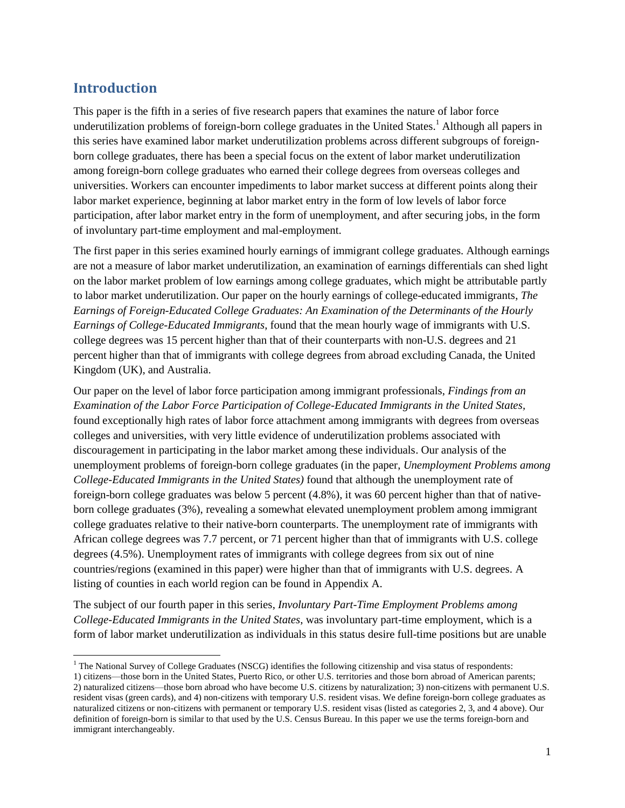## <span id="page-3-0"></span>**Introduction**

This paper is the fifth in a series of five research papers that examines the nature of labor force underutilization problems of foreign-born college graduates in the United States.<sup>1</sup> Although all papers in this series have examined labor market underutilization problems across different subgroups of foreignborn college graduates, there has been a special focus on the extent of labor market underutilization among foreign-born college graduates who earned their college degrees from overseas colleges and universities. Workers can encounter impediments to labor market success at different points along their labor market experience, beginning at labor market entry in the form of low levels of labor force participation, after labor market entry in the form of unemployment, and after securing jobs, in the form of involuntary part-time employment and mal-employment.

The first paper in this series examined hourly earnings of immigrant college graduates. Although earnings are not a measure of labor market underutilization, an examination of earnings differentials can shed light on the labor market problem of low earnings among college graduates, which might be attributable partly to labor market underutilization. Our paper on the hourly earnings of college-educated immigrants, *The Earnings of Foreign-Educated College Graduates: An Examination of the Determinants of the Hourly Earnings of College-Educated Immigrants*, found that the mean hourly wage of immigrants with U.S. college degrees was 15 percent higher than that of their counterparts with non-U.S. degrees and 21 percent higher than that of immigrants with college degrees from abroad excluding Canada, the United Kingdom (UK), and Australia.

Our paper on the level of labor force participation among immigrant professionals, *Findings from an Examination of the Labor Force Participation of College-Educated Immigrants in the United States,*  found exceptionally high rates of labor force attachment among immigrants with degrees from overseas colleges and universities, with very little evidence of underutilization problems associated with discouragement in participating in the labor market among these individuals. Our analysis of the unemployment problems of foreign-born college graduates (in the paper, *Unemployment Problems among College-Educated Immigrants in the United States)* found that although the unemployment rate of foreign-born college graduates was below 5 percent (4.8%), it was 60 percent higher than that of nativeborn college graduates (3%), revealing a somewhat elevated unemployment problem among immigrant college graduates relative to their native-born counterparts. The unemployment rate of immigrants with African college degrees was 7.7 percent, or 71 percent higher than that of immigrants with U.S. college degrees (4.5%). Unemployment rates of immigrants with college degrees from six out of nine countries/regions (examined in this paper) were higher than that of immigrants with U.S. degrees. A listing of counties in each world region can be found in Appendix A.

The subject of our fourth paper in this series, *Involuntary Part-Time Employment Problems among College-Educated Immigrants in the United States*, was involuntary part-time employment, which is a form of labor market underutilization as individuals in this status desire full-time positions but are unable

 $<sup>1</sup>$  The National Survey of College Graduates (NSCG) identifies the following citizenship and visa status of respondents:</sup> l

<sup>1)</sup> citizens—those born in the United States, Puerto Rico, or other U.S. territories and those born abroad of American parents; 2) naturalized citizens—those born abroad who have become U.S. citizens by naturalization; 3) non-citizens with permanent U.S. resident visas (green cards), and 4) non-citizens with temporary U.S. resident visas. We define foreign-born college graduates as naturalized citizens or non-citizens with permanent or temporary U.S. resident visas (listed as categories 2, 3, and 4 above). Our definition of foreign-born is similar to that used by the U.S. Census Bureau. In this paper we use the terms foreign-born and immigrant interchangeably.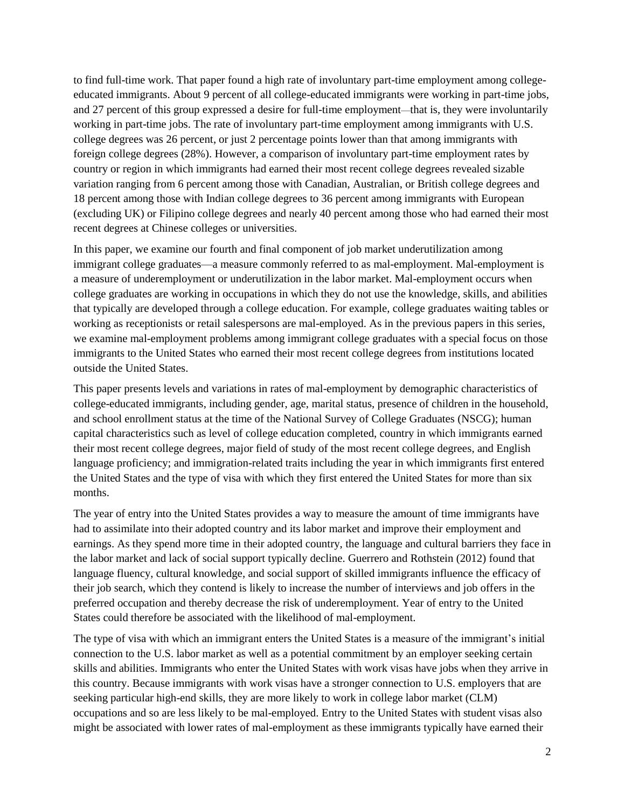to find full-time work. That paper found a high rate of involuntary part-time employment among collegeeducated immigrants. About 9 percent of all college-educated immigrants were working in part-time jobs, and 27 percent of this group expressed a desire for full-time employment—that is, they were involuntarily working in part-time jobs. The rate of involuntary part-time employment among immigrants with U.S. college degrees was 26 percent, or just 2 percentage points lower than that among immigrants with foreign college degrees (28%). However, a comparison of involuntary part-time employment rates by country or region in which immigrants had earned their most recent college degrees revealed sizable variation ranging from 6 percent among those with Canadian, Australian, or British college degrees and 18 percent among those with Indian college degrees to 36 percent among immigrants with European (excluding UK) or Filipino college degrees and nearly 40 percent among those who had earned their most recent degrees at Chinese colleges or universities.

In this paper, we examine our fourth and final component of job market underutilization among immigrant college graduates—a measure commonly referred to as mal-employment. Mal-employment is a measure of underemployment or underutilization in the labor market. Mal-employment occurs when college graduates are working in occupations in which they do not use the knowledge, skills, and abilities that typically are developed through a college education. For example, college graduates waiting tables or working as receptionists or retail salespersons are mal-employed. As in the previous papers in this series, we examine mal-employment problems among immigrant college graduates with a special focus on those immigrants to the United States who earned their most recent college degrees from institutions located outside the United States.

This paper presents levels and variations in rates of mal-employment by demographic characteristics of college-educated immigrants, including gender, age, marital status, presence of children in the household, and school enrollment status at the time of the National Survey of College Graduates (NSCG); human capital characteristics such as level of college education completed, country in which immigrants earned their most recent college degrees, major field of study of the most recent college degrees, and English language proficiency; and immigration-related traits including the year in which immigrants first entered the United States and the type of visa with which they first entered the United States for more than six months.

The year of entry into the United States provides a way to measure the amount of time immigrants have had to assimilate into their adopted country and its labor market and improve their employment and earnings. As they spend more time in their adopted country, the language and cultural barriers they face in the labor market and lack of social support typically decline. Guerrero and Rothstein (2012) found that language fluency, cultural knowledge, and social support of skilled immigrants influence the efficacy of their job search, which they contend is likely to increase the number of interviews and job offers in the preferred occupation and thereby decrease the risk of underemployment. Year of entry to the United States could therefore be associated with the likelihood of mal-employment.

The type of visa with which an immigrant enters the United States is a measure of the immigrant's initial connection to the U.S. labor market as well as a potential commitment by an employer seeking certain skills and abilities. Immigrants who enter the United States with work visas have jobs when they arrive in this country. Because immigrants with work visas have a stronger connection to U.S. employers that are seeking particular high-end skills, they are more likely to work in college labor market (CLM) occupations and so are less likely to be mal-employed. Entry to the United States with student visas also might be associated with lower rates of mal-employment as these immigrants typically have earned their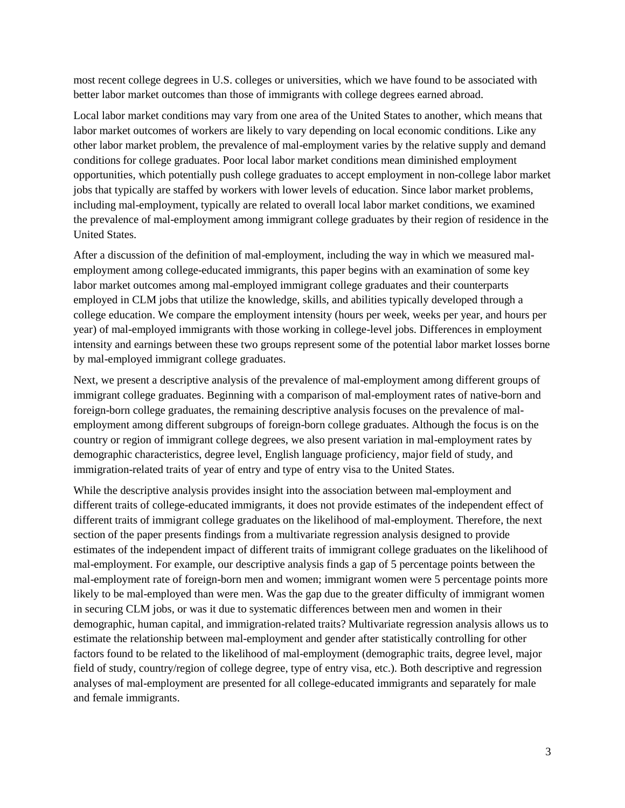most recent college degrees in U.S. colleges or universities, which we have found to be associated with better labor market outcomes than those of immigrants with college degrees earned abroad.

Local labor market conditions may vary from one area of the United States to another, which means that labor market outcomes of workers are likely to vary depending on local economic conditions. Like any other labor market problem, the prevalence of mal-employment varies by the relative supply and demand conditions for college graduates. Poor local labor market conditions mean diminished employment opportunities, which potentially push college graduates to accept employment in non-college labor market jobs that typically are staffed by workers with lower levels of education. Since labor market problems, including mal-employment, typically are related to overall local labor market conditions, we examined the prevalence of mal-employment among immigrant college graduates by their region of residence in the United States.

After a discussion of the definition of mal-employment, including the way in which we measured malemployment among college-educated immigrants, this paper begins with an examination of some key labor market outcomes among mal-employed immigrant college graduates and their counterparts employed in CLM jobs that utilize the knowledge, skills, and abilities typically developed through a college education. We compare the employment intensity (hours per week, weeks per year, and hours per year) of mal-employed immigrants with those working in college-level jobs. Differences in employment intensity and earnings between these two groups represent some of the potential labor market losses borne by mal-employed immigrant college graduates.

Next, we present a descriptive analysis of the prevalence of mal-employment among different groups of immigrant college graduates. Beginning with a comparison of mal-employment rates of native-born and foreign-born college graduates, the remaining descriptive analysis focuses on the prevalence of malemployment among different subgroups of foreign-born college graduates. Although the focus is on the country or region of immigrant college degrees, we also present variation in mal-employment rates by demographic characteristics, degree level, English language proficiency, major field of study, and immigration-related traits of year of entry and type of entry visa to the United States.

While the descriptive analysis provides insight into the association between mal-employment and different traits of college-educated immigrants, it does not provide estimates of the independent effect of different traits of immigrant college graduates on the likelihood of mal-employment. Therefore, the next section of the paper presents findings from a multivariate regression analysis designed to provide estimates of the independent impact of different traits of immigrant college graduates on the likelihood of mal-employment. For example, our descriptive analysis finds a gap of 5 percentage points between the mal-employment rate of foreign-born men and women; immigrant women were 5 percentage points more likely to be mal-employed than were men. Was the gap due to the greater difficulty of immigrant women in securing CLM jobs, or was it due to systematic differences between men and women in their demographic, human capital, and immigration-related traits? Multivariate regression analysis allows us to estimate the relationship between mal-employment and gender after statistically controlling for other factors found to be related to the likelihood of mal-employment (demographic traits, degree level, major field of study, country/region of college degree, type of entry visa, etc.). Both descriptive and regression analyses of mal-employment are presented for all college-educated immigrants and separately for male and female immigrants.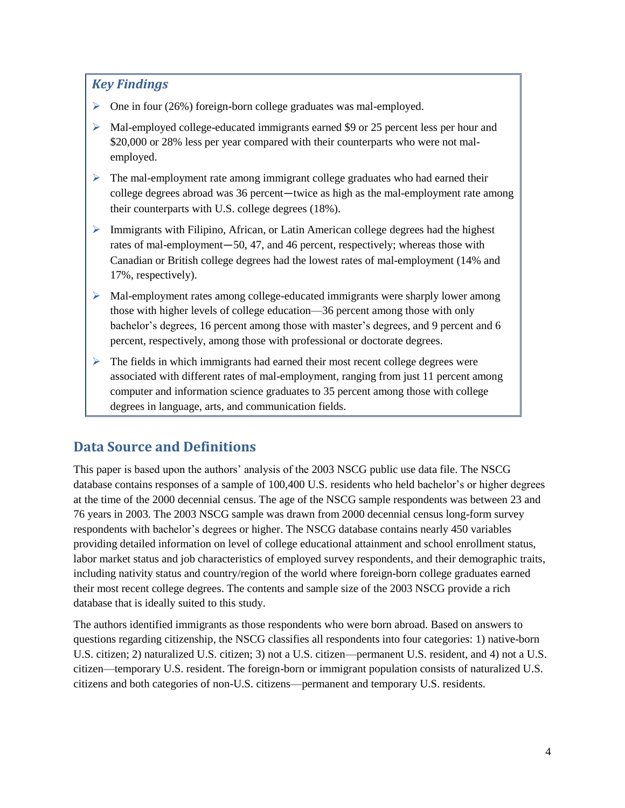## *Key Findings*

- $\triangleright$  One in four (26%) foreign-born college graduates was mal-employed.
- $\triangleright$  Mal-employed college-educated immigrants earned \$9 or 25 percent less per hour and \$20,000 or 28% less per year compared with their counterparts who were not malemployed.
- $\triangleright$  The mal-employment rate among immigrant college graduates who had earned their college degrees abroad was 36 percent―twice as high as the mal-employment rate among their counterparts with U.S. college degrees (18%).
- $\triangleright$  Immigrants with Filipino, African, or Latin American college degrees had the highest rates of mal-employment―50, 47, and 46 percent, respectively; whereas those with Canadian or British college degrees had the lowest rates of mal-employment (14% and 17%, respectively).
- Mal-employment rates among college-educated immigrants were sharply lower among those with higher levels of college education—36 percent among those with only bachelor's degrees, 16 percent among those with master's degrees, and 9 percent and 6 percent, respectively, among those with professional or doctorate degrees.
- $\blacktriangleright$ The fields in which immigrants had earned their most recent college degrees were associated with different rates of mal-employment, ranging from just 11 percent among computer and information science graduates to 35 percent among those with college degrees in language, arts, and communication fields.

# <span id="page-6-0"></span>**Data Source and Definitions**

This paper is based upon the authors' analysis of the 2003 NSCG public use data file. The NSCG database contains responses of a sample of 100,400 U.S. residents who held bachelor's or higher degrees at the time of the 2000 decennial census. The age of the NSCG sample respondents was between 23 and 76 years in 2003. The 2003 NSCG sample was drawn from 2000 decennial census long-form survey respondents with bachelor's degrees or higher. The NSCG database contains nearly 450 variables providing detailed information on level of college educational attainment and school enrollment status, labor market status and job characteristics of employed survey respondents, and their demographic traits, including nativity status and country/region of the world where foreign-born college graduates earned their most recent college degrees. The contents and sample size of the 2003 NSCG provide a rich database that is ideally suited to this study.

The authors identified immigrants as those respondents who were born abroad. Based on answers to questions regarding citizenship, the NSCG classifies all respondents into four categories: 1) native-born U.S. citizen; 2) naturalized U.S. citizen; 3) not a U.S. citizen—permanent U.S. resident, and 4) not a U.S. citizen—temporary U.S. resident. The foreign-born or immigrant population consists of naturalized U.S. citizens and both categories of non-U.S. citizens—permanent and temporary U.S. residents.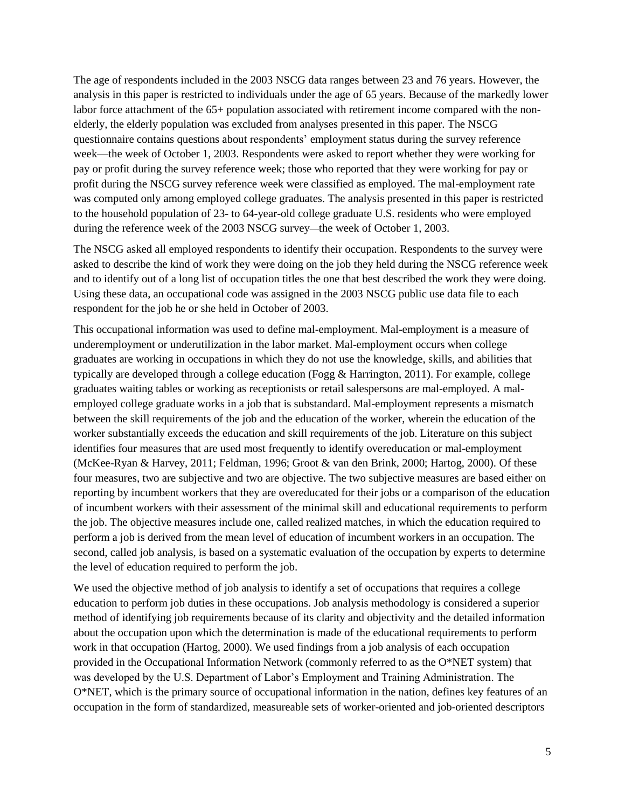The age of respondents included in the 2003 NSCG data ranges between 23 and 76 years. However, the analysis in this paper is restricted to individuals under the age of 65 years. Because of the markedly lower labor force attachment of the 65+ population associated with retirement income compared with the nonelderly, the elderly population was excluded from analyses presented in this paper. The NSCG questionnaire contains questions about respondents' employment status during the survey reference week—the week of October 1, 2003. Respondents were asked to report whether they were working for pay or profit during the survey reference week; those who reported that they were working for pay or profit during the NSCG survey reference week were classified as employed. The mal-employment rate was computed only among employed college graduates. The analysis presented in this paper is restricted to the household population of 23- to 64-year-old college graduate U.S. residents who were employed during the reference week of the 2003 NSCG survey—the week of October 1, 2003.

The NSCG asked all employed respondents to identify their occupation. Respondents to the survey were asked to describe the kind of work they were doing on the job they held during the NSCG reference week and to identify out of a long list of occupation titles the one that best described the work they were doing. Using these data, an occupational code was assigned in the 2003 NSCG public use data file to each respondent for the job he or she held in October of 2003.

This occupational information was used to define mal-employment. Mal-employment is a measure of underemployment or underutilization in the labor market. Mal-employment occurs when college graduates are working in occupations in which they do not use the knowledge, skills, and abilities that typically are developed through a college education (Fogg & Harrington, 2011). For example, college graduates waiting tables or working as receptionists or retail salespersons are mal-employed. A malemployed college graduate works in a job that is substandard. Mal-employment represents a mismatch between the skill requirements of the job and the education of the worker, wherein the education of the worker substantially exceeds the education and skill requirements of the job. Literature on this subject identifies four measures that are used most frequently to identify overeducation or mal-employment (McKee-Ryan & Harvey, 2011; Feldman, 1996; Groot & van den Brink, 2000; Hartog, 2000). Of these four measures, two are subjective and two are objective. The two subjective measures are based either on reporting by incumbent workers that they are overeducated for their jobs or a comparison of the education of incumbent workers with their assessment of the minimal skill and educational requirements to perform the job. The objective measures include one, called realized matches, in which the education required to perform a job is derived from the mean level of education of incumbent workers in an occupation. The second, called job analysis, is based on a systematic evaluation of the occupation by experts to determine the level of education required to perform the job.

We used the objective method of job analysis to identify a set of occupations that requires a college education to perform job duties in these occupations. Job analysis methodology is considered a superior method of identifying job requirements because of its clarity and objectivity and the detailed information about the occupation upon which the determination is made of the educational requirements to perform work in that occupation (Hartog, 2000). We used findings from a job analysis of each occupation provided in the Occupational Information Network (commonly referred to as the O\*NET system) that was developed by the U.S. Department of Labor's Employment and Training Administration. The O\*NET, which is the primary source of occupational information in the nation, defines key features of an occupation in the form of standardized, measureable sets of worker-oriented and job-oriented descriptors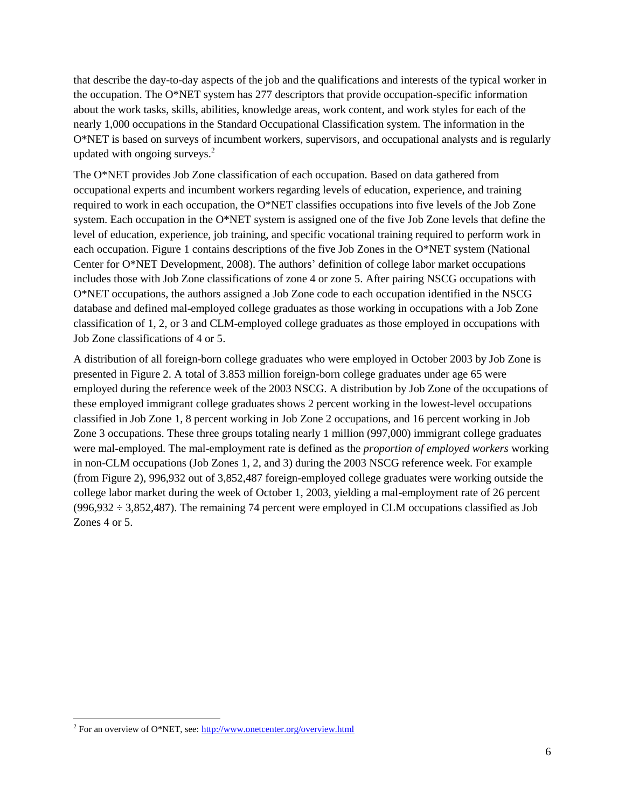that describe the day-to-day aspects of the job and the qualifications and interests of the typical worker in the occupation. The O\*NET system has 277 descriptors that provide occupation-specific information about the work tasks, skills, abilities, knowledge areas, work content, and work styles for each of the nearly 1,000 occupations in the Standard Occupational Classification system. The information in the O\*NET is based on surveys of incumbent workers, supervisors, and occupational analysts and is regularly updated with ongoing surveys. $2$ 

The O\*NET provides Job Zone classification of each occupation. Based on data gathered from occupational experts and incumbent workers regarding levels of education, experience, and training required to work in each occupation, the O\*NET classifies occupations into five levels of the Job Zone system. Each occupation in the O\*NET system is assigned one of the five Job Zone levels that define the level of education, experience, job training, and specific vocational training required to perform work in each occupation. Figure 1 contains descriptions of the five Job Zones in the O\*NET system (National Center for O\*NET Development, 2008). The authors' definition of college labor market occupations includes those with Job Zone classifications of zone 4 or zone 5. After pairing NSCG occupations with O\*NET occupations, the authors assigned a Job Zone code to each occupation identified in the NSCG database and defined mal-employed college graduates as those working in occupations with a Job Zone classification of 1, 2, or 3 and CLM-employed college graduates as those employed in occupations with Job Zone classifications of 4 or 5.

A distribution of all foreign-born college graduates who were employed in October 2003 by Job Zone is presented in Figure 2. A total of 3.853 million foreign-born college graduates under age 65 were employed during the reference week of the 2003 NSCG. A distribution by Job Zone of the occupations of these employed immigrant college graduates shows 2 percent working in the lowest-level occupations classified in Job Zone 1, 8 percent working in Job Zone 2 occupations, and 16 percent working in Job Zone 3 occupations. These three groups totaling nearly 1 million (997,000) immigrant college graduates were mal-employed. The mal-employment rate is defined as the *proportion of employed workers* working in non-CLM occupations (Job Zones 1, 2, and 3) during the 2003 NSCG reference week. For example (from Figure 2), 996,932 out of 3,852,487 foreign-employed college graduates were working outside the college labor market during the week of October 1, 2003, yielding a mal-employment rate of 26 percent  $(996,932 \div 3,852,487)$ . The remaining 74 percent were employed in CLM occupations classified as Job Zones 4 or 5.

 $\overline{a}$ 

<sup>&</sup>lt;sup>2</sup> For an overview of O\*NET, see:  $\frac{http://www.onetcenter.org/overview.html}{http://www.onetcenter.org/overview.html}$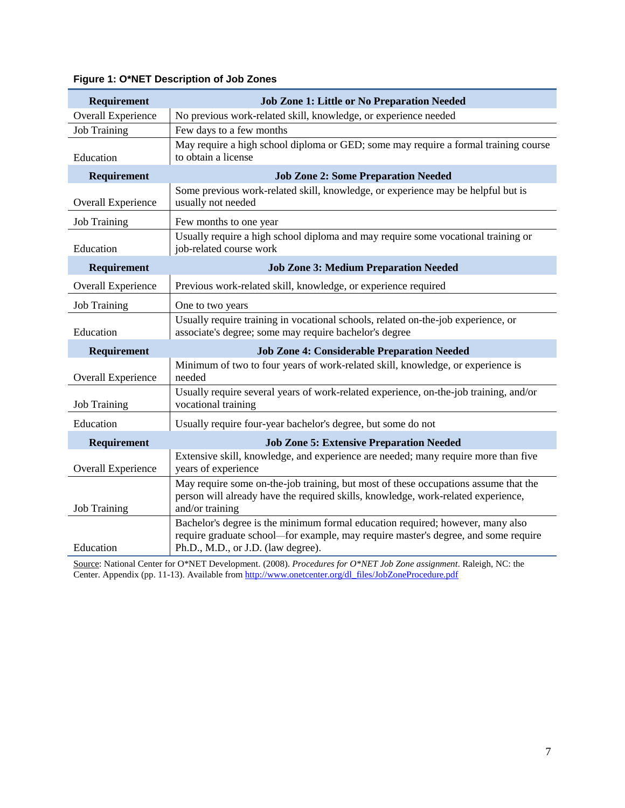| Requirement               | Job Zone 1: Little or No Preparation Needed                                                                                                                                                                |
|---------------------------|------------------------------------------------------------------------------------------------------------------------------------------------------------------------------------------------------------|
| <b>Overall Experience</b> | No previous work-related skill, knowledge, or experience needed                                                                                                                                            |
| <b>Job Training</b>       | Few days to a few months                                                                                                                                                                                   |
| Education                 | May require a high school diploma or GED; some may require a formal training course<br>to obtain a license                                                                                                 |
| Requirement               | <b>Job Zone 2: Some Preparation Needed</b>                                                                                                                                                                 |
| Overall Experience        | Some previous work-related skill, knowledge, or experience may be helpful but is<br>usually not needed                                                                                                     |
| <b>Job Training</b>       | Few months to one year                                                                                                                                                                                     |
| Education                 | Usually require a high school diploma and may require some vocational training or<br>job-related course work                                                                                               |
| Requirement               | <b>Job Zone 3: Medium Preparation Needed</b>                                                                                                                                                               |
| <b>Overall Experience</b> | Previous work-related skill, knowledge, or experience required                                                                                                                                             |
| <b>Job Training</b>       | One to two years                                                                                                                                                                                           |
| Education                 | Usually require training in vocational schools, related on-the-job experience, or<br>associate's degree; some may require bachelor's degree                                                                |
| Requirement               | <b>Job Zone 4: Considerable Preparation Needed</b>                                                                                                                                                         |
| Overall Experience        | Minimum of two to four years of work-related skill, knowledge, or experience is<br>needed                                                                                                                  |
| <b>Job Training</b>       | Usually require several years of work-related experience, on-the-job training, and/or<br>vocational training                                                                                               |
| Education                 | Usually require four-year bachelor's degree, but some do not                                                                                                                                               |
| Requirement               | <b>Job Zone 5: Extensive Preparation Needed</b>                                                                                                                                                            |
| <b>Overall Experience</b> | Extensive skill, knowledge, and experience are needed; many require more than five<br>years of experience                                                                                                  |
| <b>Job Training</b>       | May require some on-the-job training, but most of these occupations assume that the<br>person will already have the required skills, knowledge, work-related experience,<br>and/or training                |
| Education                 | Bachelor's degree is the minimum formal education required; however, many also<br>require graduate school—for example, may require master's degree, and some require<br>Ph.D., M.D., or J.D. (law degree). |

## **Figure 1: O\*NET Description of Job Zones**

Source: National Center for O\*NET Development. (2008). *Procedures for O\*NET Job Zone assignment*. Raleigh, NC: the Center. Appendix (pp. 11-13). Available from http://www.onetcenter.org/dl\_files/JobZoneProcedure.pdf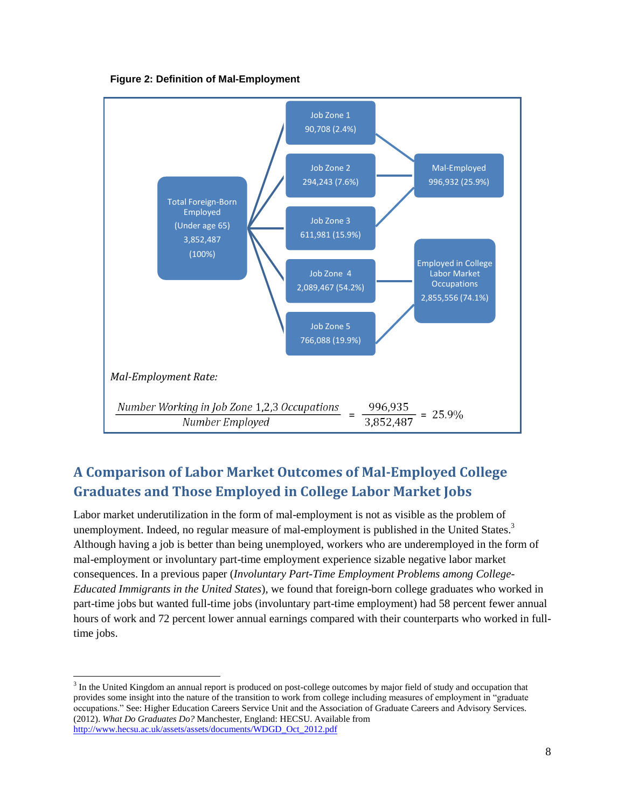**Figure 2: Definition of Mal-Employment** 



# <span id="page-10-0"></span>**A Comparison of Labor Market Outcomes of Mal-Employed College Graduates and Those Employed in College Labor Market Jobs**

Labor market underutilization in the form of mal-employment is not as visible as the problem of unemployment. Indeed, no regular measure of mal-employment is published in the United States.<sup>3</sup> Although having a job is better than being unemployed, workers who are underemployed in the form of mal-employment or involuntary part-time employment experience sizable negative labor market consequences. In a previous paper (*Involuntary Part-Time Employment Problems among College-Educated Immigrants in the United States*), we found that foreign-born college graduates who worked in part-time jobs but wanted full-time jobs (involuntary part-time employment) had 58 percent fewer annual hours of work and 72 percent lower annual earnings compared with their counterparts who worked in fulltime jobs.

l

<sup>&</sup>lt;sup>3</sup> In the United Kingdom an annual report is produced on post-college outcomes by major field of study and occupation that provides some insight into the nature of the transition to work from college including measures of employment in "graduate occupations." See: Higher Education Careers Service Unit and the Association of Graduate Careers and Advisory Services. (2012). *What Do Graduates Do?* Manchester, England: HECSU. Available from [http://www.hecsu.ac.uk/assets/assets/documents/WDGD\\_Oct\\_2012.pdf](http://www.hecsu.ac.uk/assets/assets/documents/WDGD_Oct_2012.pdf)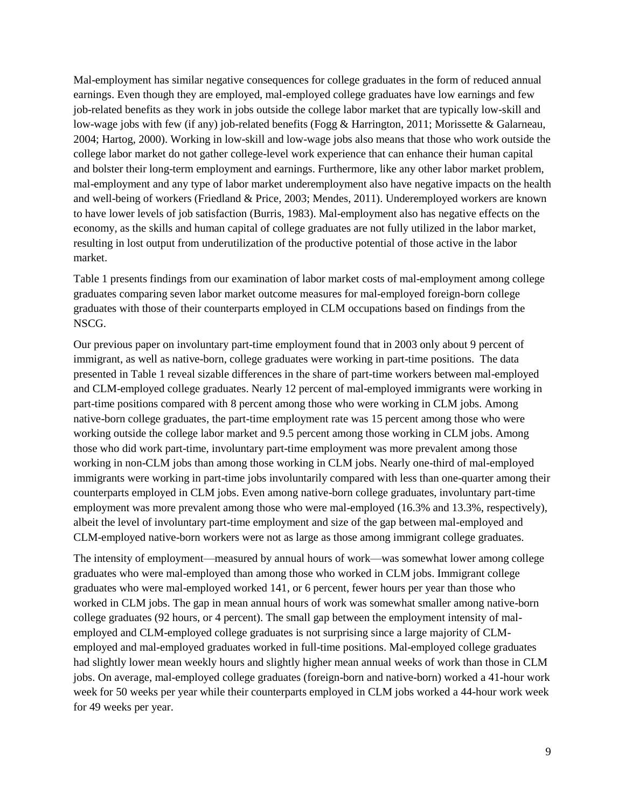Mal-employment has similar negative consequences for college graduates in the form of reduced annual earnings. Even though they are employed, mal-employed college graduates have low earnings and few job-related benefits as they work in jobs outside the college labor market that are typically low-skill and low-wage jobs with few (if any) job-related benefits (Fogg & Harrington, 2011; Morissette & Galarneau, 2004; Hartog, 2000). Working in low-skill and low-wage jobs also means that those who work outside the college labor market do not gather college-level work experience that can enhance their human capital and bolster their long-term employment and earnings. Furthermore, like any other labor market problem, mal-employment and any type of labor market underemployment also have negative impacts on the health and well-being of workers (Friedland & Price, 2003; Mendes, 2011). Underemployed workers are known to have lower levels of job satisfaction (Burris, 1983). Mal-employment also has negative effects on the economy, as the skills and human capital of college graduates are not fully utilized in the labor market, resulting in lost output from underutilization of the productive potential of those active in the labor market.

Table 1 presents findings from our examination of labor market costs of mal-employment among college graduates comparing seven labor market outcome measures for mal-employed foreign-born college graduates with those of their counterparts employed in CLM occupations based on findings from the NSCG.

Our previous paper on involuntary part-time employment found that in 2003 only about 9 percent of immigrant, as well as native-born, college graduates were working in part-time positions. The data presented in Table 1 reveal sizable differences in the share of part-time workers between mal-employed and CLM-employed college graduates. Nearly 12 percent of mal-employed immigrants were working in part-time positions compared with 8 percent among those who were working in CLM jobs. Among native-born college graduates, the part-time employment rate was 15 percent among those who were working outside the college labor market and 9.5 percent among those working in CLM jobs. Among those who did work part-time, involuntary part-time employment was more prevalent among those working in non-CLM jobs than among those working in CLM jobs. Nearly one-third of mal-employed immigrants were working in part-time jobs involuntarily compared with less than one-quarter among their counterparts employed in CLM jobs. Even among native-born college graduates, involuntary part-time employment was more prevalent among those who were mal-employed (16.3% and 13.3%, respectively), albeit the level of involuntary part-time employment and size of the gap between mal-employed and CLM-employed native-born workers were not as large as those among immigrant college graduates.

The intensity of employment—measured by annual hours of work—was somewhat lower among college graduates who were mal-employed than among those who worked in CLM jobs. Immigrant college graduates who were mal-employed worked 141, or 6 percent, fewer hours per year than those who worked in CLM jobs. The gap in mean annual hours of work was somewhat smaller among native-born college graduates (92 hours, or 4 percent). The small gap between the employment intensity of malemployed and CLM-employed college graduates is not surprising since a large majority of CLMemployed and mal-employed graduates worked in full-time positions. Mal-employed college graduates had slightly lower mean weekly hours and slightly higher mean annual weeks of work than those in CLM jobs. On average, mal-employed college graduates (foreign-born and native-born) worked a 41-hour work week for 50 weeks per year while their counterparts employed in CLM jobs worked a 44-hour work week for 49 weeks per year.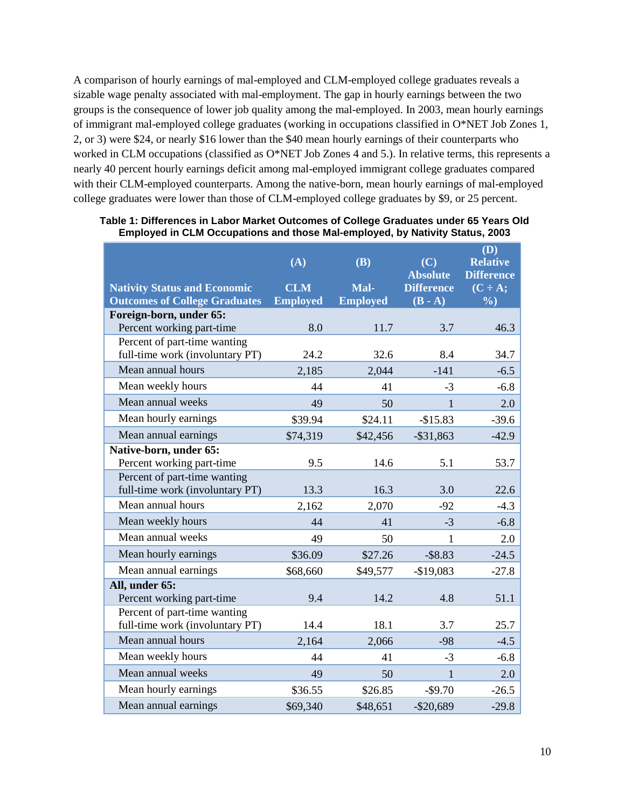A comparison of hourly earnings of mal-employed and CLM-employed college graduates reveals a sizable wage penalty associated with mal-employment. The gap in hourly earnings between the two groups is the consequence of lower job quality among the mal-employed. In 2003, mean hourly earnings of immigrant mal-employed college graduates (working in occupations classified in O\*NET Job Zones 1, 2, or 3) were \$24, or nearly \$16 lower than the \$40 mean hourly earnings of their counterparts who worked in CLM occupations (classified as O\*NET Job Zones 4 and 5.). In relative terms, this represents a nearly 40 percent hourly earnings deficit among mal-employed immigrant college graduates compared with their CLM-employed counterparts. Among the native-born, mean hourly earnings of mal-employed college graduates were lower than those of CLM-employed college graduates by \$9, or 25 percent.

|                                                                 | (A)             | (B)             | (C)<br><b>Absolute</b> | (D)<br><b>Relative</b><br><b>Difference</b> |
|-----------------------------------------------------------------|-----------------|-----------------|------------------------|---------------------------------------------|
| <b>Nativity Status and Economic</b>                             | <b>CLM</b>      | Mal-            | <b>Difference</b>      | $(C \div A;$                                |
| <b>Outcomes of College Graduates</b>                            | <b>Employed</b> | <b>Employed</b> | $(B - A)$              | $\frac{6}{2}$                               |
| Foreign-born, under 65:                                         |                 |                 |                        |                                             |
| Percent working part-time                                       | 8.0             | 11.7            | 3.7                    | 46.3                                        |
| Percent of part-time wanting<br>full-time work (involuntary PT) | 24.2            | 32.6            | 8.4                    | 34.7                                        |
| Mean annual hours                                               | 2,185           | 2,044           | $-141$                 | $-6.5$                                      |
| Mean weekly hours                                               | 44              | 41              | $-3$                   | $-6.8$                                      |
| Mean annual weeks                                               | 49              | 50              | $\mathbf{1}$           | 2.0                                         |
| Mean hourly earnings                                            | \$39.94         | \$24.11         | $-$15.83$              | $-39.6$                                     |
| Mean annual earnings                                            | \$74,319        | \$42,456        | $-$ \$31,863           | $-42.9$                                     |
| Native-born, under 65:<br>Percent working part-time             | 9.5             | 14.6            | 5.1                    | 53.7                                        |
| Percent of part-time wanting<br>full-time work (involuntary PT) | 13.3            | 16.3            | 3.0                    | 22.6                                        |
| Mean annual hours                                               | 2,162           | 2,070           | $-92$                  | $-4.3$                                      |
| Mean weekly hours                                               | 44              | 41              | $-3$                   | $-6.8$                                      |
| Mean annual weeks                                               | 49              | 50              | 1                      | 2.0                                         |
| Mean hourly earnings                                            | \$36.09         | \$27.26         | $-$ \$8.83             | $-24.5$                                     |
| Mean annual earnings                                            | \$68,660        | \$49,577        | $-$19,083$             | $-27.8$                                     |
| All, under 65:<br>Percent working part-time                     | 9.4             | 14.2            | 4.8                    | 51.1                                        |
| Percent of part-time wanting<br>full-time work (involuntary PT) | 14.4            | 18.1            | 3.7                    | 25.7                                        |
| Mean annual hours                                               | 2,164           | 2,066           | $-98$                  | $-4.5$                                      |
| Mean weekly hours                                               | 44              | 41              | $-3$                   | $-6.8$                                      |
| Mean annual weeks                                               | 49              | 50              | $\mathbf{1}$           | 2.0                                         |
| Mean hourly earnings                                            | \$36.55         | \$26.85         | $-$9.70$               | $-26.5$                                     |
| Mean annual earnings                                            | \$69,340        | \$48,651        | $-$20,689$             | $-29.8$                                     |

**Table 1: Differences in Labor Market Outcomes of College Graduates under 65 Years Old Employed in CLM Occupations and those Mal-employed, by Nativity Status, 2003**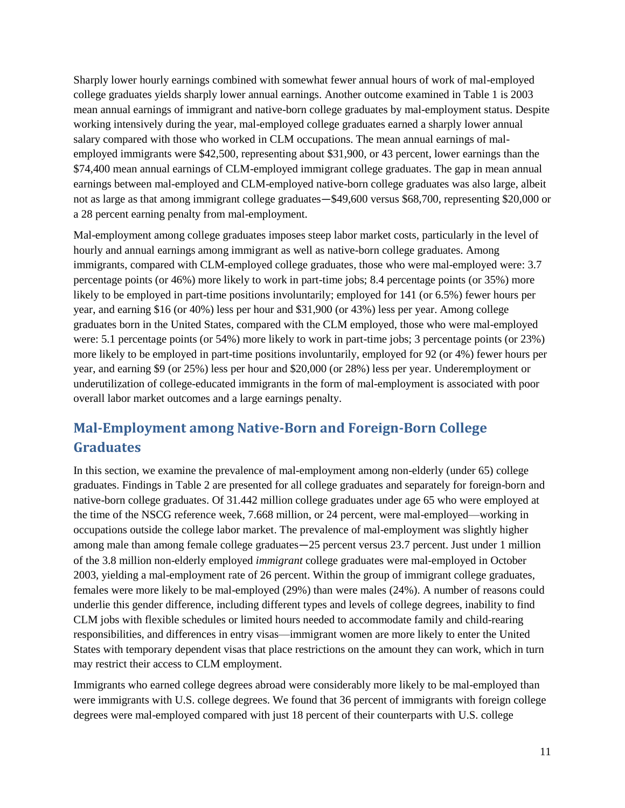Sharply lower hourly earnings combined with somewhat fewer annual hours of work of mal-employed college graduates yields sharply lower annual earnings. Another outcome examined in Table 1 is 2003 mean annual earnings of immigrant and native-born college graduates by mal-employment status. Despite working intensively during the year, mal-employed college graduates earned a sharply lower annual salary compared with those who worked in CLM occupations. The mean annual earnings of malemployed immigrants were \$42,500, representing about \$31,900, or 43 percent, lower earnings than the \$74,400 mean annual earnings of CLM-employed immigrant college graduates. The gap in mean annual earnings between mal-employed and CLM-employed native-born college graduates was also large, albeit not as large as that among immigrant college graduates—\$49,600 versus \$68,700, representing \$20,000 or a 28 percent earning penalty from mal-employment.

Mal-employment among college graduates imposes steep labor market costs, particularly in the level of hourly and annual earnings among immigrant as well as native-born college graduates. Among immigrants, compared with CLM-employed college graduates, those who were mal-employed were: 3.7 percentage points (or 46%) more likely to work in part-time jobs; 8.4 percentage points (or 35%) more likely to be employed in part-time positions involuntarily; employed for 141 (or 6.5%) fewer hours per year, and earning \$16 (or 40%) less per hour and \$31,900 (or 43%) less per year. Among college graduates born in the United States, compared with the CLM employed, those who were mal-employed were: 5.1 percentage points (or 54%) more likely to work in part-time jobs; 3 percentage points (or 23%) more likely to be employed in part-time positions involuntarily, employed for 92 (or 4%) fewer hours per year, and earning \$9 (or 25%) less per hour and \$20,000 (or 28%) less per year. Underemployment or underutilization of college-educated immigrants in the form of mal-employment is associated with poor overall labor market outcomes and a large earnings penalty.

# <span id="page-13-0"></span>**Mal-Employment among Native-Born and Foreign-Born College Graduates**

In this section, we examine the prevalence of mal-employment among non-elderly (under 65) college graduates. Findings in Table 2 are presented for all college graduates and separately for foreign-born and native-born college graduates. Of 31.442 million college graduates under age 65 who were employed at the time of the NSCG reference week, 7.668 million, or 24 percent, were mal-employed—working in occupations outside the college labor market. The prevalence of mal-employment was slightly higher among male than among female college graduates―25 percent versus 23.7 percent. Just under 1 million of the 3.8 million non-elderly employed *immigrant* college graduates were mal-employed in October 2003, yielding a mal-employment rate of 26 percent. Within the group of immigrant college graduates, females were more likely to be mal-employed (29%) than were males (24%). A number of reasons could underlie this gender difference, including different types and levels of college degrees, inability to find CLM jobs with flexible schedules or limited hours needed to accommodate family and child-rearing responsibilities, and differences in entry visas—immigrant women are more likely to enter the United States with temporary dependent visas that place restrictions on the amount they can work, which in turn may restrict their access to CLM employment.

Immigrants who earned college degrees abroad were considerably more likely to be mal-employed than were immigrants with U.S. college degrees. We found that 36 percent of immigrants with foreign college degrees were mal-employed compared with just 18 percent of their counterparts with U.S. college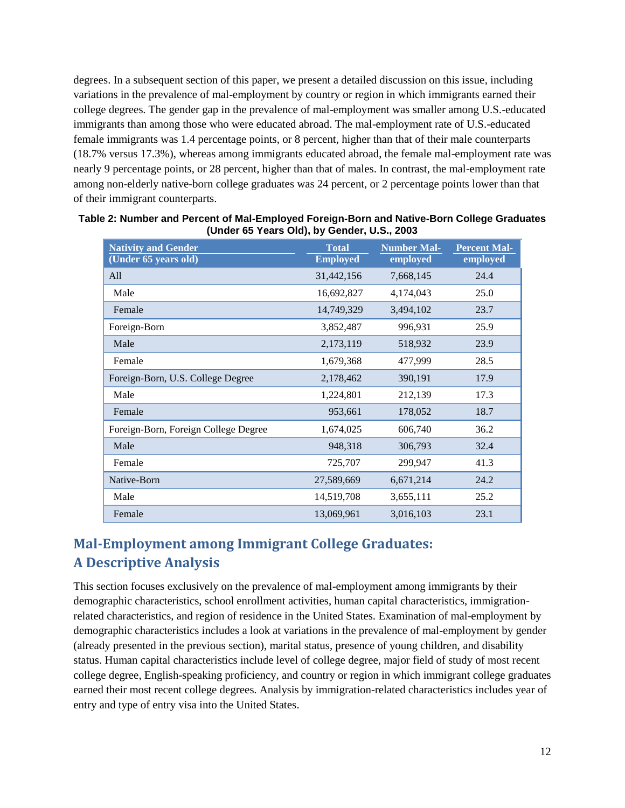degrees. In a subsequent section of this paper, we present a detailed discussion on this issue, including variations in the prevalence of mal-employment by country or region in which immigrants earned their college degrees. The gender gap in the prevalence of mal-employment was smaller among U.S.-educated immigrants than among those who were educated abroad. The mal-employment rate of U.S.-educated female immigrants was 1.4 percentage points, or 8 percent, higher than that of their male counterparts (18.7% versus 17.3%), whereas among immigrants educated abroad, the female mal-employment rate was nearly 9 percentage points, or 28 percent, higher than that of males. In contrast, the mal-employment rate among non-elderly native-born college graduates was 24 percent, or 2 percentage points lower than that of their immigrant counterparts.

| <b>Nativity and Gender</b><br>(Under 65 years old) | <b>Total</b><br><b>Employed</b> | <b>Number Mal-</b><br>employed | <b>Percent Mal-</b><br>employed |
|----------------------------------------------------|---------------------------------|--------------------------------|---------------------------------|
| All                                                | 31,442,156                      | 7,668,145                      | 24.4                            |
| Male                                               | 16,692,827                      | 4,174,043                      | 25.0                            |
| Female                                             | 14,749,329                      | 3,494,102                      | 23.7                            |
| Foreign-Born                                       | 3,852,487                       | 996,931                        | 25.9                            |
| Male                                               | 2,173,119                       | 518,932                        | 23.9                            |
| Female                                             | 1,679,368                       | 477,999                        | 28.5                            |
| Foreign-Born, U.S. College Degree                  | 2,178,462                       | 390,191                        | 17.9                            |
| Male                                               | 1,224,801                       | 212,139                        | 17.3                            |
| Female                                             | 953,661                         | 178,052                        | 18.7                            |
| Foreign-Born, Foreign College Degree               | 1,674,025                       | 606,740                        | 36.2                            |
| Male                                               | 948,318                         | 306,793                        | 32.4                            |
| Female                                             | 725,707                         | 299,947                        | 41.3                            |
| Native-Born                                        | 27,589,669                      | 6,671,214                      | 24.2                            |
| Male                                               | 14,519,708                      | 3,655,111                      | 25.2                            |
| Female                                             | 13,069,961                      | 3,016,103                      | 23.1                            |

| Table 2: Number and Percent of Mal-Employed Foreign-Born and Native-Born College Graduates |  |
|--------------------------------------------------------------------------------------------|--|
| (Under 65 Years Old), by Gender, U.S., 2003                                                |  |

# <span id="page-14-0"></span>**Mal-Employment among Immigrant College Graduates: A Descriptive Analysis**

This section focuses exclusively on the prevalence of mal-employment among immigrants by their demographic characteristics, school enrollment activities, human capital characteristics, immigrationrelated characteristics, and region of residence in the United States. Examination of mal-employment by demographic characteristics includes a look at variations in the prevalence of mal-employment by gender (already presented in the previous section), marital status, presence of young children, and disability status. Human capital characteristics include level of college degree, major field of study of most recent college degree, English-speaking proficiency, and country or region in which immigrant college graduates earned their most recent college degrees. Analysis by immigration-related characteristics includes year of entry and type of entry visa into the United States.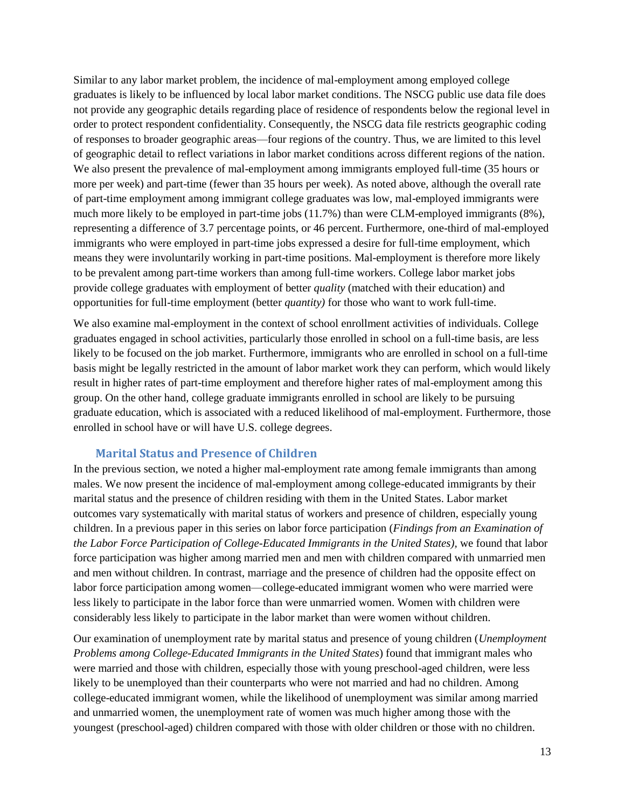Similar to any labor market problem, the incidence of mal-employment among employed college graduates is likely to be influenced by local labor market conditions. The NSCG public use data file does not provide any geographic details regarding place of residence of respondents below the regional level in order to protect respondent confidentiality. Consequently, the NSCG data file restricts geographic coding of responses to broader geographic areas—four regions of the country. Thus, we are limited to this level of geographic detail to reflect variations in labor market conditions across different regions of the nation. We also present the prevalence of mal-employment among immigrants employed full-time (35 hours or more per week) and part-time (fewer than 35 hours per week). As noted above, although the overall rate of part-time employment among immigrant college graduates was low, mal-employed immigrants were much more likely to be employed in part-time jobs (11.7%) than were CLM-employed immigrants (8%), representing a difference of 3.7 percentage points, or 46 percent. Furthermore, one-third of mal-employed immigrants who were employed in part-time jobs expressed a desire for full-time employment, which means they were involuntarily working in part-time positions. Mal-employment is therefore more likely to be prevalent among part-time workers than among full-time workers. College labor market jobs provide college graduates with employment of better *quality* (matched with their education) and opportunities for full-time employment (better *quantity)* for those who want to work full-time.

We also examine mal-employment in the context of school enrollment activities of individuals. College graduates engaged in school activities, particularly those enrolled in school on a full-time basis, are less likely to be focused on the job market. Furthermore, immigrants who are enrolled in school on a full-time basis might be legally restricted in the amount of labor market work they can perform, which would likely result in higher rates of part-time employment and therefore higher rates of mal-employment among this group. On the other hand, college graduate immigrants enrolled in school are likely to be pursuing graduate education, which is associated with a reduced likelihood of mal-employment. Furthermore, those enrolled in school have or will have U.S. college degrees.

#### **Marital Status and Presence of Children**

<span id="page-15-0"></span>In the previous section, we noted a higher mal-employment rate among female immigrants than among males. We now present the incidence of mal-employment among college-educated immigrants by their marital status and the presence of children residing with them in the United States. Labor market outcomes vary systematically with marital status of workers and presence of children, especially young children. In a previous paper in this series on labor force participation (*Findings from an Examination of the Labor Force Participation of College-Educated Immigrants in the United States),* we found that labor force participation was higher among married men and men with children compared with unmarried men and men without children. In contrast, marriage and the presence of children had the opposite effect on labor force participation among women—college-educated immigrant women who were married were less likely to participate in the labor force than were unmarried women. Women with children were considerably less likely to participate in the labor market than were women without children.

Our examination of unemployment rate by marital status and presence of young children (*Unemployment Problems among College-Educated Immigrants in the United States*) found that immigrant males who were married and those with children, especially those with young preschool-aged children, were less likely to be unemployed than their counterparts who were not married and had no children. Among college-educated immigrant women, while the likelihood of unemployment was similar among married and unmarried women, the unemployment rate of women was much higher among those with the youngest (preschool-aged) children compared with those with older children or those with no children.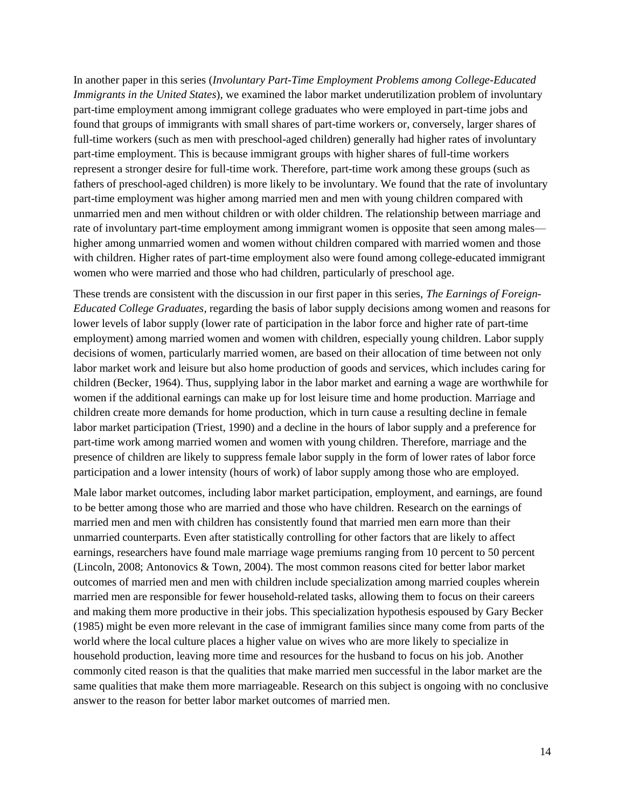In another paper in this series (*Involuntary Part-Time Employment Problems among College-Educated Immigrants in the United States*), we examined the labor market underutilization problem of involuntary part-time employment among immigrant college graduates who were employed in part-time jobs and found that groups of immigrants with small shares of part-time workers or, conversely, larger shares of full-time workers (such as men with preschool-aged children) generally had higher rates of involuntary part-time employment. This is because immigrant groups with higher shares of full-time workers represent a stronger desire for full-time work. Therefore, part-time work among these groups (such as fathers of preschool-aged children) is more likely to be involuntary. We found that the rate of involuntary part-time employment was higher among married men and men with young children compared with unmarried men and men without children or with older children. The relationship between marriage and rate of involuntary part-time employment among immigrant women is opposite that seen among males higher among unmarried women and women without children compared with married women and those with children. Higher rates of part-time employment also were found among college-educated immigrant women who were married and those who had children, particularly of preschool age.

These trends are consistent with the discussion in our first paper in this series, *The Earnings of Foreign-Educated College Graduates,* regarding the basis of labor supply decisions among women and reasons for lower levels of labor supply (lower rate of participation in the labor force and higher rate of part-time employment) among married women and women with children, especially young children. Labor supply decisions of women, particularly married women, are based on their allocation of time between not only labor market work and leisure but also home production of goods and services, which includes caring for children (Becker, 1964). Thus, supplying labor in the labor market and earning a wage are worthwhile for women if the additional earnings can make up for lost leisure time and home production. Marriage and children create more demands for home production, which in turn cause a resulting decline in female labor market participation (Triest, 1990) and a decline in the hours of labor supply and a preference for part-time work among married women and women with young children. Therefore, marriage and the presence of children are likely to suppress female labor supply in the form of lower rates of labor force participation and a lower intensity (hours of work) of labor supply among those who are employed.

Male labor market outcomes, including labor market participation, employment, and earnings, are found to be better among those who are married and those who have children. Research on the earnings of married men and men with children has consistently found that married men earn more than their unmarried counterparts. Even after statistically controlling for other factors that are likely to affect earnings, researchers have found male marriage wage premiums ranging from 10 percent to 50 percent (Lincoln, 2008; Antonovics & Town, 2004). The most common reasons cited for better labor market outcomes of married men and men with children include specialization among married couples wherein married men are responsible for fewer household-related tasks, allowing them to focus on their careers and making them more productive in their jobs. This specialization hypothesis espoused by Gary Becker (1985) might be even more relevant in the case of immigrant families since many come from parts of the world where the local culture places a higher value on wives who are more likely to specialize in household production, leaving more time and resources for the husband to focus on his job. Another commonly cited reason is that the qualities that make married men successful in the labor market are the same qualities that make them more marriageable. Research on this subject is ongoing with no conclusive answer to the reason for better labor market outcomes of married men.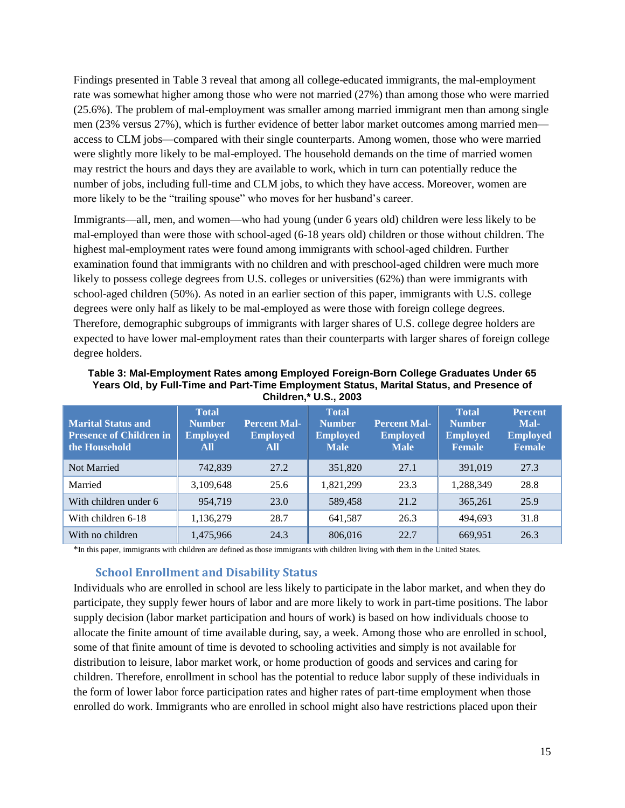Findings presented in Table 3 reveal that among all college-educated immigrants, the mal-employment rate was somewhat higher among those who were not married (27%) than among those who were married (25.6%). The problem of mal-employment was smaller among married immigrant men than among single men (23% versus 27%), which is further evidence of better labor market outcomes among married men access to CLM jobs—compared with their single counterparts. Among women, those who were married were slightly more likely to be mal-employed. The household demands on the time of married women may restrict the hours and days they are available to work, which in turn can potentially reduce the number of jobs, including full-time and CLM jobs, to which they have access. Moreover, women are more likely to be the "trailing spouse" who moves for her husband's career.

Immigrants—all, men, and women—who had young (under 6 years old) children were less likely to be mal-employed than were those with school-aged (6-18 years old) children or those without children. The highest mal-employment rates were found among immigrants with school-aged children. Further examination found that immigrants with no children and with preschool-aged children were much more likely to possess college degrees from U.S. colleges or universities (62%) than were immigrants with school-aged children (50%). As noted in an earlier section of this paper, immigrants with U.S. college degrees were only half as likely to be mal-employed as were those with foreign college degrees. Therefore, demographic subgroups of immigrants with larger shares of U.S. college degree holders are expected to have lower mal-employment rates than their counterparts with larger shares of foreign college degree holders.

| <b>Marital Status and</b><br><b>Presence of Children in</b><br>the Household | <b>Total</b><br><b>Number</b><br><b>Employed</b><br>All | <b>Percent Mal-</b><br><b>Employed</b><br>All | <b>Total</b><br><b>Number</b><br><b>Employed</b><br><b>Male</b> | <b>Percent Mal-</b><br><b>Employed</b><br><b>Male</b> | <b>Total</b><br><b>Number</b><br><b>Employed</b><br><b>Female</b> | <b>Percent</b><br>Mal-<br><b>Employed</b><br><b>Female</b> |
|------------------------------------------------------------------------------|---------------------------------------------------------|-----------------------------------------------|-----------------------------------------------------------------|-------------------------------------------------------|-------------------------------------------------------------------|------------------------------------------------------------|
| <b>Not Married</b>                                                           | 742,839                                                 | 27.2                                          | 351,820                                                         | 27.1                                                  | 391,019                                                           | 27.3                                                       |
| Married                                                                      | 3,109,648                                               | 25.6                                          | 1,821,299                                                       | 23.3                                                  | 1,288,349                                                         | 28.8                                                       |
| With children under 6                                                        | 954,719                                                 | 23.0                                          | 589,458                                                         | 21.2                                                  | 365,261                                                           | 25.9                                                       |
| With children 6-18                                                           | 1,136,279                                               | 28.7                                          | 641,587                                                         | 26.3                                                  | 494.693                                                           | 31.8                                                       |
| With no children                                                             | 1,475,966                                               | 24.3                                          | 806.016                                                         | 22.7                                                  | 669.951                                                           | 26.3                                                       |

**Table 3: Mal-Employment Rates among Employed Foreign-Born College Graduates Under 65 Years Old, by Full-Time and Part-Time Employment Status, Marital Status, and Presence of Children,\* U.S., 2003** 

<span id="page-17-0"></span>\*In this paper, immigrants with children are defined as those immigrants with children living with them in the United States.

#### **School Enrollment and Disability Status**

Individuals who are enrolled in school are less likely to participate in the labor market, and when they do participate, they supply fewer hours of labor and are more likely to work in part-time positions. The labor supply decision (labor market participation and hours of work) is based on how individuals choose to allocate the finite amount of time available during, say, a week. Among those who are enrolled in school, some of that finite amount of time is devoted to schooling activities and simply is not available for distribution to leisure, labor market work, or home production of goods and services and caring for children. Therefore, enrollment in school has the potential to reduce labor supply of these individuals in the form of lower labor force participation rates and higher rates of part-time employment when those enrolled do work. Immigrants who are enrolled in school might also have restrictions placed upon their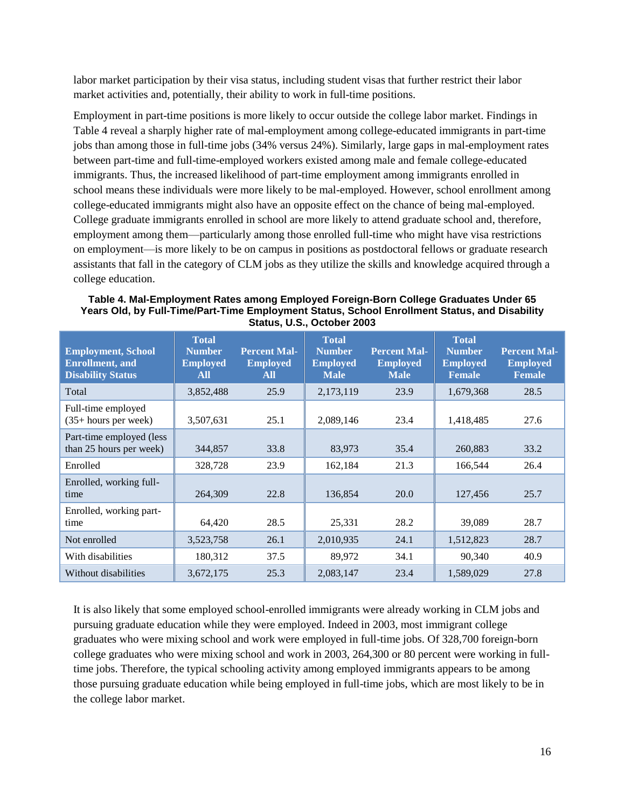labor market participation by their visa status, including student visas that further restrict their labor market activities and, potentially, their ability to work in full-time positions.

Employment in part-time positions is more likely to occur outside the college labor market. Findings in Table 4 reveal a sharply higher rate of mal-employment among college-educated immigrants in part-time jobs than among those in full-time jobs (34% versus 24%). Similarly, large gaps in mal-employment rates between part-time and full-time-employed workers existed among male and female college-educated immigrants. Thus, the increased likelihood of part-time employment among immigrants enrolled in school means these individuals were more likely to be mal-employed. However, school enrollment among college-educated immigrants might also have an opposite effect on the chance of being mal-employed. College graduate immigrants enrolled in school are more likely to attend graduate school and, therefore, employment among them—particularly among those enrolled full-time who might have visa restrictions on employment—is more likely to be on campus in positions as postdoctoral fellows or graduate research assistants that fall in the category of CLM jobs as they utilize the skills and knowledge acquired through a college education.

| Table 4. Mal-Employment Rates among Employed Foreign-Born College Graduates Under 65          |
|-----------------------------------------------------------------------------------------------|
| Years Old, by Full-Time/Part-Time Employment Status, School Enrollment Status, and Disability |
| Status, U.S., October 2003                                                                    |

| <b>Employment, School</b><br><b>Enrollment</b> , and<br><b>Disability Status</b> | <b>Total</b><br><b>Number</b><br><b>Employed</b><br>All | <b>Percent Mal-</b><br><b>Employed</b><br>All | <b>Total</b><br><b>Number</b><br><b>Employed</b><br><b>Male</b> | <b>Percent Mal-</b><br><b>Employed</b><br><b>Male</b> | <b>Total</b><br><b>Number</b><br><b>Employed</b><br><b>Female</b> | <b>Percent Mal-</b><br><b>Employed</b><br><b>Female</b> |
|----------------------------------------------------------------------------------|---------------------------------------------------------|-----------------------------------------------|-----------------------------------------------------------------|-------------------------------------------------------|-------------------------------------------------------------------|---------------------------------------------------------|
| Total                                                                            | 3,852,488                                               | 25.9                                          | 2,173,119                                                       | 23.9                                                  | 1,679,368                                                         | 28.5                                                    |
| Full-time employed<br>$(35+ hours per week)$                                     | 3,507,631                                               | 25.1                                          | 2,089,146                                                       | 23.4                                                  | 1,418,485                                                         | 27.6                                                    |
| Part-time employed (less<br>than 25 hours per week)                              | 344,857                                                 | 33.8                                          | 83,973                                                          | 35.4                                                  | 260,883                                                           | 33.2                                                    |
| Enrolled                                                                         | 328,728                                                 | 23.9                                          | 162,184                                                         | 21.3                                                  | 166,544                                                           | 26.4                                                    |
| Enrolled, working full-<br>time                                                  | 264,309                                                 | 22.8                                          | 136,854                                                         | 20.0                                                  | 127,456                                                           | 25.7                                                    |
| Enrolled, working part-<br>time                                                  | 64,420                                                  | 28.5                                          | 25,331                                                          | 28.2                                                  | 39,089                                                            | 28.7                                                    |
| Not enrolled                                                                     | 3,523,758                                               | 26.1                                          | 2,010,935                                                       | 24.1                                                  | 1,512,823                                                         | 28.7                                                    |
| With disabilities                                                                | 180,312                                                 | 37.5                                          | 89,972                                                          | 34.1                                                  | 90,340                                                            | 40.9                                                    |
| Without disabilities                                                             | 3,672,175                                               | 25.3                                          | 2,083,147                                                       | 23.4                                                  | 1,589,029                                                         | 27.8                                                    |

It is also likely that some employed school-enrolled immigrants were already working in CLM jobs and pursuing graduate education while they were employed. Indeed in 2003, most immigrant college graduates who were mixing school and work were employed in full-time jobs. Of 328,700 foreign-born college graduates who were mixing school and work in 2003, 264,300 or 80 percent were working in fulltime jobs. Therefore, the typical schooling activity among employed immigrants appears to be among those pursuing graduate education while being employed in full-time jobs, which are most likely to be in the college labor market.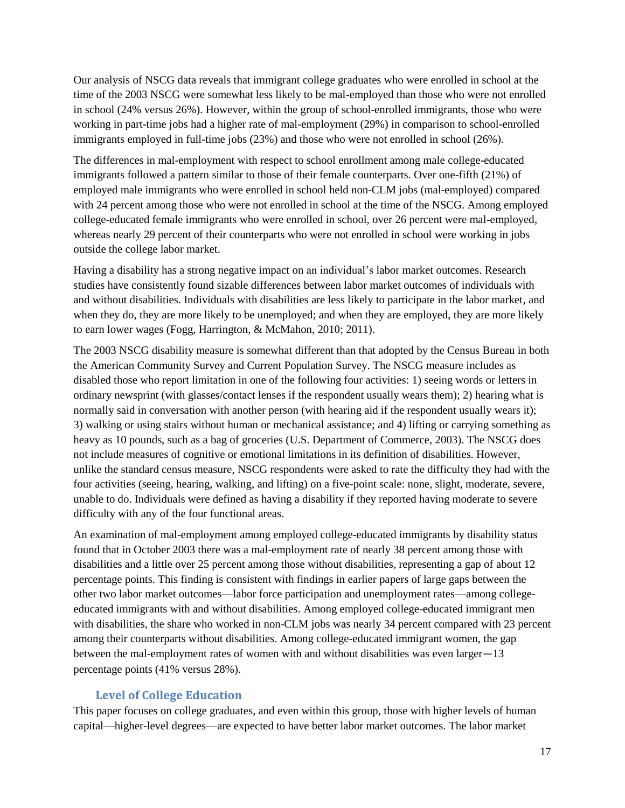Our analysis of NSCG data reveals that immigrant college graduates who were enrolled in school at the time of the 2003 NSCG were somewhat less likely to be mal-employed than those who were not enrolled in school (24% versus 26%). However, within the group of school-enrolled immigrants, those who were working in part-time jobs had a higher rate of mal-employment (29%) in comparison to school-enrolled immigrants employed in full-time jobs (23%) and those who were not enrolled in school (26%).

The differences in mal-employment with respect to school enrollment among male college-educated immigrants followed a pattern similar to those of their female counterparts. Over one-fifth (21%) of employed male immigrants who were enrolled in school held non-CLM jobs (mal-employed) compared with 24 percent among those who were not enrolled in school at the time of the NSCG. Among employed college-educated female immigrants who were enrolled in school, over 26 percent were mal-employed, whereas nearly 29 percent of their counterparts who were not enrolled in school were working in jobs outside the college labor market.

Having a disability has a strong negative impact on an individual's labor market outcomes. Research studies have consistently found sizable differences between labor market outcomes of individuals with and without disabilities. Individuals with disabilities are less likely to participate in the labor market, and when they do, they are more likely to be unemployed; and when they are employed, they are more likely to earn lower wages (Fogg, Harrington, & McMahon, 2010; 2011).

The 2003 NSCG disability measure is somewhat different than that adopted by the Census Bureau in both the American Community Survey and Current Population Survey. The NSCG measure includes as disabled those who report limitation in one of the following four activities: 1) seeing words or letters in ordinary newsprint (with glasses/contact lenses if the respondent usually wears them); 2) hearing what is normally said in conversation with another person (with hearing aid if the respondent usually wears it); 3) walking or using stairs without human or mechanical assistance; and 4) lifting or carrying something as heavy as 10 pounds, such as a bag of groceries (U.S. Department of Commerce, 2003). The NSCG does not include measures of cognitive or emotional limitations in its definition of disabilities. However, unlike the standard census measure, NSCG respondents were asked to rate the difficulty they had with the four activities (seeing, hearing, walking, and lifting) on a five-point scale: none, slight, moderate, severe, unable to do. Individuals were defined as having a disability if they reported having moderate to severe difficulty with any of the four functional areas.

An examination of mal-employment among employed college-educated immigrants by disability status found that in October 2003 there was a mal-employment rate of nearly 38 percent among those with disabilities and a little over 25 percent among those without disabilities, representing a gap of about 12 percentage points. This finding is consistent with findings in earlier papers of large gaps between the other two labor market outcomes—labor force participation and unemployment rates—among collegeeducated immigrants with and without disabilities. Among employed college-educated immigrant men with disabilities, the share who worked in non-CLM jobs was nearly 34 percent compared with 23 percent among their counterparts without disabilities. Among college-educated immigrant women, the gap between the mal-employment rates of women with and without disabilities was even larger―13 percentage points (41% versus 28%).

## **Level of College Education**

<span id="page-19-0"></span>This paper focuses on college graduates, and even within this group, those with higher levels of human capital—higher-level degrees—are expected to have better labor market outcomes. The labor market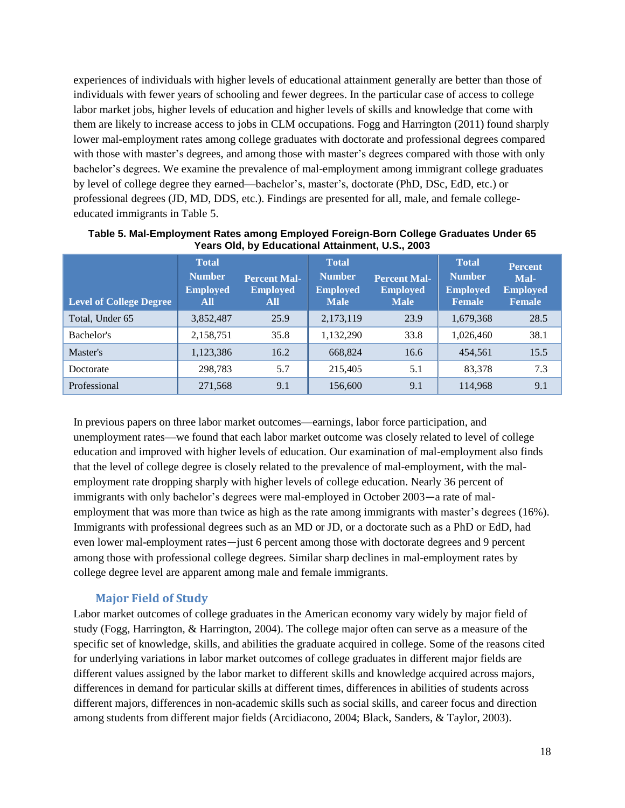experiences of individuals with higher levels of educational attainment generally are better than those of individuals with fewer years of schooling and fewer degrees. In the particular case of access to college labor market jobs, higher levels of education and higher levels of skills and knowledge that come with them are likely to increase access to jobs in CLM occupations. Fogg and Harrington (2011) found sharply lower mal-employment rates among college graduates with doctorate and professional degrees compared with those with master's degrees, and among those with master's degrees compared with those with only bachelor's degrees. We examine the prevalence of mal-employment among immigrant college graduates by level of college degree they earned—bachelor's, master's, doctorate (PhD, DSc, EdD, etc.) or professional degrees (JD, MD, DDS, etc.). Findings are presented for all, male, and female collegeeducated immigrants in Table 5.

| <b>Level of College Degree</b> | <b>Total</b><br><b>Number</b><br><b>Employed</b><br>All | <b>Percent Mal-</b><br><b>Employed</b><br>All | <b>Total</b><br><b>Number</b><br><b>Employed</b><br><b>Male</b> | <b>Percent Mal-</b><br><b>Employed</b><br><b>Male</b> | <b>Total</b><br><b>Number</b><br><b>Employed</b><br><b>Female</b> | <b>Percent</b><br>Mal-<br><b>Employed</b><br><b>Female</b> |
|--------------------------------|---------------------------------------------------------|-----------------------------------------------|-----------------------------------------------------------------|-------------------------------------------------------|-------------------------------------------------------------------|------------------------------------------------------------|
| Total, Under 65                | 3,852,487                                               | 25.9                                          | 2,173,119                                                       | 23.9                                                  | 1,679,368                                                         | 28.5                                                       |
| Bachelor's                     | 2,158,751                                               | 35.8                                          | 1,132,290                                                       | 33.8                                                  | 1,026,460                                                         | 38.1                                                       |
| Master's                       | 1,123,386                                               | 16.2                                          | 668,824                                                         | 16.6                                                  | 454.561                                                           | 15.5                                                       |
| Doctorate                      | 298,783                                                 | 5.7                                           | 215,405                                                         | 5.1                                                   | 83,378                                                            | 7.3                                                        |
| Professional                   | 271,568                                                 | 9.1                                           | 156,600                                                         | 9.1                                                   | 114,968                                                           | 9.1                                                        |

**Table 5. Mal-Employment Rates among Employed Foreign-Born College Graduates Under 65 Years Old, by Educational Attainment, U.S., 2003** 

In previous papers on three labor market outcomes—earnings, labor force participation, and unemployment rates—we found that each labor market outcome was closely related to level of college education and improved with higher levels of education. Our examination of mal-employment also finds that the level of college degree is closely related to the prevalence of mal-employment, with the malemployment rate dropping sharply with higher levels of college education. Nearly 36 percent of immigrants with only bachelor's degrees were mal-employed in October 2003―a rate of malemployment that was more than twice as high as the rate among immigrants with master's degrees (16%). Immigrants with professional degrees such as an MD or JD, or a doctorate such as a PhD or EdD, had even lower mal-employment rates―just 6 percent among those with doctorate degrees and 9 percent among those with professional college degrees. Similar sharp declines in mal-employment rates by college degree level are apparent among male and female immigrants.

#### **Major Field of Study**

<span id="page-20-0"></span>Labor market outcomes of college graduates in the American economy vary widely by major field of study (Fogg, Harrington, & Harrington, 2004). The college major often can serve as a measure of the specific set of knowledge, skills, and abilities the graduate acquired in college. Some of the reasons cited for underlying variations in labor market outcomes of college graduates in different major fields are different values assigned by the labor market to different skills and knowledge acquired across majors, differences in demand for particular skills at different times, differences in abilities of students across different majors, differences in non-academic skills such as social skills, and career focus and direction among students from different major fields (Arcidiacono, 2004; Black, Sanders, & Taylor, 2003).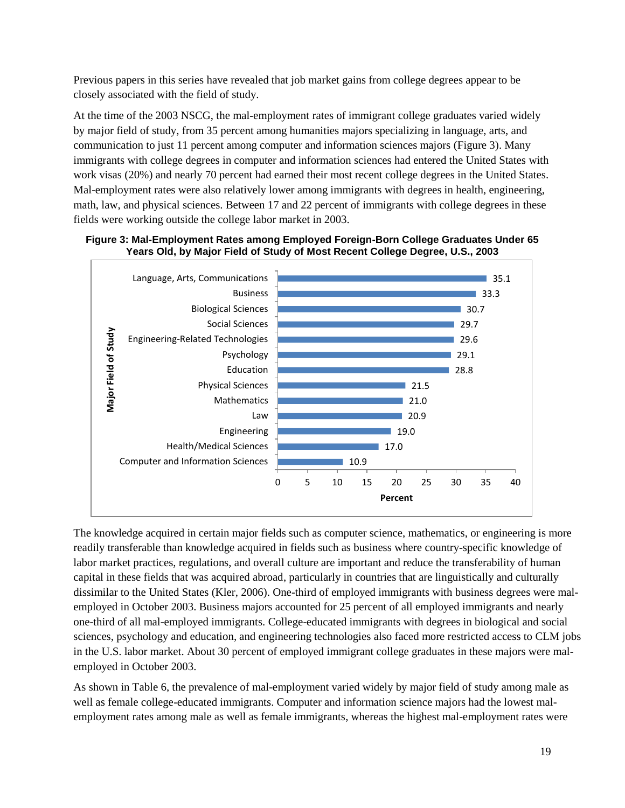Previous papers in this series have revealed that job market gains from college degrees appear to be closely associated with the field of study.

At the time of the 2003 NSCG, the mal-employment rates of immigrant college graduates varied widely by major field of study, from 35 percent among humanities majors specializing in language, arts, and communication to just 11 percent among computer and information sciences majors (Figure 3). Many immigrants with college degrees in computer and information sciences had entered the United States with work visas (20%) and nearly 70 percent had earned their most recent college degrees in the United States. Mal-employment rates were also relatively lower among immigrants with degrees in health, engineering, math, law, and physical sciences. Between 17 and 22 percent of immigrants with college degrees in these fields were working outside the college labor market in 2003.





The knowledge acquired in certain major fields such as computer science, mathematics, or engineering is more readily transferable than knowledge acquired in fields such as business where country-specific knowledge of labor market practices, regulations, and overall culture are important and reduce the transferability of human capital in these fields that was acquired abroad, particularly in countries that are linguistically and culturally dissimilar to the United States (Kler, 2006). One-third of employed immigrants with business degrees were malemployed in October 2003. Business majors accounted for 25 percent of all employed immigrants and nearly one-third of all mal-employed immigrants. College-educated immigrants with degrees in biological and social sciences, psychology and education, and engineering technologies also faced more restricted access to CLM jobs in the U.S. labor market. About 30 percent of employed immigrant college graduates in these majors were malemployed in October 2003.

As shown in Table 6, the prevalence of mal-employment varied widely by major field of study among male as well as female college-educated immigrants. Computer and information science majors had the lowest malemployment rates among male as well as female immigrants, whereas the highest mal-employment rates were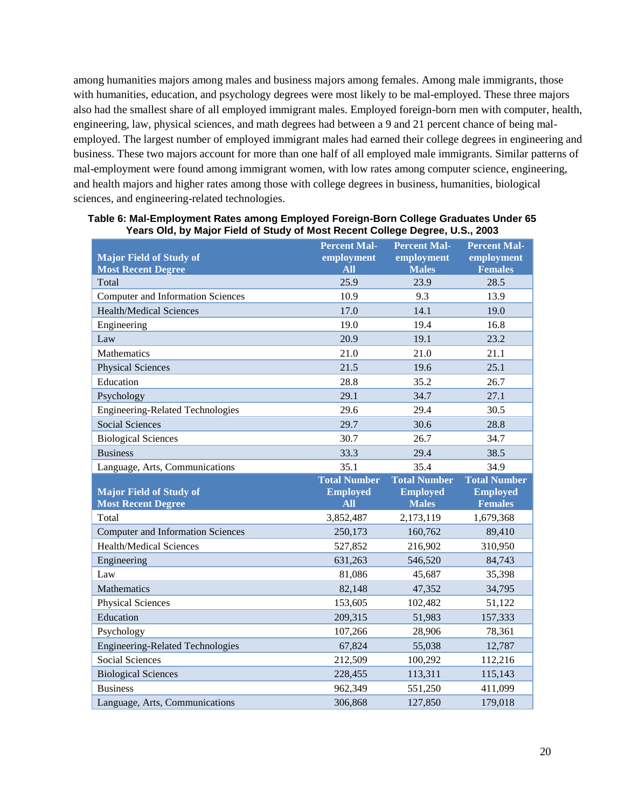among humanities majors among males and business majors among females. Among male immigrants, those with humanities, education, and psychology degrees were most likely to be mal-employed. These three majors also had the smallest share of all employed immigrant males. Employed foreign-born men with computer, health, engineering, law, physical sciences, and math degrees had between a 9 and 21 percent chance of being malemployed. The largest number of employed immigrant males had earned their college degrees in engineering and business. These two majors account for more than one half of all employed male immigrants. Similar patterns of mal-employment were found among immigrant women, with low rates among computer science, engineering, and health majors and higher rates among those with college degrees in business, humanities, biological sciences, and engineering-related technologies.

|                                          | <b>Percent Mal-</b> | <b>Percent Mal-</b> | <b>Percent Mal-</b> |
|------------------------------------------|---------------------|---------------------|---------------------|
| <b>Major Field of Study of</b>           | employment          | employment          | employment          |
| <b>Most Recent Degree</b>                | <b>All</b>          | <b>Males</b>        | <b>Females</b>      |
| Total                                    | 25.9                | 23.9                | 28.5                |
| Computer and Information Sciences        | 10.9                | 9.3                 | 13.9                |
| <b>Health/Medical Sciences</b>           | 17.0                | 14.1                | 19.0                |
| Engineering                              | 19.0                | 19.4                | 16.8                |
| Law                                      | 20.9                | 19.1                | 23.2                |
| Mathematics                              | 21.0                | 21.0                | 21.1                |
| <b>Physical Sciences</b>                 | 21.5                | 19.6                | 25.1                |
| Education                                | 28.8                | 35.2                | 26.7                |
| Psychology                               | 29.1                | 34.7                | 27.1                |
| <b>Engineering-Related Technologies</b>  | 29.6                | 29.4                | 30.5                |
| <b>Social Sciences</b>                   | 29.7                | 30.6                | 28.8                |
| <b>Biological Sciences</b>               | 30.7                | 26.7                | 34.7                |
| <b>Business</b>                          | 33.3                | 29.4                | 38.5                |
| Language, Arts, Communications           | 35.1                | 35.4                | 34.9                |
|                                          |                     |                     |                     |
|                                          | <b>Total Number</b> | <b>Total Number</b> | <b>Total Number</b> |
| <b>Major Field of Study of</b>           | <b>Employed</b>     | <b>Employed</b>     | <b>Employed</b>     |
| <b>Most Recent Degree</b>                | <b>All</b>          | <b>Males</b>        | <b>Females</b>      |
| Total                                    | 3,852,487           | 2,173,119           | 1,679,368           |
| <b>Computer and Information Sciences</b> | 250,173             | 160,762             | 89,410              |
| <b>Health/Medical Sciences</b>           | 527,852             | 216,902             | 310,950             |
| Engineering                              | 631,263             | 546,520             | 84,743              |
| Law                                      | 81,086              | 45,687              | 35,398              |
| Mathematics                              | 82,148              | 47,352              | 34,795              |
| <b>Physical Sciences</b>                 | 153,605             | 102,482             | 51,122              |
| Education                                | 209,315             | 51,983              | 157,333             |
| Psychology                               | 107,266             | 28,906              | 78,361              |
| <b>Engineering-Related Technologies</b>  | 67,824              | 55,038              | 12,787              |
| <b>Social Sciences</b>                   | 212,509             | 100,292             | 112,216             |
| <b>Biological Sciences</b>               | 228,455             | 113,311             | 115,143             |
| <b>Business</b>                          | 962,349             | 551,250             | 411,099             |

#### **Table 6: Mal-Employment Rates among Employed Foreign-Born College Graduates Under 65 Years Old, by Major Field of Study of Most Recent College Degree, U.S., 2003**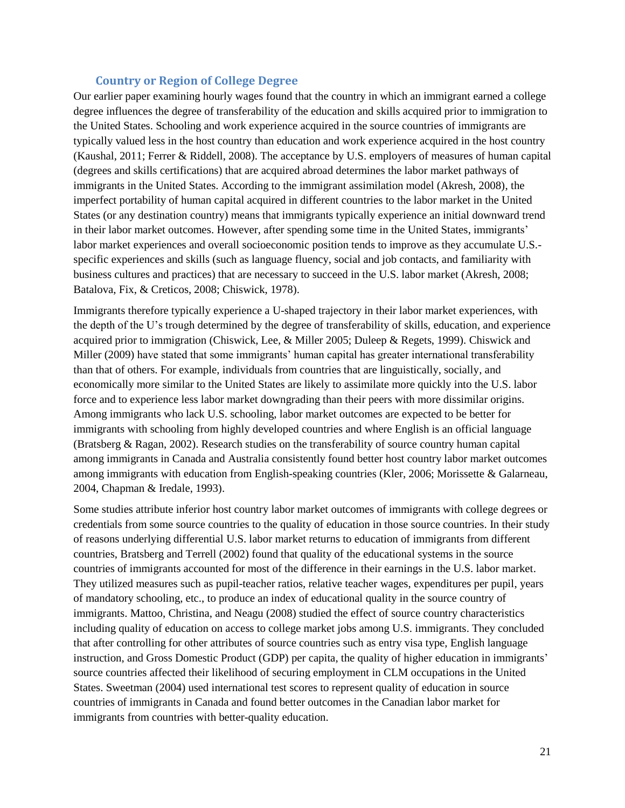#### **Country or Region of College Degree**

<span id="page-23-0"></span>Our earlier paper examining hourly wages found that the country in which an immigrant earned a college degree influences the degree of transferability of the education and skills acquired prior to immigration to the United States. Schooling and work experience acquired in the source countries of immigrants are typically valued less in the host country than education and work experience acquired in the host country (Kaushal, 2011; Ferrer & Riddell, 2008). The acceptance by U.S. employers of measures of human capital (degrees and skills certifications) that are acquired abroad determines the labor market pathways of immigrants in the United States. According to the immigrant assimilation model (Akresh, 2008), the imperfect portability of human capital acquired in different countries to the labor market in the United States (or any destination country) means that immigrants typically experience an initial downward trend in their labor market outcomes. However, after spending some time in the United States, immigrants' labor market experiences and overall socioeconomic position tends to improve as they accumulate U.S. specific experiences and skills (such as language fluency, social and job contacts, and familiarity with business cultures and practices) that are necessary to succeed in the U.S. labor market (Akresh, 2008; Batalova, Fix, & Creticos, 2008; Chiswick, 1978).

Immigrants therefore typically experience a U-shaped trajectory in their labor market experiences, with the depth of the U's trough determined by the degree of transferability of skills, education, and experience acquired prior to immigration (Chiswick, Lee, & Miller 2005; Duleep & Regets, 1999). Chiswick and Miller (2009) have stated that some immigrants' human capital has greater international transferability than that of others. For example, individuals from countries that are linguistically, socially, and economically more similar to the United States are likely to assimilate more quickly into the U.S. labor force and to experience less labor market downgrading than their peers with more dissimilar origins. Among immigrants who lack U.S. schooling, labor market outcomes are expected to be better for immigrants with schooling from highly developed countries and where English is an official language (Bratsberg & Ragan, 2002). Research studies on the transferability of source country human capital among immigrants in Canada and Australia consistently found better host country labor market outcomes among immigrants with education from English-speaking countries (Kler, 2006; Morissette & Galarneau, 2004, Chapman & Iredale, 1993).

Some studies attribute inferior host country labor market outcomes of immigrants with college degrees or credentials from some source countries to the quality of education in those source countries. In their study of reasons underlying differential U.S. labor market returns to education of immigrants from different countries, Bratsberg and Terrell (2002) found that quality of the educational systems in the source countries of immigrants accounted for most of the difference in their earnings in the U.S. labor market. They utilized measures such as pupil-teacher ratios, relative teacher wages, expenditures per pupil, years of mandatory schooling, etc., to produce an index of educational quality in the source country of immigrants. Mattoo, Christina, and Neagu (2008) studied the effect of source country characteristics including quality of education on access to college market jobs among U.S. immigrants. They concluded that after controlling for other attributes of source countries such as entry visa type, English language instruction, and Gross Domestic Product (GDP) per capita, the quality of higher education in immigrants' source countries affected their likelihood of securing employment in CLM occupations in the United States. Sweetman (2004) used international test scores to represent quality of education in source countries of immigrants in Canada and found better outcomes in the Canadian labor market for immigrants from countries with better-quality education.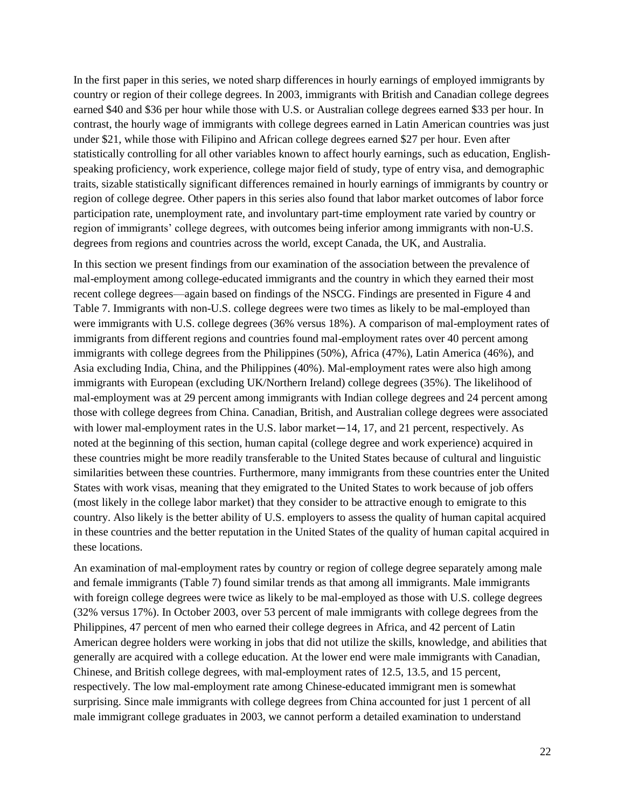In the first paper in this series, we noted sharp differences in hourly earnings of employed immigrants by country or region of their college degrees. In 2003, immigrants with British and Canadian college degrees earned \$40 and \$36 per hour while those with U.S. or Australian college degrees earned \$33 per hour. In contrast, the hourly wage of immigrants with college degrees earned in Latin American countries was just under \$21, while those with Filipino and African college degrees earned \$27 per hour. Even after statistically controlling for all other variables known to affect hourly earnings, such as education, Englishspeaking proficiency, work experience, college major field of study, type of entry visa, and demographic traits, sizable statistically significant differences remained in hourly earnings of immigrants by country or region of college degree. Other papers in this series also found that labor market outcomes of labor force participation rate, unemployment rate, and involuntary part-time employment rate varied by country or region of immigrants' college degrees, with outcomes being inferior among immigrants with non-U.S. degrees from regions and countries across the world, except Canada, the UK, and Australia.

In this section we present findings from our examination of the association between the prevalence of mal-employment among college-educated immigrants and the country in which they earned their most recent college degrees—again based on findings of the NSCG. Findings are presented in Figure 4 and Table 7. Immigrants with non-U.S. college degrees were two times as likely to be mal-employed than were immigrants with U.S. college degrees (36% versus 18%). A comparison of mal-employment rates of immigrants from different regions and countries found mal-employment rates over 40 percent among immigrants with college degrees from the Philippines (50%), Africa (47%), Latin America (46%), and Asia excluding India, China, and the Philippines (40%). Mal-employment rates were also high among immigrants with European (excluding UK/Northern Ireland) college degrees (35%). The likelihood of mal-employment was at 29 percent among immigrants with Indian college degrees and 24 percent among those with college degrees from China. Canadian, British, and Australian college degrees were associated with lower mal-employment rates in the U.S. labor market—14, 17, and 21 percent, respectively. As noted at the beginning of this section, human capital (college degree and work experience) acquired in these countries might be more readily transferable to the United States because of cultural and linguistic similarities between these countries. Furthermore, many immigrants from these countries enter the United States with work visas, meaning that they emigrated to the United States to work because of job offers (most likely in the college labor market) that they consider to be attractive enough to emigrate to this country. Also likely is the better ability of U.S. employers to assess the quality of human capital acquired in these countries and the better reputation in the United States of the quality of human capital acquired in these locations.

An examination of mal-employment rates by country or region of college degree separately among male and female immigrants (Table 7) found similar trends as that among all immigrants. Male immigrants with foreign college degrees were twice as likely to be mal-employed as those with U.S. college degrees (32% versus 17%). In October 2003, over 53 percent of male immigrants with college degrees from the Philippines, 47 percent of men who earned their college degrees in Africa, and 42 percent of Latin American degree holders were working in jobs that did not utilize the skills, knowledge, and abilities that generally are acquired with a college education. At the lower end were male immigrants with Canadian, Chinese, and British college degrees, with mal-employment rates of 12.5, 13.5, and 15 percent, respectively. The low mal-employment rate among Chinese-educated immigrant men is somewhat surprising. Since male immigrants with college degrees from China accounted for just 1 percent of all male immigrant college graduates in 2003, we cannot perform a detailed examination to understand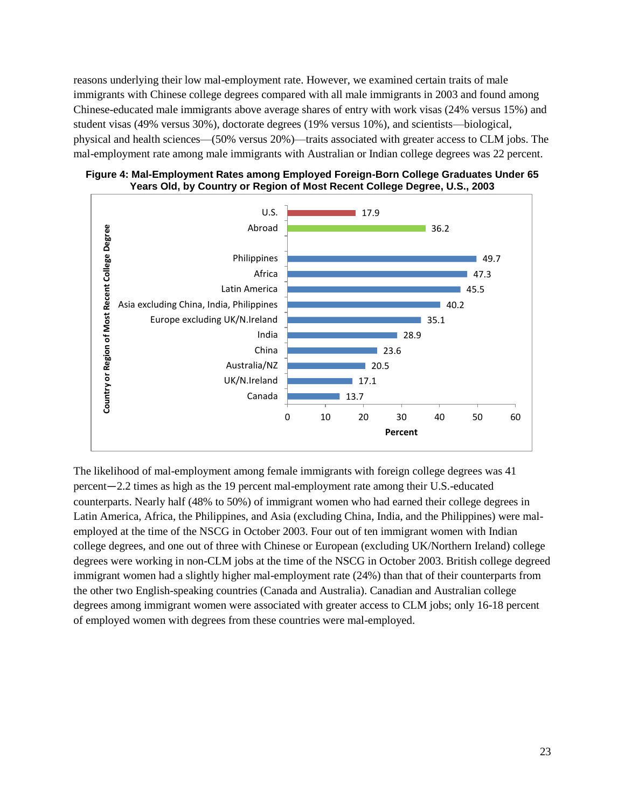reasons underlying their low mal-employment rate. However, we examined certain traits of male immigrants with Chinese college degrees compared with all male immigrants in 2003 and found among Chinese-educated male immigrants above average shares of entry with work visas (24% versus 15%) and student visas (49% versus 30%), doctorate degrees (19% versus 10%), and scientists—biological, physical and health sciences—(50% versus 20%)—traits associated with greater access to CLM jobs. The mal-employment rate among male immigrants with Australian or Indian college degrees was 22 percent.

**Figure 4: Mal-Employment Rates among Employed Foreign-Born College Graduates Under 65 Years Old, by Country or Region of Most Recent College Degree, U.S., 2003** 



The likelihood of mal-employment among female immigrants with foreign college degrees was 41 percent―2.2 times as high as the 19 percent mal-employment rate among their U.S.-educated counterparts. Nearly half (48% to 50%) of immigrant women who had earned their college degrees in Latin America, Africa, the Philippines, and Asia (excluding China, India, and the Philippines) were malemployed at the time of the NSCG in October 2003. Four out of ten immigrant women with Indian college degrees, and one out of three with Chinese or European (excluding UK/Northern Ireland) college degrees were working in non-CLM jobs at the time of the NSCG in October 2003. British college degreed immigrant women had a slightly higher mal-employment rate (24%) than that of their counterparts from the other two English-speaking countries (Canada and Australia). Canadian and Australian college degrees among immigrant women were associated with greater access to CLM jobs; only 16-18 percent of employed women with degrees from these countries were mal-employed.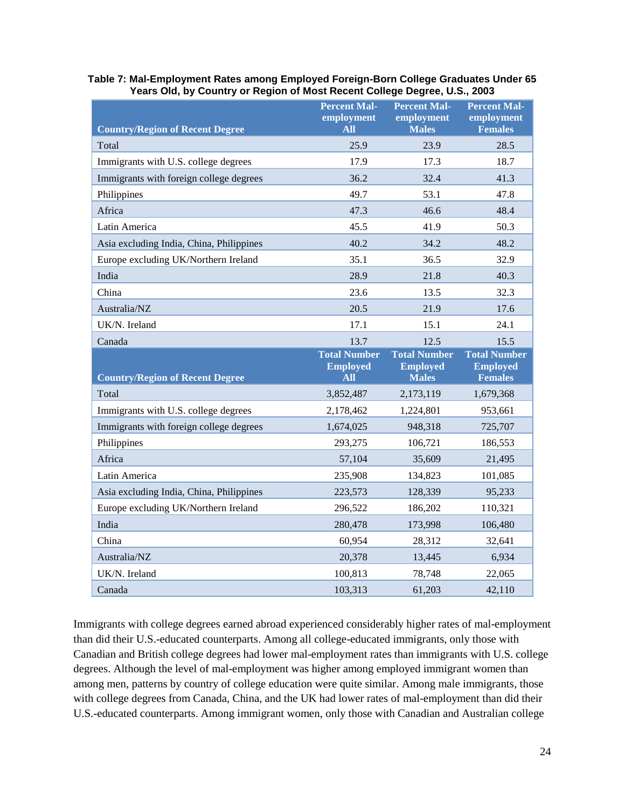| <b>Country/Region of Recent Degree</b>   | <b>Percent Mal-</b><br>employment<br><b>All</b> | <b>Percent Mal-</b><br>employment<br><b>Males</b> | <b>Percent Mal-</b><br>employment<br><b>Females</b> |
|------------------------------------------|-------------------------------------------------|---------------------------------------------------|-----------------------------------------------------|
| Total                                    | 25.9                                            | 23.9                                              | 28.5                                                |
| Immigrants with U.S. college degrees     | 17.9                                            | 17.3                                              | 18.7                                                |
| Immigrants with foreign college degrees  | 36.2                                            | 32.4                                              | 41.3                                                |
| Philippines                              | 49.7                                            | 53.1                                              | 47.8                                                |
| Africa                                   | 47.3                                            | 46.6                                              | 48.4                                                |
| Latin America                            | 45.5                                            | 41.9                                              | 50.3                                                |
| Asia excluding India, China, Philippines | 40.2                                            | 34.2                                              | 48.2                                                |
| Europe excluding UK/Northern Ireland     | 35.1                                            | 36.5                                              | 32.9                                                |
| India                                    | 28.9                                            | 21.8                                              | 40.3                                                |
| China                                    | 23.6                                            | 13.5                                              | 32.3                                                |
| Australia/NZ                             | 20.5                                            | 21.9                                              | 17.6                                                |
| UK/N. Ireland                            | 17.1                                            | 15.1                                              | 24.1                                                |
| Canada                                   | 13.7                                            | 12.5                                              | 15.5                                                |
|                                          |                                                 |                                                   |                                                     |
|                                          | <b>Total Number</b><br><b>Employed</b>          | <b>Total Number</b><br><b>Employed</b>            | <b>Total Number</b><br><b>Employed</b>              |
| <b>Country/Region of Recent Degree</b>   | <b>All</b>                                      | <b>Males</b>                                      | <b>Females</b>                                      |
| Total                                    | 3,852,487                                       | 2,173,119                                         | 1,679,368                                           |
| Immigrants with U.S. college degrees     | 2,178,462                                       | 1,224,801                                         | 953,661                                             |
| Immigrants with foreign college degrees  | 1,674,025                                       | 948,318                                           | 725,707                                             |
| Philippines                              | 293,275                                         | 106,721                                           | 186,553                                             |
| Africa<br>Latin America                  | 57,104                                          | 35,609<br>134,823                                 | 21,495                                              |
| Asia excluding India, China, Philippines | 235,908<br>223,573                              | 128,339                                           | 101,085<br>95,233                                   |
| Europe excluding UK/Northern Ireland     | 296,522                                         | 186,202                                           | 110,321                                             |
| India                                    | 280,478                                         | 173,998                                           | 106,480                                             |
| China                                    | 60,954                                          | 28,312                                            | 32,641                                              |
| Australia/NZ                             | 20,378                                          | 13,445                                            | 6,934                                               |
| UK/N. Ireland                            | 100,813                                         | 78,748                                            | 22,065                                              |

**Table 7: Mal-Employment Rates among Employed Foreign-Born College Graduates Under 65 Years Old, by Country or Region of Most Recent College Degree, U.S., 2003**

Immigrants with college degrees earned abroad experienced considerably higher rates of mal-employment than did their U.S.-educated counterparts. Among all college-educated immigrants, only those with Canadian and British college degrees had lower mal-employment rates than immigrants with U.S. college degrees. Although the level of mal-employment was higher among employed immigrant women than among men, patterns by country of college education were quite similar. Among male immigrants, those with college degrees from Canada, China, and the UK had lower rates of mal-employment than did their U.S.-educated counterparts. Among immigrant women, only those with Canadian and Australian college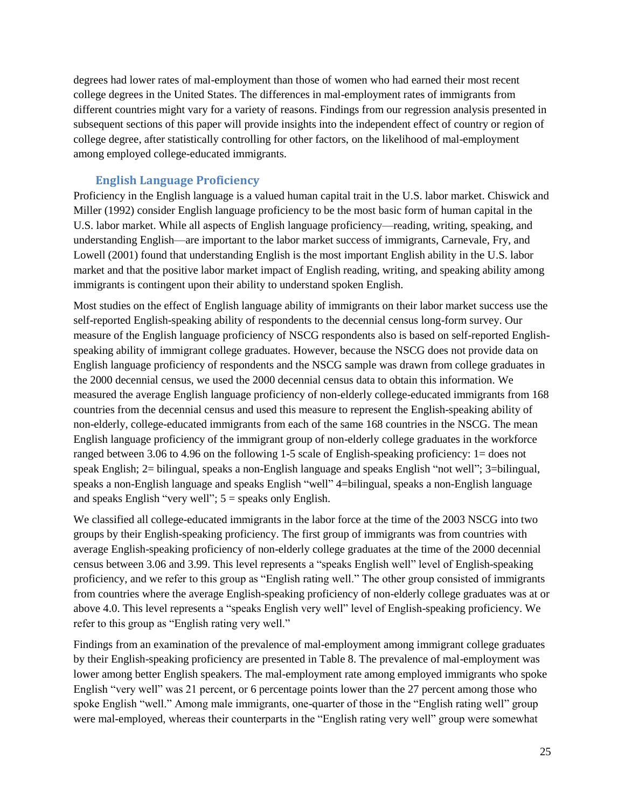degrees had lower rates of mal-employment than those of women who had earned their most recent college degrees in the United States. The differences in mal-employment rates of immigrants from different countries might vary for a variety of reasons. Findings from our regression analysis presented in subsequent sections of this paper will provide insights into the independent effect of country or region of college degree, after statistically controlling for other factors, on the likelihood of mal-employment among employed college-educated immigrants.

## **English Language Proficiency**

<span id="page-27-0"></span>Proficiency in the English language is a valued human capital trait in the U.S. labor market. Chiswick and Miller (1992) consider English language proficiency to be the most basic form of human capital in the U.S. labor market. While all aspects of English language proficiency—reading, writing, speaking, and understanding English—are important to the labor market success of immigrants, Carnevale, Fry, and Lowell (2001) found that understanding English is the most important English ability in the U.S. labor market and that the positive labor market impact of English reading, writing, and speaking ability among immigrants is contingent upon their ability to understand spoken English.

Most studies on the effect of English language ability of immigrants on their labor market success use the self-reported English-speaking ability of respondents to the decennial census long-form survey. Our measure of the English language proficiency of NSCG respondents also is based on self-reported Englishspeaking ability of immigrant college graduates. However, because the NSCG does not provide data on English language proficiency of respondents and the NSCG sample was drawn from college graduates in the 2000 decennial census, we used the 2000 decennial census data to obtain this information. We measured the average English language proficiency of non-elderly college-educated immigrants from 168 countries from the decennial census and used this measure to represent the English-speaking ability of non-elderly, college-educated immigrants from each of the same 168 countries in the NSCG. The mean English language proficiency of the immigrant group of non-elderly college graduates in the workforce ranged between 3.06 to 4.96 on the following 1-5 scale of English-speaking proficiency: 1= does not speak English; 2= bilingual, speaks a non-English language and speaks English "not well"; 3=bilingual, speaks a non-English language and speaks English "well" 4=bilingual, speaks a non-English language and speaks English "very well";  $5 =$  speaks only English.

We classified all college-educated immigrants in the labor force at the time of the 2003 NSCG into two groups by their English-speaking proficiency. The first group of immigrants was from countries with average English-speaking proficiency of non-elderly college graduates at the time of the 2000 decennial census between 3.06 and 3.99. This level represents a "speaks English well" level of English-speaking proficiency, and we refer to this group as "English rating well." The other group consisted of immigrants from countries where the average English-speaking proficiency of non-elderly college graduates was at or above 4.0. This level represents a "speaks English very well" level of English-speaking proficiency. We refer to this group as "English rating very well."

Findings from an examination of the prevalence of mal-employment among immigrant college graduates by their English-speaking proficiency are presented in Table 8. The prevalence of mal-employment was lower among better English speakers. The mal-employment rate among employed immigrants who spoke English "very well" was 21 percent, or 6 percentage points lower than the 27 percent among those who spoke English "well." Among male immigrants, one-quarter of those in the "English rating well" group were mal-employed, whereas their counterparts in the "English rating very well" group were somewhat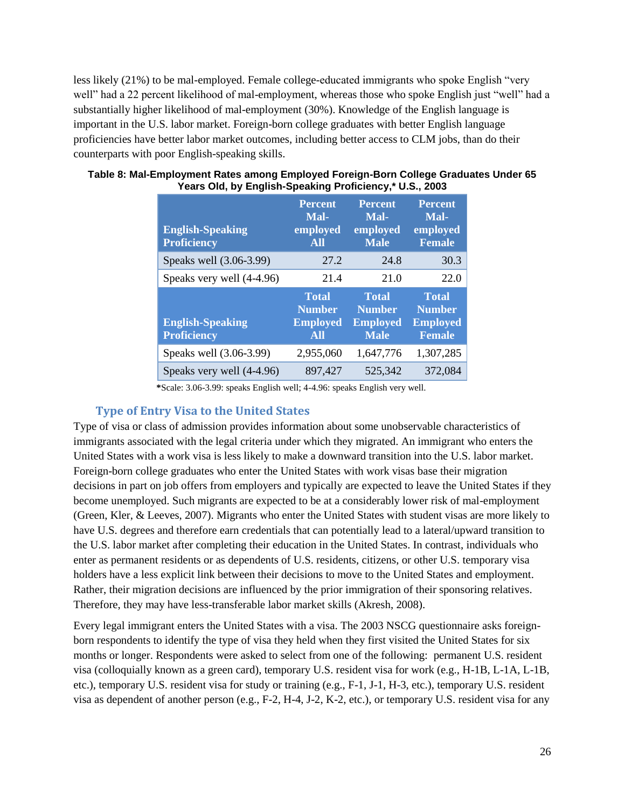less likely (21%) to be mal-employed. Female college-educated immigrants who spoke English "very well" had a 22 percent likelihood of mal-employment, whereas those who spoke English just "well" had a substantially higher likelihood of mal-employment (30%). Knowledge of the English language is important in the U.S. labor market. Foreign-born college graduates with better English language proficiencies have better labor market outcomes, including better access to CLM jobs, than do their counterparts with poor English-speaking skills.

| <b>English-Speaking</b><br><b>Proficiency</b> | <b>Percent</b><br>Mal-<br>employed<br><b>All</b> | <b>Percent</b><br>Mal-<br>employed<br><b>Male</b> | <b>Percent</b><br>Mal-<br>employed<br><b>Female</b> |
|-----------------------------------------------|--------------------------------------------------|---------------------------------------------------|-----------------------------------------------------|
| Speaks well (3.06-3.99)                       | 27.2                                             | 24.8                                              | 30.3                                                |
| Speaks very well (4-4.96)                     | 21.4                                             | 21.0                                              | 22.0                                                |
|                                               | <b>Total</b>                                     | <b>Total</b>                                      | <b>Total</b>                                        |
| <b>English-Speaking</b><br><b>Proficiency</b> | <b>Number</b><br><b>Employed</b><br><b>All</b>   | <b>Number</b><br><b>Employed</b><br><b>Male</b>   | <b>Number</b><br><b>Employed</b><br><b>Female</b>   |
| Speaks well (3.06-3.99)                       | 2,955,060                                        | 1,647,776                                         | 1,307,285                                           |

#### **Table 8: Mal-Employment Rates among Employed Foreign-Born College Graduates Under 65 Years Old, by English-Speaking Proficiency,\* U.S., 2003**

**\***Scale: 3.06-3.99: speaks English well; 4-4.96: speaks English very well.

## <span id="page-28-0"></span>**Type of Entry Visa to the United States**

Type of visa or class of admission provides information about some unobservable characteristics of immigrants associated with the legal criteria under which they migrated. An immigrant who enters the United States with a work visa is less likely to make a downward transition into the U.S. labor market. Foreign-born college graduates who enter the United States with work visas base their migration decisions in part on job offers from employers and typically are expected to leave the United States if they become unemployed. Such migrants are expected to be at a considerably lower risk of mal-employment (Green, Kler, & Leeves, 2007). Migrants who enter the United States with student visas are more likely to have U.S. degrees and therefore earn credentials that can potentially lead to a lateral/upward transition to the U.S. labor market after completing their education in the United States. In contrast, individuals who enter as permanent residents or as dependents of U.S. residents, citizens, or other U.S. temporary visa holders have a less explicit link between their decisions to move to the United States and employment. Rather, their migration decisions are influenced by the prior immigration of their sponsoring relatives. Therefore, they may have less-transferable labor market skills (Akresh, 2008).

Every legal immigrant enters the United States with a visa. The 2003 NSCG questionnaire asks foreignborn respondents to identify the type of visa they held when they first visited the United States for six months or longer. Respondents were asked to select from one of the following: permanent U.S. resident visa (colloquially known as a green card), temporary U.S. resident visa for work (e.g., H-1B, L-1A, L-1B, etc.), temporary U.S. resident visa for study or training (e.g., F-1, J-1, H-3, etc.), temporary U.S. resident visa as dependent of another person (e.g., F-2, H-4, J-2, K-2, etc.), or temporary U.S. resident visa for any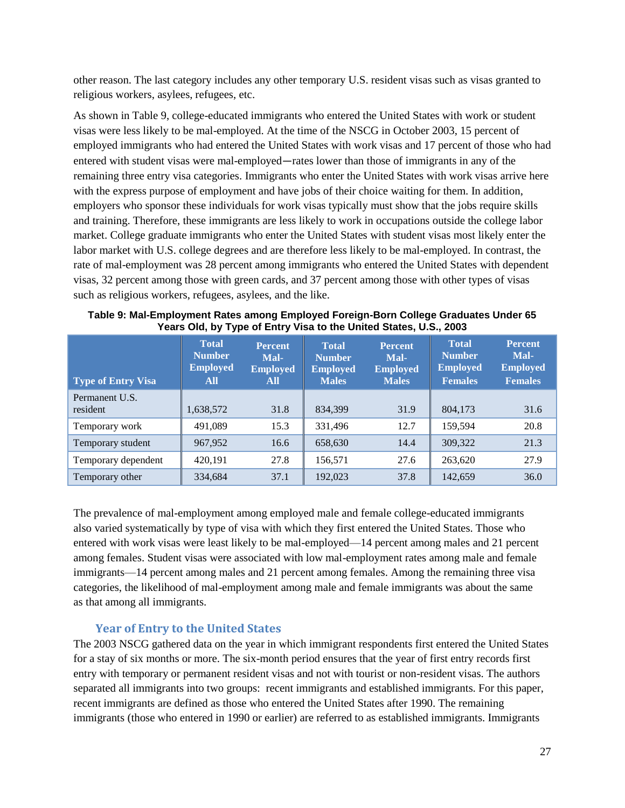other reason. The last category includes any other temporary U.S. resident visas such as visas granted to religious workers, asylees, refugees, etc.

As shown in Table 9, college-educated immigrants who entered the United States with work or student visas were less likely to be mal-employed. At the time of the NSCG in October 2003, 15 percent of employed immigrants who had entered the United States with work visas and 17 percent of those who had entered with student visas were mal-employed―rates lower than those of immigrants in any of the remaining three entry visa categories. Immigrants who enter the United States with work visas arrive here with the express purpose of employment and have jobs of their choice waiting for them. In addition, employers who sponsor these individuals for work visas typically must show that the jobs require skills and training. Therefore, these immigrants are less likely to work in occupations outside the college labor market. College graduate immigrants who enter the United States with student visas most likely enter the labor market with U.S. college degrees and are therefore less likely to be mal-employed. In contrast, the rate of mal-employment was 28 percent among immigrants who entered the United States with dependent visas, 32 percent among those with green cards, and 37 percent among those with other types of visas such as religious workers, refugees, asylees, and the like.

| <b>Type of Entry Visa</b>  | <b>Total</b><br><b>Number</b><br><b>Employed</b><br><b>All</b> | <b>Percent</b><br>Mal-<br><b>Employed</b><br>All | <b>Total</b><br><b>Number</b><br><b>Employed</b><br><b>Males</b> | <b>Percent</b><br>Mal-<br><b>Employed</b><br><b>Males</b> | <b>Total</b><br><b>Number</b><br><b>Employed</b><br><b>Females</b> | <b>Percent</b><br>Mal-<br><b>Employed</b><br><b>Females</b> |
|----------------------------|----------------------------------------------------------------|--------------------------------------------------|------------------------------------------------------------------|-----------------------------------------------------------|--------------------------------------------------------------------|-------------------------------------------------------------|
| Permanent U.S.<br>resident | 1,638,572                                                      | 31.8                                             | 834,399                                                          | 31.9                                                      | 804,173                                                            | 31.6                                                        |
| Temporary work             | 491,089                                                        | 15.3                                             | 331,496                                                          | 12.7                                                      | 159,594                                                            | 20.8                                                        |
| Temporary student          | 967,952                                                        | 16.6                                             | 658,630                                                          | 14.4                                                      | 309.322                                                            | 21.3                                                        |
| Temporary dependent        | 420,191                                                        | 27.8                                             | 156,571                                                          | 27.6                                                      | 263,620                                                            | 27.9                                                        |
| Temporary other            | 334,684                                                        | 37.1                                             | 192,023                                                          | 37.8                                                      | 142,659                                                            | 36.0                                                        |

**Table 9: Mal-Employment Rates among Employed Foreign-Born College Graduates Under 65 Years Old, by Type of Entry Visa to the United States, U.S., 2003**

The prevalence of mal-employment among employed male and female college-educated immigrants also varied systematically by type of visa with which they first entered the United States. Those who entered with work visas were least likely to be mal-employed—14 percent among males and 21 percent among females. Student visas were associated with low mal-employment rates among male and female immigrants—14 percent among males and 21 percent among females. Among the remaining three visa categories, the likelihood of mal-employment among male and female immigrants was about the same as that among all immigrants.

## **Year of Entry to the United States**

<span id="page-29-0"></span>The 2003 NSCG gathered data on the year in which immigrant respondents first entered the United States for a stay of six months or more. The six-month period ensures that the year of first entry records first entry with temporary or permanent resident visas and not with tourist or non-resident visas. The authors separated all immigrants into two groups: recent immigrants and established immigrants. For this paper, recent immigrants are defined as those who entered the United States after 1990. The remaining immigrants (those who entered in 1990 or earlier) are referred to as established immigrants. Immigrants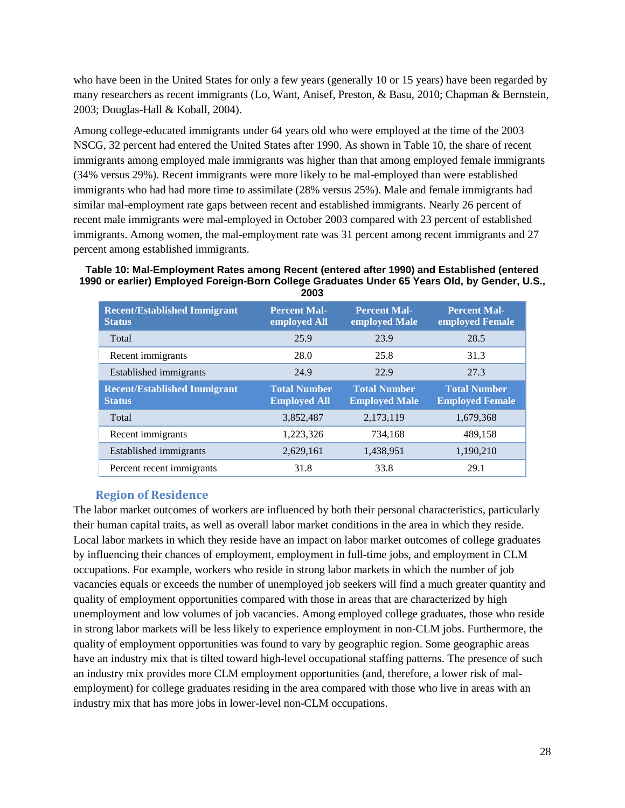who have been in the United States for only a few years (generally 10 or 15 years) have been regarded by many researchers as recent immigrants (Lo, Want, Anisef, Preston, & Basu, 2010; Chapman & Bernstein, 2003; Douglas-Hall & Koball, 2004).

Among college-educated immigrants under 64 years old who were employed at the time of the 2003 NSCG, 32 percent had entered the United States after 1990. As shown in Table 10, the share of recent immigrants among employed male immigrants was higher than that among employed female immigrants (34% versus 29%). Recent immigrants were more likely to be mal-employed than were established immigrants who had had more time to assimilate (28% versus 25%). Male and female immigrants had similar mal-employment rate gaps between recent and established immigrants. Nearly 26 percent of recent male immigrants were mal-employed in October 2003 compared with 23 percent of established immigrants. Among women, the mal-employment rate was 31 percent among recent immigrants and 27 percent among established immigrants.

#### **Table 10: Mal-Employment Rates among Recent (entered after 1990) and Established (entered 1990 or earlier) Employed Foreign-Born College Graduates Under 65 Years Old, by Gender, U.S., 2003**

| <b>Recent/Established Immigrant</b><br><b>Status</b> | <b>Percent Mal-</b><br>employed All        | <b>Percent Mal-</b><br>employed Male        | <b>Percent Mal-</b><br>employed Female        |
|------------------------------------------------------|--------------------------------------------|---------------------------------------------|-----------------------------------------------|
| Total                                                | 25.9                                       | 23.9                                        | 28.5                                          |
| Recent immigrants                                    | 28.0                                       | 25.8                                        | 31.3                                          |
| Established immigrants                               | 24.9                                       | 22.9                                        | 27.3                                          |
| <b>Recent/Established Immigrant</b><br><b>Status</b> | <b>Total Number</b><br><b>Employed All</b> | <b>Total Number</b><br><b>Employed Male</b> | <b>Total Number</b><br><b>Employed Female</b> |
| Total                                                | 3,852,487                                  | 2,173,119                                   | 1,679,368                                     |
| Recent immigrants                                    | 1,223,326                                  | 734,168                                     | 489,158                                       |
| Established immigrants                               | 2,629,161                                  | 1,438,951                                   | 1,190,210                                     |
| Percent recent immigrants                            | 31.8                                       | 33.8                                        | 29.1                                          |

## **Region of Residence**

<span id="page-30-0"></span>The labor market outcomes of workers are influenced by both their personal characteristics, particularly their human capital traits, as well as overall labor market conditions in the area in which they reside. Local labor markets in which they reside have an impact on labor market outcomes of college graduates by influencing their chances of employment, employment in full-time jobs, and employment in CLM occupations. For example, workers who reside in strong labor markets in which the number of job vacancies equals or exceeds the number of unemployed job seekers will find a much greater quantity and quality of employment opportunities compared with those in areas that are characterized by high unemployment and low volumes of job vacancies. Among employed college graduates, those who reside in strong labor markets will be less likely to experience employment in non-CLM jobs. Furthermore, the quality of employment opportunities was found to vary by geographic region. Some geographic areas have an industry mix that is tilted toward high-level occupational staffing patterns. The presence of such an industry mix provides more CLM employment opportunities (and, therefore, a lower risk of malemployment) for college graduates residing in the area compared with those who live in areas with an industry mix that has more jobs in lower-level non-CLM occupations.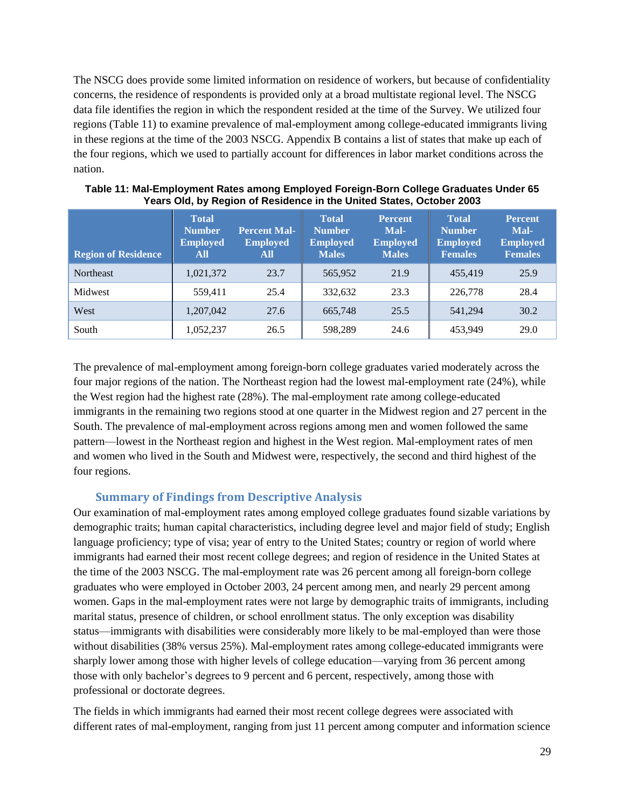The NSCG does provide some limited information on residence of workers, but because of confidentiality concerns, the residence of respondents is provided only at a broad multistate regional level. The NSCG data file identifies the region in which the respondent resided at the time of the Survey. We utilized four regions (Table 11) to examine prevalence of mal-employment among college-educated immigrants living in these regions at the time of the 2003 NSCG. Appendix B contains a list of states that make up each of the four regions, which we used to partially account for differences in labor market conditions across the nation.

| <b>Region of Residence</b> | <b>Total</b><br><b>Number</b><br><b>Employed</b><br>All | <b>Percent Mal-</b><br><b>Employed</b><br>All | <b>Total</b><br><b>Number</b><br><b>Employed</b><br><b>Males</b> | <b>Percent</b><br>Mal-<br><b>Employed</b><br><b>Males</b> | <b>Total</b><br><b>Number</b><br><b>Employed</b><br><b>Females</b> | <b>Percent</b><br>Mal-<br><b>Employed</b><br><b>Females</b> |
|----------------------------|---------------------------------------------------------|-----------------------------------------------|------------------------------------------------------------------|-----------------------------------------------------------|--------------------------------------------------------------------|-------------------------------------------------------------|
| Northeast                  | 1,021,372                                               | 23.7                                          | 565.952                                                          | 21.9                                                      | 455,419                                                            | 25.9                                                        |
| Midwest                    | 559.411                                                 | 25.4                                          | 332.632                                                          | 23.3                                                      | 226,778                                                            | 28.4                                                        |
| West                       | 1.207.042                                               | 27.6                                          | 665,748                                                          | 25.5                                                      | 541.294                                                            | 30.2                                                        |
| South                      | 1,052,237                                               | 26.5                                          | 598,289                                                          | 24.6                                                      | 453,949                                                            | 29.0                                                        |

| Table 11: Mal-Employment Rates among Employed Foreign-Born College Graduates Under 65 |
|---------------------------------------------------------------------------------------|
| Years Old, by Region of Residence in the United States, October 2003                  |

The prevalence of mal-employment among foreign-born college graduates varied moderately across the four major regions of the nation. The Northeast region had the lowest mal-employment rate (24%), while the West region had the highest rate (28%). The mal-employment rate among college-educated immigrants in the remaining two regions stood at one quarter in the Midwest region and 27 percent in the South. The prevalence of mal-employment across regions among men and women followed the same pattern—lowest in the Northeast region and highest in the West region. Mal-employment rates of men and women who lived in the South and Midwest were, respectively, the second and third highest of the four regions.

## **Summary of Findings from Descriptive Analysis**

<span id="page-31-0"></span>Our examination of mal-employment rates among employed college graduates found sizable variations by demographic traits; human capital characteristics, including degree level and major field of study; English language proficiency; type of visa; year of entry to the United States; country or region of world where immigrants had earned their most recent college degrees; and region of residence in the United States at the time of the 2003 NSCG. The mal-employment rate was 26 percent among all foreign-born college graduates who were employed in October 2003, 24 percent among men, and nearly 29 percent among women. Gaps in the mal-employment rates were not large by demographic traits of immigrants, including marital status, presence of children, or school enrollment status. The only exception was disability status—immigrants with disabilities were considerably more likely to be mal-employed than were those without disabilities (38% versus 25%). Mal-employment rates among college-educated immigrants were sharply lower among those with higher levels of college education—varying from 36 percent among those with only bachelor's degrees to 9 percent and 6 percent, respectively, among those with professional or doctorate degrees.

The fields in which immigrants had earned their most recent college degrees were associated with different rates of mal-employment, ranging from just 11 percent among computer and information science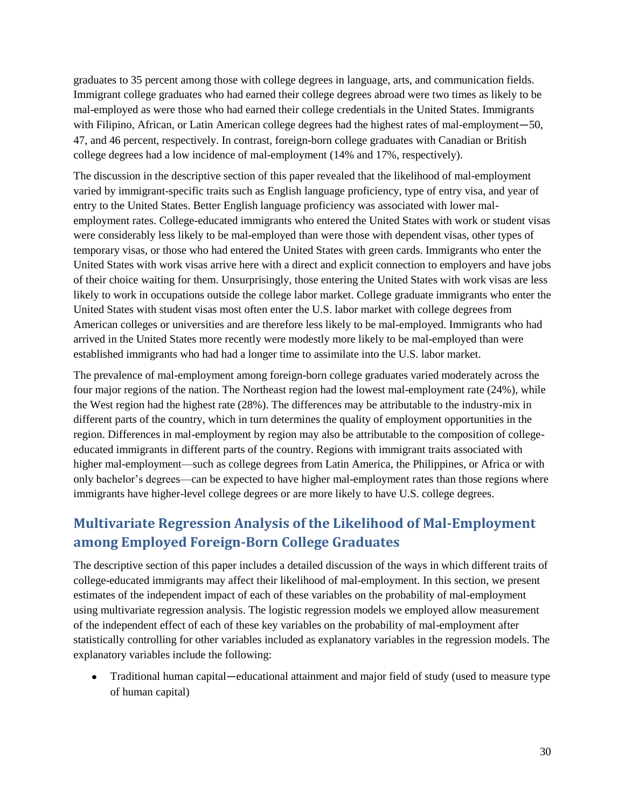graduates to 35 percent among those with college degrees in language, arts, and communication fields. Immigrant college graduates who had earned their college degrees abroad were two times as likely to be mal-employed as were those who had earned their college credentials in the United States. Immigrants with Filipino, African, or Latin American college degrees had the highest rates of mal-employment—50, 47, and 46 percent, respectively. In contrast, foreign-born college graduates with Canadian or British college degrees had a low incidence of mal-employment (14% and 17%, respectively).

The discussion in the descriptive section of this paper revealed that the likelihood of mal-employment varied by immigrant-specific traits such as English language proficiency, type of entry visa, and year of entry to the United States. Better English language proficiency was associated with lower malemployment rates. College-educated immigrants who entered the United States with work or student visas were considerably less likely to be mal-employed than were those with dependent visas, other types of temporary visas, or those who had entered the United States with green cards. Immigrants who enter the United States with work visas arrive here with a direct and explicit connection to employers and have jobs of their choice waiting for them. Unsurprisingly, those entering the United States with work visas are less likely to work in occupations outside the college labor market. College graduate immigrants who enter the United States with student visas most often enter the U.S. labor market with college degrees from American colleges or universities and are therefore less likely to be mal-employed. Immigrants who had arrived in the United States more recently were modestly more likely to be mal-employed than were established immigrants who had had a longer time to assimilate into the U.S. labor market.

The prevalence of mal-employment among foreign-born college graduates varied moderately across the four major regions of the nation. The Northeast region had the lowest mal-employment rate (24%), while the West region had the highest rate (28%). The differences may be attributable to the industry-mix in different parts of the country, which in turn determines the quality of employment opportunities in the region. Differences in mal-employment by region may also be attributable to the composition of collegeeducated immigrants in different parts of the country. Regions with immigrant traits associated with higher mal-employment—such as college degrees from Latin America, the Philippines, or Africa or with only bachelor's degrees—can be expected to have higher mal-employment rates than those regions where immigrants have higher-level college degrees or are more likely to have U.S. college degrees.

# <span id="page-32-0"></span>**Multivariate Regression Analysis of the Likelihood of Mal-Employment among Employed Foreign-Born College Graduates**

The descriptive section of this paper includes a detailed discussion of the ways in which different traits of college-educated immigrants may affect their likelihood of mal-employment. In this section, we present estimates of the independent impact of each of these variables on the probability of mal-employment using multivariate regression analysis. The logistic regression models we employed allow measurement of the independent effect of each of these key variables on the probability of mal-employment after statistically controlling for other variables included as explanatory variables in the regression models. The explanatory variables include the following:

Traditional human capital―educational attainment and major field of study (used to measure type of human capital)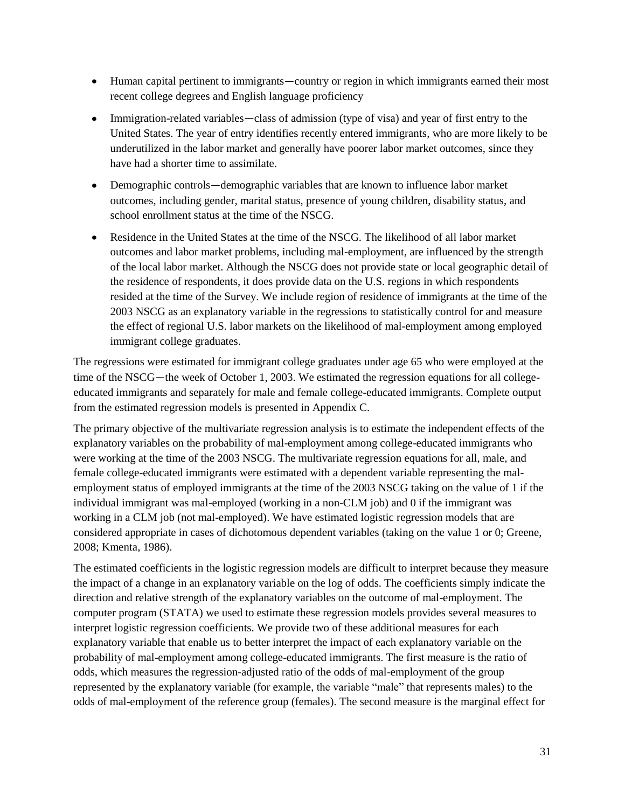- Human capital pertinent to immigrants—country or region in which immigrants earned their most recent college degrees and English language proficiency
- Immigration-related variables—class of admission (type of visa) and year of first entry to the United States. The year of entry identifies recently entered immigrants, who are more likely to be underutilized in the labor market and generally have poorer labor market outcomes, since they have had a shorter time to assimilate.
- Demographic controls―demographic variables that are known to influence labor market outcomes, including gender, marital status, presence of young children, disability status, and school enrollment status at the time of the NSCG.
- Residence in the United States at the time of the NSCG. The likelihood of all labor market  $\bullet$ outcomes and labor market problems, including mal-employment, are influenced by the strength of the local labor market. Although the NSCG does not provide state or local geographic detail of the residence of respondents, it does provide data on the U.S. regions in which respondents resided at the time of the Survey. We include region of residence of immigrants at the time of the 2003 NSCG as an explanatory variable in the regressions to statistically control for and measure the effect of regional U.S. labor markets on the likelihood of mal-employment among employed immigrant college graduates.

The regressions were estimated for immigrant college graduates under age 65 who were employed at the time of the NSCG—the week of October 1, 2003. We estimated the regression equations for all collegeeducated immigrants and separately for male and female college-educated immigrants. Complete output from the estimated regression models is presented in Appendix C.

The primary objective of the multivariate regression analysis is to estimate the independent effects of the explanatory variables on the probability of mal-employment among college-educated immigrants who were working at the time of the 2003 NSCG. The multivariate regression equations for all, male, and female college-educated immigrants were estimated with a dependent variable representing the malemployment status of employed immigrants at the time of the 2003 NSCG taking on the value of 1 if the individual immigrant was mal-employed (working in a non-CLM job) and 0 if the immigrant was working in a CLM job (not mal-employed). We have estimated logistic regression models that are considered appropriate in cases of dichotomous dependent variables (taking on the value 1 or 0; Greene, 2008; Kmenta, 1986).

The estimated coefficients in the logistic regression models are difficult to interpret because they measure the impact of a change in an explanatory variable on the log of odds. The coefficients simply indicate the direction and relative strength of the explanatory variables on the outcome of mal-employment. The computer program (STATA) we used to estimate these regression models provides several measures to interpret logistic regression coefficients. We provide two of these additional measures for each explanatory variable that enable us to better interpret the impact of each explanatory variable on the probability of mal-employment among college-educated immigrants. The first measure is the ratio of odds, which measures the regression-adjusted ratio of the odds of mal-employment of the group represented by the explanatory variable (for example, the variable "male" that represents males) to the odds of mal-employment of the reference group (females). The second measure is the marginal effect for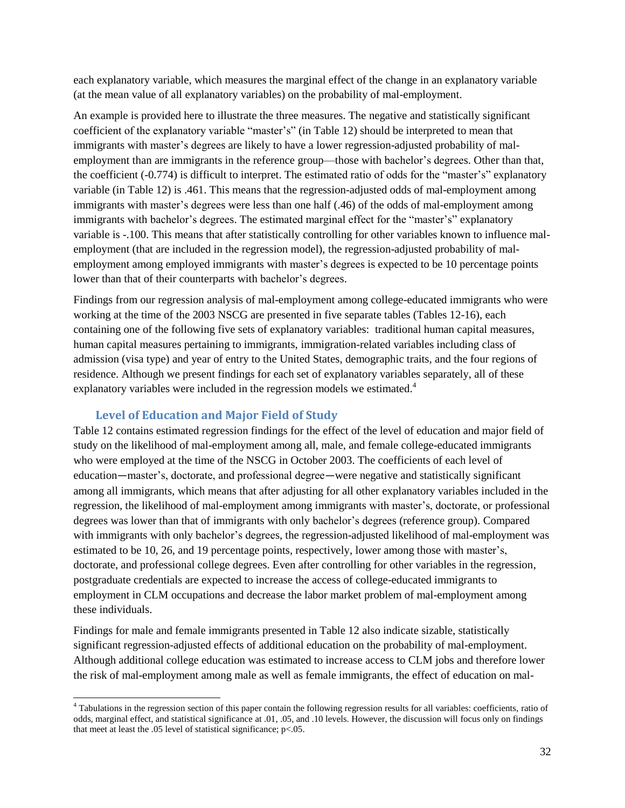each explanatory variable, which measures the marginal effect of the change in an explanatory variable (at the mean value of all explanatory variables) on the probability of mal-employment.

An example is provided here to illustrate the three measures. The negative and statistically significant coefficient of the explanatory variable "master's" (in Table 12) should be interpreted to mean that immigrants with master's degrees are likely to have a lower regression-adjusted probability of malemployment than are immigrants in the reference group—those with bachelor's degrees. Other than that, the coefficient (-0.774) is difficult to interpret. The estimated ratio of odds for the "master's" explanatory variable (in Table 12) is .461. This means that the regression-adjusted odds of mal-employment among immigrants with master's degrees were less than one half (.46) of the odds of mal-employment among immigrants with bachelor's degrees. The estimated marginal effect for the "master's" explanatory variable is -.100. This means that after statistically controlling for other variables known to influence malemployment (that are included in the regression model), the regression-adjusted probability of malemployment among employed immigrants with master's degrees is expected to be 10 percentage points lower than that of their counterparts with bachelor's degrees.

Findings from our regression analysis of mal-employment among college-educated immigrants who were working at the time of the 2003 NSCG are presented in five separate tables (Tables 12-16), each containing one of the following five sets of explanatory variables: traditional human capital measures, human capital measures pertaining to immigrants, immigration-related variables including class of admission (visa type) and year of entry to the United States, demographic traits, and the four regions of residence. Although we present findings for each set of explanatory variables separately, all of these explanatory variables were included in the regression models we estimated.<sup>4</sup>

## **Level of Education and Major Field of Study**

<span id="page-34-0"></span>Table 12 contains estimated regression findings for the effect of the level of education and major field of study on the likelihood of mal-employment among all, male, and female college-educated immigrants who were employed at the time of the NSCG in October 2003. The coefficients of each level of education―master's, doctorate, and professional degree―were negative and statistically significant among all immigrants, which means that after adjusting for all other explanatory variables included in the regression, the likelihood of mal-employment among immigrants with master's, doctorate, or professional degrees was lower than that of immigrants with only bachelor's degrees (reference group). Compared with immigrants with only bachelor's degrees, the regression-adjusted likelihood of mal-employment was estimated to be 10, 26, and 19 percentage points, respectively, lower among those with master's, doctorate, and professional college degrees. Even after controlling for other variables in the regression, postgraduate credentials are expected to increase the access of college-educated immigrants to employment in CLM occupations and decrease the labor market problem of mal-employment among these individuals.

Findings for male and female immigrants presented in Table 12 also indicate sizable, statistically significant regression-adjusted effects of additional education on the probability of mal-employment. Although additional college education was estimated to increase access to CLM jobs and therefore lower the risk of mal-employment among male as well as female immigrants, the effect of education on mal-

Tabulations in the regression section of this paper contain the following regression results for all variables: coefficients, ratio of odds, marginal effect, and statistical significance at .01, .05, and .10 levels. However, the discussion will focus only on findings that meet at least the .05 level of statistical significance;  $p<0.05$ .  $\frac{1}{4}$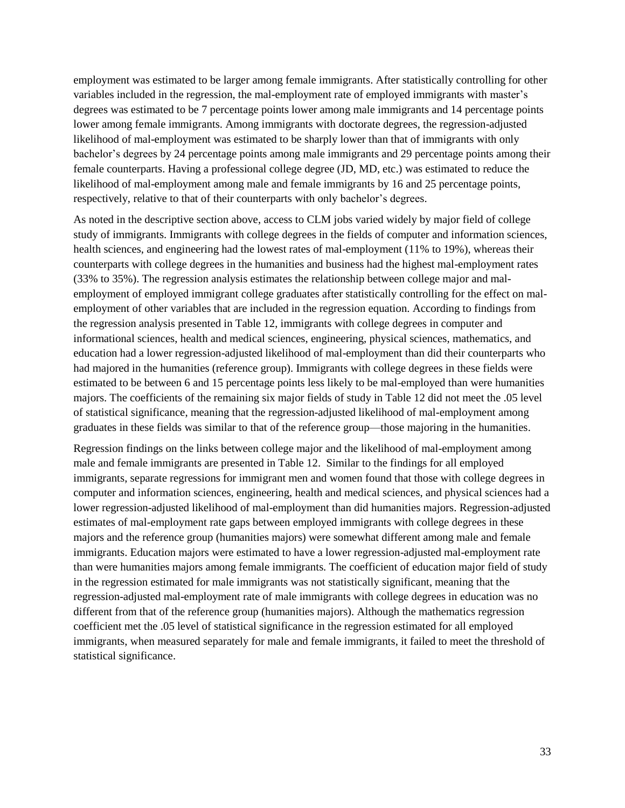employment was estimated to be larger among female immigrants. After statistically controlling for other variables included in the regression, the mal-employment rate of employed immigrants with master's degrees was estimated to be 7 percentage points lower among male immigrants and 14 percentage points lower among female immigrants. Among immigrants with doctorate degrees, the regression-adjusted likelihood of mal-employment was estimated to be sharply lower than that of immigrants with only bachelor's degrees by 24 percentage points among male immigrants and 29 percentage points among their female counterparts. Having a professional college degree (JD, MD, etc.) was estimated to reduce the likelihood of mal-employment among male and female immigrants by 16 and 25 percentage points, respectively, relative to that of their counterparts with only bachelor's degrees.

As noted in the descriptive section above, access to CLM jobs varied widely by major field of college study of immigrants. Immigrants with college degrees in the fields of computer and information sciences, health sciences, and engineering had the lowest rates of mal-employment (11% to 19%), whereas their counterparts with college degrees in the humanities and business had the highest mal-employment rates (33% to 35%). The regression analysis estimates the relationship between college major and malemployment of employed immigrant college graduates after statistically controlling for the effect on malemployment of other variables that are included in the regression equation. According to findings from the regression analysis presented in Table 12, immigrants with college degrees in computer and informational sciences, health and medical sciences, engineering, physical sciences, mathematics, and education had a lower regression-adjusted likelihood of mal-employment than did their counterparts who had majored in the humanities (reference group). Immigrants with college degrees in these fields were estimated to be between 6 and 15 percentage points less likely to be mal-employed than were humanities majors. The coefficients of the remaining six major fields of study in Table 12 did not meet the .05 level of statistical significance, meaning that the regression-adjusted likelihood of mal-employment among graduates in these fields was similar to that of the reference group—those majoring in the humanities.

Regression findings on the links between college major and the likelihood of mal-employment among male and female immigrants are presented in Table 12. Similar to the findings for all employed immigrants, separate regressions for immigrant men and women found that those with college degrees in computer and information sciences, engineering, health and medical sciences, and physical sciences had a lower regression-adjusted likelihood of mal-employment than did humanities majors. Regression-adjusted estimates of mal-employment rate gaps between employed immigrants with college degrees in these majors and the reference group (humanities majors) were somewhat different among male and female immigrants. Education majors were estimated to have a lower regression-adjusted mal-employment rate than were humanities majors among female immigrants. The coefficient of education major field of study in the regression estimated for male immigrants was not statistically significant, meaning that the regression-adjusted mal-employment rate of male immigrants with college degrees in education was no different from that of the reference group (humanities majors). Although the mathematics regression coefficient met the .05 level of statistical significance in the regression estimated for all employed immigrants, when measured separately for male and female immigrants, it failed to meet the threshold of statistical significance.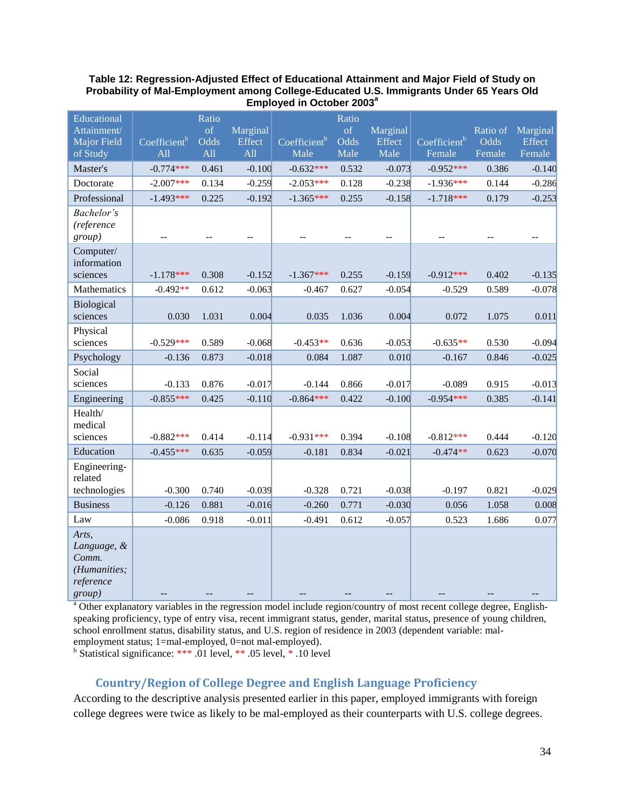#### **Table 12: Regression-Adjusted Effect of Educational Attainment and Major Field of Study on Probability of Mal-Employment among College-Educated U.S. Immigrants Under 65 Years Old Employed in October 2003<sup>a</sup>**

| Educational                                                          |                          | Ratio      |                          |                          | Ratio      |                    |                          |                  |                    |
|----------------------------------------------------------------------|--------------------------|------------|--------------------------|--------------------------|------------|--------------------|--------------------------|------------------|--------------------|
| Attainment/                                                          | Coefficient <sup>b</sup> | of<br>Odds | Marginal<br>Effect       | Coefficient <sup>b</sup> | of<br>Odds | Marginal<br>Effect | Coefficient <sup>b</sup> | Ratio of<br>Odds | Marginal<br>Effect |
| Major Field<br>of Study                                              | A11                      | A11        | All                      | Male                     | Male       | Male               | Female                   | Female           | Female             |
| Master's                                                             | $-0.774***$              | 0.461      | $-0.100$                 | $-0.632***$              | 0.532      | $-0.073$           | $-0.952***$              | 0.386            | $-0.140$           |
| Doctorate                                                            | $-2.007***$              | 0.134      | $-0.259$                 | $-2.053***$              | 0.128      | $-0.238$           | $-1.936***$              | 0.144            | $-0.286$           |
| Professional                                                         | $-1.493***$              | 0.225      | $-0.192$                 | $-1.365***$              | 0.255      | $-0.158$           | $-1.718***$              | 0.179            | $-0.253$           |
| Bachelor's<br>(reference<br>group)                                   | $\qquad \qquad -$        |            | $\overline{\phantom{a}}$ |                          |            | $- -$              |                          |                  | $\qquad \qquad -$  |
| Computer/<br>information<br>sciences                                 | $-1.178***$              | 0.308      | $-0.152$                 | $-1.367***$              | 0.255      | $-0.159$           | $-0.912***$              | 0.402            | $-0.135$           |
| Mathematics                                                          | $-0.492**$               | 0.612      | $-0.063$                 | $-0.467$                 | 0.627      | $-0.054$           | $-0.529$                 | 0.589            | $-0.078$           |
| Biological<br>sciences                                               | 0.030                    | 1.031      | 0.004                    | 0.035                    | 1.036      | 0.004              | 0.072                    | 1.075            | 0.011              |
| Physical<br>sciences                                                 | $-0.529***$              | 0.589      | $-0.068$                 | $-0.453**$               | 0.636      | $-0.053$           | $-0.635**$               | 0.530            | $-0.094$           |
| Psychology                                                           | $-0.136$                 | 0.873      | $-0.018$                 | 0.084                    | 1.087      | 0.010              | $-0.167$                 | 0.846            | $-0.025$           |
| Social<br>sciences                                                   | $-0.133$                 | 0.876      | $-0.017$                 | $-0.144$                 | 0.866      | $-0.017$           | $-0.089$                 | 0.915            | $-0.013$           |
| Engineering                                                          | $-0.855***$              | 0.425      | $-0.110$                 | $-0.864***$              | 0.422      | $-0.100$           | $-0.954***$              | 0.385            | $-0.141$           |
| Health/<br>medical<br>sciences                                       | $-0.882***$              | 0.414      | $-0.114$                 | $-0.931***$              | 0.394      | $-0.108$           | $-0.812***$              | 0.444            | $-0.120$           |
| Education                                                            | $-0.455***$              | 0.635      | $-0.059$                 | $-0.181$                 | 0.834      | $-0.021$           | $-0.474**$               | 0.623            | $-0.070$           |
| Engineering-<br>related<br>technologies                              | $-0.300$                 | 0.740      | $-0.039$                 | $-0.328$                 | 0.721      | $-0.038$           | $-0.197$                 | 0.821            | $-0.029$           |
| <b>Business</b>                                                      | $-0.126$                 | 0.881      | $-0.016$                 | $-0.260$                 | 0.771      | $-0.030$           | 0.056                    | 1.058            | 0.008              |
| Law                                                                  | $-0.086$                 | 0.918      | $-0.011$                 | $-0.491$                 | 0.612      | $-0.057$           | 0.523                    | 1.686            | 0.077              |
| Arts,<br>Language, &<br>Comm.<br>(Humanities;<br>reference<br>group) |                          |            |                          |                          |            |                    |                          |                  |                    |

<sup>a</sup> Other explanatory variables in the regression model include region/country of most recent college degree, Englishspeaking proficiency, type of entry visa, recent immigrant status, gender, marital status, presence of young children, school enrollment status, disability status, and U.S. region of residence in 2003 (dependent variable: malemployment status; 1=mal-employed, 0=not mal-employed).

<sup>b</sup> Statistical significance: \*\*\* .01 level, \*\* .05 level,  $*$  .10 level

## **Country/Region of College Degree and English Language Proficiency**

<span id="page-36-0"></span>According to the descriptive analysis presented earlier in this paper, employed immigrants with foreign college degrees were twice as likely to be mal-employed as their counterparts with U.S. college degrees.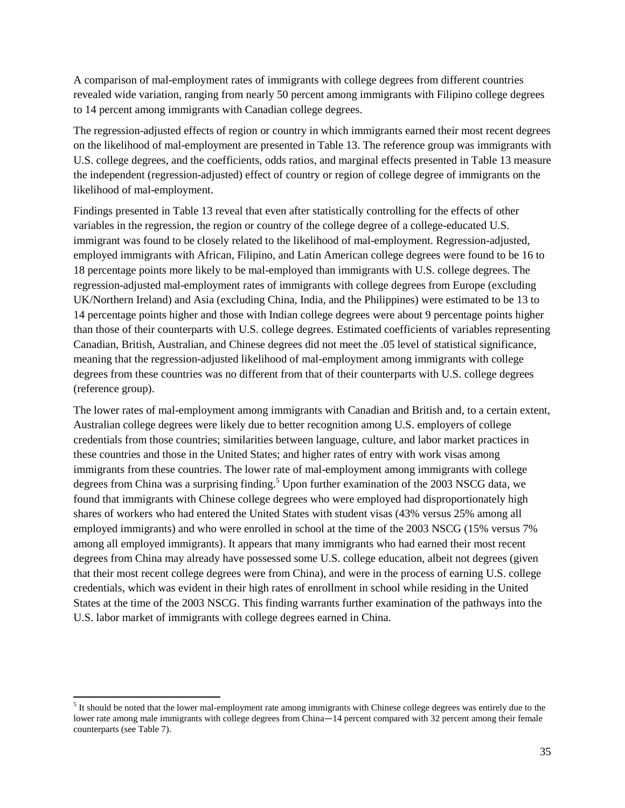A comparison of mal-employment rates of immigrants with college degrees from different countries revealed wide variation, ranging from nearly 50 percent among immigrants with Filipino college degrees to 14 percent among immigrants with Canadian college degrees.

The regression-adjusted effects of region or country in which immigrants earned their most recent degrees on the likelihood of mal-employment are presented in Table 13. The reference group was immigrants with U.S. college degrees, and the coefficients, odds ratios, and marginal effects presented in Table 13 measure the independent (regression-adjusted) effect of country or region of college degree of immigrants on the likelihood of mal-employment.

Findings presented in Table 13 reveal that even after statistically controlling for the effects of other variables in the regression, the region or country of the college degree of a college-educated U.S. immigrant was found to be closely related to the likelihood of mal-employment. Regression-adjusted, employed immigrants with African, Filipino, and Latin American college degrees were found to be 16 to 18 percentage points more likely to be mal-employed than immigrants with U.S. college degrees. The regression-adjusted mal-employment rates of immigrants with college degrees from Europe (excluding UK/Northern Ireland) and Asia (excluding China, India, and the Philippines) were estimated to be 13 to 14 percentage points higher and those with Indian college degrees were about 9 percentage points higher than those of their counterparts with U.S. college degrees. Estimated coefficients of variables representing Canadian, British, Australian, and Chinese degrees did not meet the .05 level of statistical significance, meaning that the regression-adjusted likelihood of mal-employment among immigrants with college degrees from these countries was no different from that of their counterparts with U.S. college degrees (reference group).

The lower rates of mal-employment among immigrants with Canadian and British and, to a certain extent, Australian college degrees were likely due to better recognition among U.S. employers of college credentials from those countries; similarities between language, culture, and labor market practices in these countries and those in the United States; and higher rates of entry with work visas among immigrants from these countries. The lower rate of mal-employment among immigrants with college degrees from China was a surprising finding.<sup>5</sup> Upon further examination of the 2003 NSCG data, we found that immigrants with Chinese college degrees who were employed had disproportionately high shares of workers who had entered the United States with student visas (43% versus 25% among all employed immigrants) and who were enrolled in school at the time of the 2003 NSCG (15% versus 7% among all employed immigrants). It appears that many immigrants who had earned their most recent degrees from China may already have possessed some U.S. college education, albeit not degrees (given that their most recent college degrees were from China), and were in the process of earning U.S. college credentials, which was evident in their high rates of enrollment in school while residing in the United States at the time of the 2003 NSCG. This finding warrants further examination of the pathways into the U.S. labor market of immigrants with college degrees earned in China.

l

 $<sup>5</sup>$  It should be noted that the lower mal-employment rate among immigrants with Chinese college degrees was entirely due to the</sup> lower rate among male immigrants with college degrees from China-14 percent compared with 32 percent among their female counterparts (see Table 7).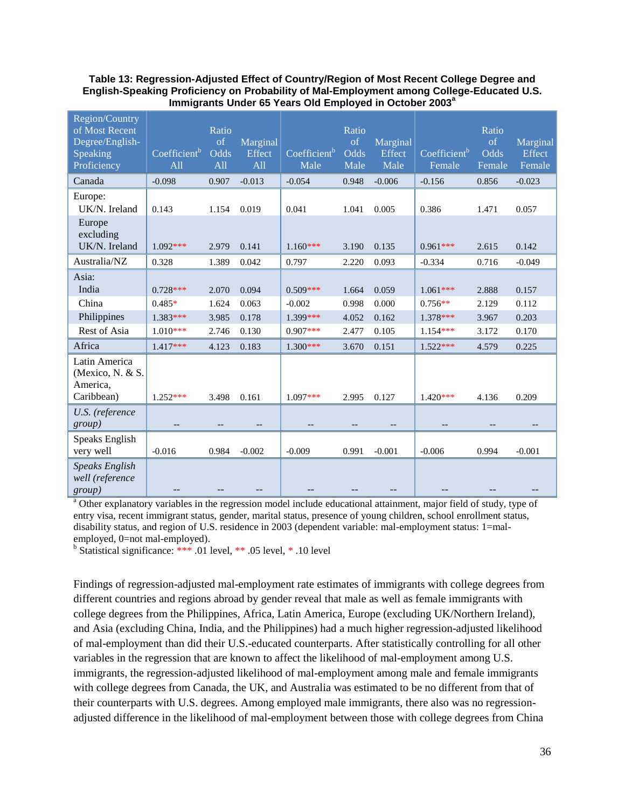#### **Table 13: Regression-Adjusted Effect of Country/Region of Most Recent College Degree and English-Speaking Proficiency on Probability of Mal-Employment among College-Educated U.S. Immigrants Under 65 Years Old Employed in October 2003<sup>a</sup>**

| Region/Country<br>of Most Recent<br>Degree/English-<br>Speaking<br>Proficiency | Coefficient <sup>b</sup><br>All | Ratio<br>of<br>Odds<br>All | Marginal<br>Effect<br>All | Coefficient <sup>b</sup><br>Male | Ratio<br>of<br>Odds<br>Male | Marginal<br>Effect<br>Male | $\overline{\text{Coefficient}}^{\text{b}}$<br>Female | Ratio<br>of<br>Odds<br>Female | Marginal<br>Effect<br>Female |
|--------------------------------------------------------------------------------|---------------------------------|----------------------------|---------------------------|----------------------------------|-----------------------------|----------------------------|------------------------------------------------------|-------------------------------|------------------------------|
| Canada                                                                         | $-0.098$                        | 0.907                      | $-0.013$                  | $-0.054$                         | 0.948                       | $-0.006$                   | $-0.156$                                             | 0.856                         | $-0.023$                     |
| Europe:<br>UK/N. Ireland                                                       | 0.143                           | 1.154                      | 0.019                     | 0.041                            | 1.041                       | 0.005                      | 0.386                                                | 1.471                         | 0.057                        |
| Europe<br>excluding<br>UK/N. Ireland                                           | $1.092***$                      | 2.979                      | 0.141                     | $1.160***$                       | 3.190                       | 0.135                      | $0.961***$                                           | 2.615                         | 0.142                        |
| Australia/NZ                                                                   | 0.328                           | 1.389                      | 0.042                     | 0.797                            | 2.220                       | 0.093                      | $-0.334$                                             | 0.716                         | $-0.049$                     |
| Asia:<br>India<br>China                                                        | $0.728***$<br>$0.485*$          | 2.070<br>1.624             | 0.094<br>0.063            | $0.509***$<br>$-0.002$           | 1.664<br>0.998              | 0.059<br>0.000             | $1.061***$<br>$0.756**$                              | 2.888<br>2.129                | 0.157<br>0.112               |
| Philippines                                                                    | $1.383***$                      | 3.985                      | 0.178                     | 1.399***                         | 4.052                       | 0.162                      | $1.378***$                                           | 3.967                         | 0.203                        |
| Rest of Asia                                                                   | $1.010***$                      | 2.746                      | 0.130                     | $0.907***$                       | 2.477                       | 0.105                      | $1.154***$                                           | 3.172                         | 0.170                        |
| Africa                                                                         | $1.417***$                      | 4.123                      | 0.183                     | $1.300***$                       | 3.670                       | 0.151                      | $1.522***$                                           | 4.579                         | 0.225                        |
| Latin America<br>(Mexico, N. & S.<br>America,<br>Caribbean)                    | $1.252***$                      | 3.498                      | 0.161                     | $1.097***$                       | 2.995                       | 0.127                      | $1.420***$                                           | 4.136                         | 0.209                        |
| U.S. (reference<br>group)                                                      |                                 |                            |                           |                                  |                             |                            |                                                      |                               |                              |
| Speaks English<br>very well                                                    | $-0.016$                        | 0.984                      | $-0.002$                  | $-0.009$                         | 0.991                       | $-0.001$                   | $-0.006$                                             | 0.994                         | $-0.001$                     |
| <b>Speaks English</b><br>well (reference<br>group)                             |                                 |                            |                           |                                  |                             |                            |                                                      |                               |                              |

<sup>a</sup> Other explanatory variables in the regression model include educational attainment, major field of study, type of entry visa, recent immigrant status, gender, marital status, presence of young children, school enrollment status, disability status, and region of U.S. residence in 2003 (dependent variable: mal-employment status: 1=malemployed, 0=not mal-employed).

<sup>b</sup> Statistical significance: \*\*\* .01 level, \*\* .05 level, \* .10 level

Findings of regression-adjusted mal-employment rate estimates of immigrants with college degrees from different countries and regions abroad by gender reveal that male as well as female immigrants with college degrees from the Philippines, Africa, Latin America, Europe (excluding UK/Northern Ireland), and Asia (excluding China, India, and the Philippines) had a much higher regression-adjusted likelihood of mal-employment than did their U.S.-educated counterparts. After statistically controlling for all other variables in the regression that are known to affect the likelihood of mal-employment among U.S. immigrants, the regression-adjusted likelihood of mal-employment among male and female immigrants with college degrees from Canada, the UK, and Australia was estimated to be no different from that of their counterparts with U.S. degrees. Among employed male immigrants, there also was no regressionadjusted difference in the likelihood of mal-employment between those with college degrees from China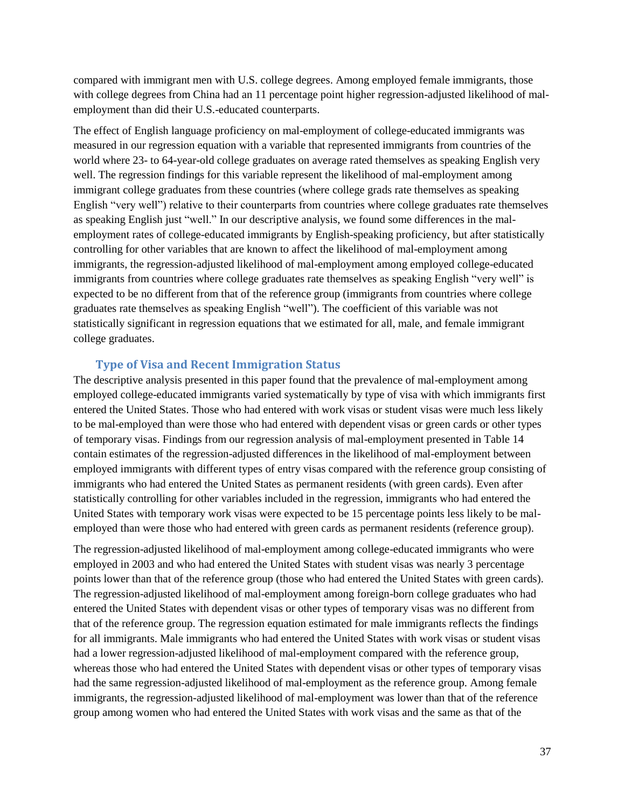compared with immigrant men with U.S. college degrees. Among employed female immigrants, those with college degrees from China had an 11 percentage point higher regression-adjusted likelihood of malemployment than did their U.S.-educated counterparts.

The effect of English language proficiency on mal-employment of college-educated immigrants was measured in our regression equation with a variable that represented immigrants from countries of the world where 23- to 64-year-old college graduates on average rated themselves as speaking English very well. The regression findings for this variable represent the likelihood of mal-employment among immigrant college graduates from these countries (where college grads rate themselves as speaking English "very well") relative to their counterparts from countries where college graduates rate themselves as speaking English just "well." In our descriptive analysis, we found some differences in the malemployment rates of college-educated immigrants by English-speaking proficiency, but after statistically controlling for other variables that are known to affect the likelihood of mal-employment among immigrants, the regression-adjusted likelihood of mal-employment among employed college-educated immigrants from countries where college graduates rate themselves as speaking English "very well" is expected to be no different from that of the reference group (immigrants from countries where college graduates rate themselves as speaking English "well"). The coefficient of this variable was not statistically significant in regression equations that we estimated for all, male, and female immigrant college graduates.

#### **Type of Visa and Recent Immigration Status**

<span id="page-39-0"></span>The descriptive analysis presented in this paper found that the prevalence of mal-employment among employed college-educated immigrants varied systematically by type of visa with which immigrants first entered the United States. Those who had entered with work visas or student visas were much less likely to be mal-employed than were those who had entered with dependent visas or green cards or other types of temporary visas. Findings from our regression analysis of mal-employment presented in Table 14 contain estimates of the regression-adjusted differences in the likelihood of mal-employment between employed immigrants with different types of entry visas compared with the reference group consisting of immigrants who had entered the United States as permanent residents (with green cards). Even after statistically controlling for other variables included in the regression, immigrants who had entered the United States with temporary work visas were expected to be 15 percentage points less likely to be malemployed than were those who had entered with green cards as permanent residents (reference group).

The regression-adjusted likelihood of mal-employment among college-educated immigrants who were employed in 2003 and who had entered the United States with student visas was nearly 3 percentage points lower than that of the reference group (those who had entered the United States with green cards). The regression-adjusted likelihood of mal-employment among foreign-born college graduates who had entered the United States with dependent visas or other types of temporary visas was no different from that of the reference group. The regression equation estimated for male immigrants reflects the findings for all immigrants. Male immigrants who had entered the United States with work visas or student visas had a lower regression-adjusted likelihood of mal-employment compared with the reference group, whereas those who had entered the United States with dependent visas or other types of temporary visas had the same regression-adjusted likelihood of mal-employment as the reference group. Among female immigrants, the regression-adjusted likelihood of mal-employment was lower than that of the reference group among women who had entered the United States with work visas and the same as that of the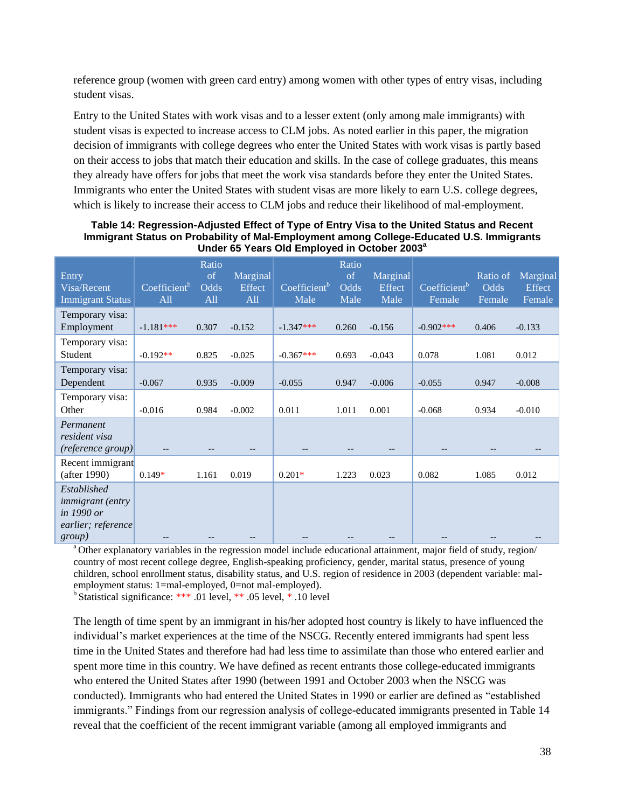reference group (women with green card entry) among women with other types of entry visas, including student visas.

Entry to the United States with work visas and to a lesser extent (only among male immigrants) with student visas is expected to increase access to CLM jobs. As noted earlier in this paper, the migration decision of immigrants with college degrees who enter the United States with work visas is partly based on their access to jobs that match their education and skills. In the case of college graduates, this means they already have offers for jobs that meet the work visa standards before they enter the United States. Immigrants who enter the United States with student visas are more likely to earn U.S. college degrees, which is likely to increase their access to CLM jobs and reduce their likelihood of mal-employment.

| Entry<br>Visa/Recent<br><b>Immigrant Status</b>                                              | $\overline{\text{Coefficient}}^{\text{b}}$<br>All | Ratio<br>of<br>Odds<br>All | Marginal<br>Effect<br>All | Coefficient <sup>b</sup><br>Male | Ratio<br>of<br>Odds<br>Male | Marginal<br>Effect<br>Male | $\overline{\text{Coefficient}}^{\text{b}}$<br>Female | Ratio of<br><b>Odds</b><br>Female | Marginal<br>Effect<br>Female |
|----------------------------------------------------------------------------------------------|---------------------------------------------------|----------------------------|---------------------------|----------------------------------|-----------------------------|----------------------------|------------------------------------------------------|-----------------------------------|------------------------------|
| Temporary visa:<br>Employment                                                                | $-1.181***$                                       | 0.307                      | $-0.152$                  | $-1.347***$                      | 0.260                       | $-0.156$                   | $-0.902$ ***                                         | 0.406                             | $-0.133$                     |
| Temporary visa:<br>Student                                                                   | $-0.192**$                                        | 0.825                      | $-0.025$                  | $-0.367***$                      | 0.693                       | $-0.043$                   | 0.078                                                | 1.081                             | 0.012                        |
| Temporary visa:<br>Dependent                                                                 | $-0.067$                                          | 0.935                      | $-0.009$                  | $-0.055$                         | 0.947                       | $-0.006$                   | $-0.055$                                             | 0.947                             | $-0.008$                     |
| Temporary visa:<br>Other                                                                     | $-0.016$                                          | 0.984                      | $-0.002$                  | 0.011                            | 1.011                       | 0.001                      | $-0.068$                                             | 0.934                             | $-0.010$                     |
| Permanent<br>resident visa<br>(reference group)                                              |                                                   |                            |                           |                                  |                             |                            |                                                      |                                   |                              |
| Recent immigrant<br>(after 1990)                                                             | $0.149*$                                          | 1.161                      | 0.019                     | $0.201*$                         | 1.223                       | 0.023                      | 0.082                                                | 1.085                             | 0.012                        |
| Established<br><i>immigrant</i> (entry<br>in 1990 or<br>earlier; reference<br><i>group</i> ) |                                                   |                            |                           |                                  |                             |                            |                                                      |                                   |                              |

**Table 14: Regression-Adjusted Effect of Type of Entry Visa to the United Status and Recent Immigrant Status on Probability of Mal-Employment among College-Educated U.S. Immigrants**  Under 65 Years Old Employed in October 2003<sup>a</sup>

<sup>a</sup> Other explanatory variables in the regression model include educational attainment, major field of study, region/ country of most recent college degree, English-speaking proficiency, gender, marital status, presence of young children, school enrollment status, disability status, and U.S. region of residence in 2003 (dependent variable: malemployment status: 1=mal-employed, 0=not mal-employed).

<sup>b</sup> Statistical significance: \*\*\* .01 level, \*\* .05 level, \* .10 level

The length of time spent by an immigrant in his/her adopted host country is likely to have influenced the individual's market experiences at the time of the NSCG. Recently entered immigrants had spent less time in the United States and therefore had had less time to assimilate than those who entered earlier and spent more time in this country. We have defined as recent entrants those college-educated immigrants who entered the United States after 1990 (between 1991 and October 2003 when the NSCG was conducted). Immigrants who had entered the United States in 1990 or earlier are defined as "established immigrants." Findings from our regression analysis of college-educated immigrants presented in Table 14 reveal that the coefficient of the recent immigrant variable (among all employed immigrants and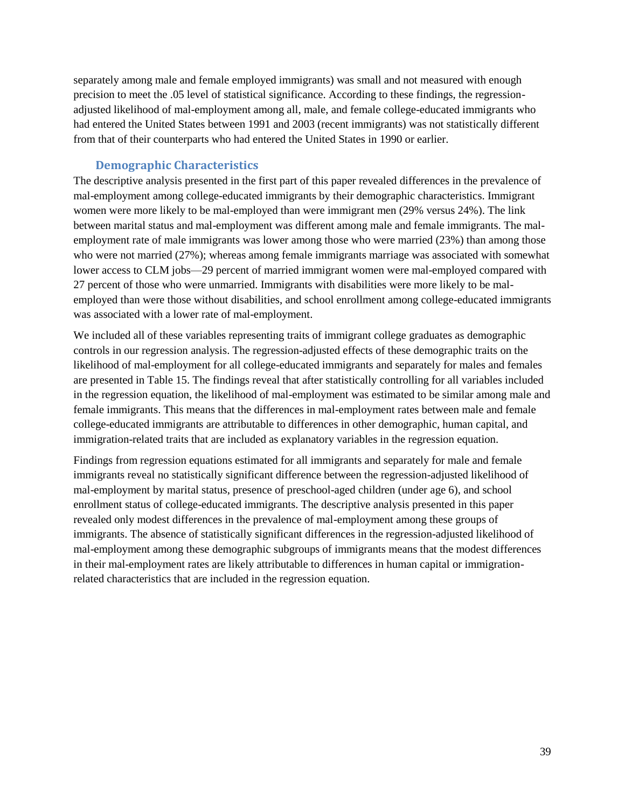separately among male and female employed immigrants) was small and not measured with enough precision to meet the .05 level of statistical significance. According to these findings, the regressionadjusted likelihood of mal-employment among all, male, and female college-educated immigrants who had entered the United States between 1991 and 2003 (recent immigrants) was not statistically different from that of their counterparts who had entered the United States in 1990 or earlier.

## **Demographic Characteristics**

<span id="page-41-0"></span>The descriptive analysis presented in the first part of this paper revealed differences in the prevalence of mal-employment among college-educated immigrants by their demographic characteristics. Immigrant women were more likely to be mal-employed than were immigrant men (29% versus 24%). The link between marital status and mal-employment was different among male and female immigrants. The malemployment rate of male immigrants was lower among those who were married (23%) than among those who were not married (27%); whereas among female immigrants marriage was associated with somewhat lower access to CLM jobs—29 percent of married immigrant women were mal-employed compared with 27 percent of those who were unmarried. Immigrants with disabilities were more likely to be malemployed than were those without disabilities, and school enrollment among college-educated immigrants was associated with a lower rate of mal-employment.

We included all of these variables representing traits of immigrant college graduates as demographic controls in our regression analysis. The regression-adjusted effects of these demographic traits on the likelihood of mal-employment for all college-educated immigrants and separately for males and females are presented in Table 15. The findings reveal that after statistically controlling for all variables included in the regression equation, the likelihood of mal-employment was estimated to be similar among male and female immigrants. This means that the differences in mal-employment rates between male and female college-educated immigrants are attributable to differences in other demographic, human capital, and immigration-related traits that are included as explanatory variables in the regression equation.

Findings from regression equations estimated for all immigrants and separately for male and female immigrants reveal no statistically significant difference between the regression-adjusted likelihood of mal-employment by marital status, presence of preschool-aged children (under age 6), and school enrollment status of college-educated immigrants. The descriptive analysis presented in this paper revealed only modest differences in the prevalence of mal-employment among these groups of immigrants. The absence of statistically significant differences in the regression-adjusted likelihood of mal-employment among these demographic subgroups of immigrants means that the modest differences in their mal-employment rates are likely attributable to differences in human capital or immigrationrelated characteristics that are included in the regression equation.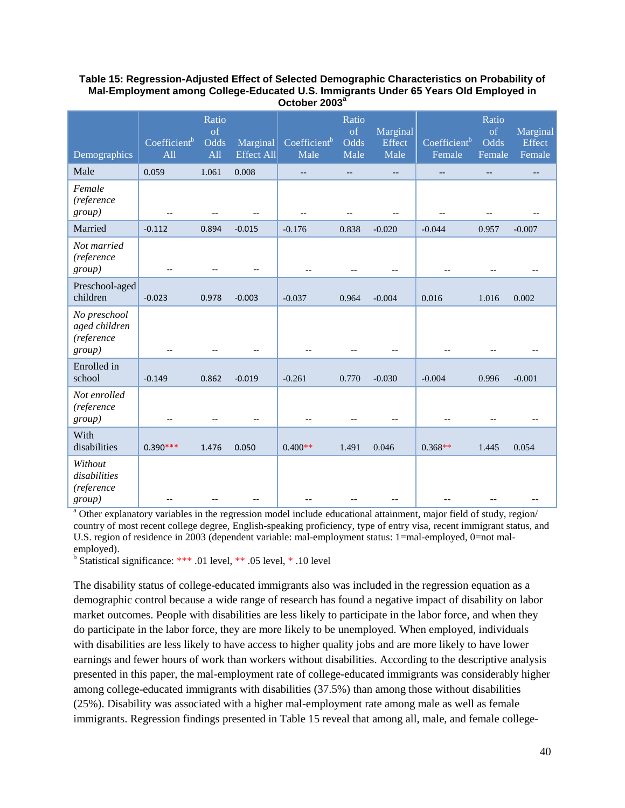#### **Table 15: Regression-Adjusted Effect of Selected Demographic Characteristics on Probability of Mal-Employment among College-Educated U.S. Immigrants Under 65 Years Old Employed in October 2003<sup>a</sup>**

| Demographics                                          | Coefficient <sup>b</sup><br>A <sub>11</sub> | Ratio<br><sub>of</sub><br>Odds<br>All | Marginal<br><b>Effect All</b> | Coefficient <sup>b</sup><br>Male | Ratio<br>of<br>Odds<br>Male | Marginal<br>Effect<br>Male | Coefficient <sup>b</sup><br>Female | Ratio<br><sub>of</sub><br>Odds<br>Female | Marginal<br><b>Effect</b><br>Female |
|-------------------------------------------------------|---------------------------------------------|---------------------------------------|-------------------------------|----------------------------------|-----------------------------|----------------------------|------------------------------------|------------------------------------------|-------------------------------------|
| Male                                                  | 0.059                                       | 1.061                                 | 0.008                         | $-$                              | $-$                         | $- -$                      | $\overline{\phantom{m}}$           | $-$                                      | --                                  |
| Female<br>(reference<br>group)                        | $-\,$ $-$                                   | --                                    |                               |                                  | $\qquad \qquad -$           | --                         | --                                 | $-$                                      |                                     |
| Married                                               | $-0.112$                                    | 0.894                                 | $-0.015$                      | $-0.176$                         | 0.838                       | $-0.020$                   | $-0.044$                           | 0.957                                    | $-0.007$                            |
| Not married<br>(reference<br>group)                   | $\overline{a}$                              | $-$                                   | $\overline{\phantom{a}}$      | $-$                              |                             |                            |                                    |                                          | $-$                                 |
| Preschool-aged<br>children                            | $-0.023$                                    | 0.978                                 | $-0.003$                      | $-0.037$                         | 0.964                       | $-0.004$                   | 0.016                              | 1.016                                    | 0.002                               |
| No preschool<br>aged children<br>(reference<br>group) |                                             |                                       |                               |                                  |                             |                            |                                    |                                          |                                     |
| Enrolled in<br>school                                 | $-0.149$                                    | 0.862                                 | $-0.019$                      | $-0.261$                         | 0.770                       | $-0.030$                   | $-0.004$                           | 0.996                                    | $-0.001$                            |
| Not enrolled<br>(reference<br>group)                  | $\overline{a}$                              |                                       |                               | $-$                              |                             | $-$                        |                                    |                                          |                                     |
| With<br>disabilities                                  | $0.390***$                                  | 1.476                                 | 0.050                         | $0.400**$                        | 1.491                       | 0.046                      | $0.368**$                          | 1.445                                    | 0.054                               |
| Without<br>disabilities<br>(reference<br>group)       | --                                          |                                       |                               |                                  |                             |                            |                                    |                                          |                                     |

<sup>a</sup> Other explanatory variables in the regression model include educational attainment, major field of study, region/ country of most recent college degree, English-speaking proficiency, type of entry visa, recent immigrant status, and U.S. region of residence in 2003 (dependent variable: mal-employment status: 1=mal-employed, 0=not malemployed).

<sup>b</sup> Statistical significance: \*\*\* .01 level, \*\* .05 level, \* .10 level

The disability status of college-educated immigrants also was included in the regression equation as a demographic control because a wide range of research has found a negative impact of disability on labor market outcomes. People with disabilities are less likely to participate in the labor force, and when they do participate in the labor force, they are more likely to be unemployed. When employed, individuals with disabilities are less likely to have access to higher quality jobs and are more likely to have lower earnings and fewer hours of work than workers without disabilities. According to the descriptive analysis presented in this paper, the mal-employment rate of college-educated immigrants was considerably higher among college-educated immigrants with disabilities (37.5%) than among those without disabilities (25%). Disability was associated with a higher mal-employment rate among male as well as female immigrants. Regression findings presented in Table 15 reveal that among all, male, and female college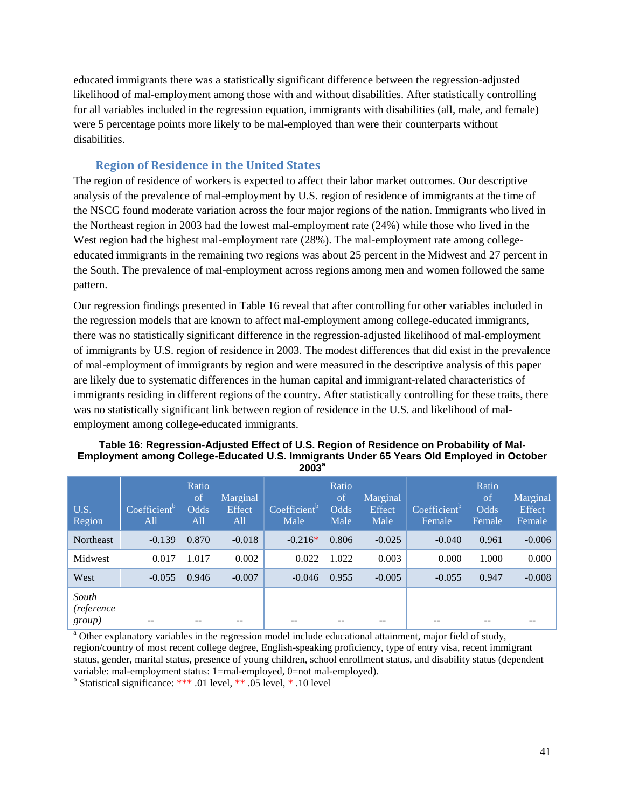educated immigrants there was a statistically significant difference between the regression-adjusted likelihood of mal-employment among those with and without disabilities. After statistically controlling for all variables included in the regression equation, immigrants with disabilities (all, male, and female) were 5 percentage points more likely to be mal-employed than were their counterparts without disabilities.

#### **Region of Residence in the United States**

<span id="page-43-0"></span>The region of residence of workers is expected to affect their labor market outcomes. Our descriptive analysis of the prevalence of mal-employment by U.S. region of residence of immigrants at the time of the NSCG found moderate variation across the four major regions of the nation. Immigrants who lived in the Northeast region in 2003 had the lowest mal-employment rate (24%) while those who lived in the West region had the highest mal-employment rate (28%). The mal-employment rate among collegeeducated immigrants in the remaining two regions was about 25 percent in the Midwest and 27 percent in the South. The prevalence of mal-employment across regions among men and women followed the same pattern.

Our regression findings presented in Table 16 reveal that after controlling for other variables included in the regression models that are known to affect mal-employment among college-educated immigrants, there was no statistically significant difference in the regression-adjusted likelihood of mal-employment of immigrants by U.S. region of residence in 2003. The modest differences that did exist in the prevalence of mal-employment of immigrants by region and were measured in the descriptive analysis of this paper are likely due to systematic differences in the human capital and immigrant-related characteristics of immigrants residing in different regions of the country. After statistically controlling for these traits, there was no statistically significant link between region of residence in the U.S. and likelihood of malemployment among college-educated immigrants.

#### **Table 16: Regression-Adjusted Effect of U.S. Region of Residence on Probability of Mal-Employment among College-Educated U.S. Immigrants Under 65 Years Old Employed in October a 2003**

| U.S.<br>Region                | Coefficient <sup>b</sup><br>All | Ratio<br>of<br><b>Odds</b><br>All | Marginal<br><b>Effect</b><br>All | Coefficient <sup>b</sup><br>Male | Ratio<br>of<br>Odds<br>Male | Marginal<br>Effect<br>Male | Coefficient <sup>b</sup><br>Female | Ratio<br>of<br><b>Odds</b><br>Female | Marginal<br>Effect<br>Female |
|-------------------------------|---------------------------------|-----------------------------------|----------------------------------|----------------------------------|-----------------------------|----------------------------|------------------------------------|--------------------------------------|------------------------------|
| <b>Northeast</b>              | $-0.139$                        | 0.870                             | $-0.018$                         | $-0.216*$                        | 0.806                       | $-0.025$                   | $-0.040$                           | 0.961                                | $-0.006$                     |
| Midwest                       | 0.017                           | 1.017                             | 0.002                            | 0.022                            | 1.022                       | 0.003                      | 0.000                              | 1.000                                | 0.000                        |
| West                          | $-0.055$                        | 0.946                             | $-0.007$                         | $-0.046$                         | 0.955                       | $-0.005$                   | $-0.055$                           | 0.947                                | $-0.008$                     |
| South<br>(reference<br>group) | --                              |                                   |                                  |                                  |                             |                            |                                    |                                      |                              |

<sup>a</sup> Other explanatory variables in the regression model include educational attainment, major field of study, region/country of most recent college degree, English-speaking proficiency, type of entry visa, recent immigrant status, gender, marital status, presence of young children, school enrollment status, and disability status (dependent variable: mal-employment status: 1=mal-employed, 0=not mal-employed).

<sup>b</sup> Statistical significance: \*\*\* .01 level, \*\* .05 level, \* .10 level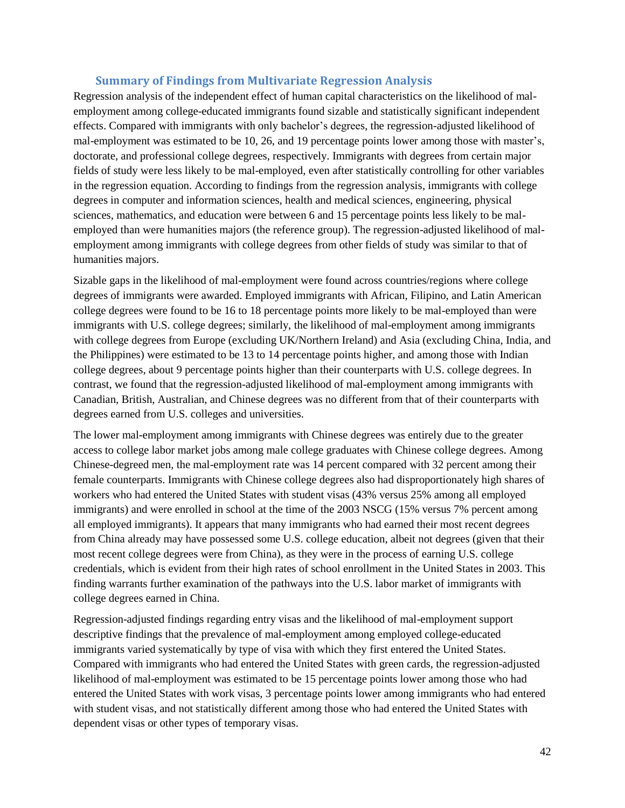#### **Summary of Findings from Multivariate Regression Analysis**

<span id="page-44-0"></span>Regression analysis of the independent effect of human capital characteristics on the likelihood of malemployment among college-educated immigrants found sizable and statistically significant independent effects. Compared with immigrants with only bachelor's degrees, the regression-adjusted likelihood of mal-employment was estimated to be 10, 26, and 19 percentage points lower among those with master's, doctorate, and professional college degrees, respectively. Immigrants with degrees from certain major fields of study were less likely to be mal-employed, even after statistically controlling for other variables in the regression equation. According to findings from the regression analysis, immigrants with college degrees in computer and information sciences, health and medical sciences, engineering, physical sciences, mathematics, and education were between 6 and 15 percentage points less likely to be malemployed than were humanities majors (the reference group). The regression-adjusted likelihood of malemployment among immigrants with college degrees from other fields of study was similar to that of humanities majors.

Sizable gaps in the likelihood of mal-employment were found across countries/regions where college degrees of immigrants were awarded. Employed immigrants with African, Filipino, and Latin American college degrees were found to be 16 to 18 percentage points more likely to be mal-employed than were immigrants with U.S. college degrees; similarly, the likelihood of mal-employment among immigrants with college degrees from Europe (excluding UK/Northern Ireland) and Asia (excluding China, India, and the Philippines) were estimated to be 13 to 14 percentage points higher, and among those with Indian college degrees, about 9 percentage points higher than their counterparts with U.S. college degrees. In contrast, we found that the regression-adjusted likelihood of mal-employment among immigrants with Canadian, British, Australian, and Chinese degrees was no different from that of their counterparts with degrees earned from U.S. colleges and universities.

The lower mal-employment among immigrants with Chinese degrees was entirely due to the greater access to college labor market jobs among male college graduates with Chinese college degrees. Among Chinese-degreed men, the mal-employment rate was 14 percent compared with 32 percent among their female counterparts. Immigrants with Chinese college degrees also had disproportionately high shares of workers who had entered the United States with student visas (43% versus 25% among all employed immigrants) and were enrolled in school at the time of the 2003 NSCG (15% versus 7% percent among all employed immigrants). It appears that many immigrants who had earned their most recent degrees from China already may have possessed some U.S. college education, albeit not degrees (given that their most recent college degrees were from China), as they were in the process of earning U.S. college credentials, which is evident from their high rates of school enrollment in the United States in 2003. This finding warrants further examination of the pathways into the U.S. labor market of immigrants with college degrees earned in China.

Regression-adjusted findings regarding entry visas and the likelihood of mal-employment support descriptive findings that the prevalence of mal-employment among employed college-educated immigrants varied systematically by type of visa with which they first entered the United States. Compared with immigrants who had entered the United States with green cards, the regression-adjusted likelihood of mal-employment was estimated to be 15 percentage points lower among those who had entered the United States with work visas, 3 percentage points lower among immigrants who had entered with student visas, and not statistically different among those who had entered the United States with dependent visas or other types of temporary visas.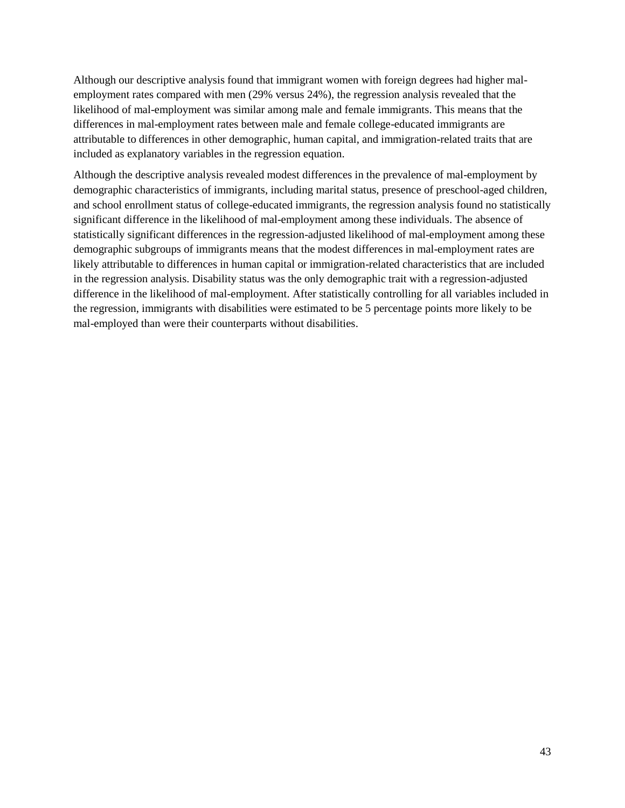Although our descriptive analysis found that immigrant women with foreign degrees had higher malemployment rates compared with men (29% versus 24%), the regression analysis revealed that the likelihood of mal-employment was similar among male and female immigrants. This means that the differences in mal-employment rates between male and female college-educated immigrants are attributable to differences in other demographic, human capital, and immigration-related traits that are included as explanatory variables in the regression equation.

Although the descriptive analysis revealed modest differences in the prevalence of mal-employment by demographic characteristics of immigrants, including marital status, presence of preschool-aged children, and school enrollment status of college-educated immigrants, the regression analysis found no statistically significant difference in the likelihood of mal-employment among these individuals. The absence of statistically significant differences in the regression-adjusted likelihood of mal-employment among these demographic subgroups of immigrants means that the modest differences in mal-employment rates are likely attributable to differences in human capital or immigration-related characteristics that are included in the regression analysis. Disability status was the only demographic trait with a regression-adjusted difference in the likelihood of mal-employment. After statistically controlling for all variables included in the regression, immigrants with disabilities were estimated to be 5 percentage points more likely to be mal-employed than were their counterparts without disabilities.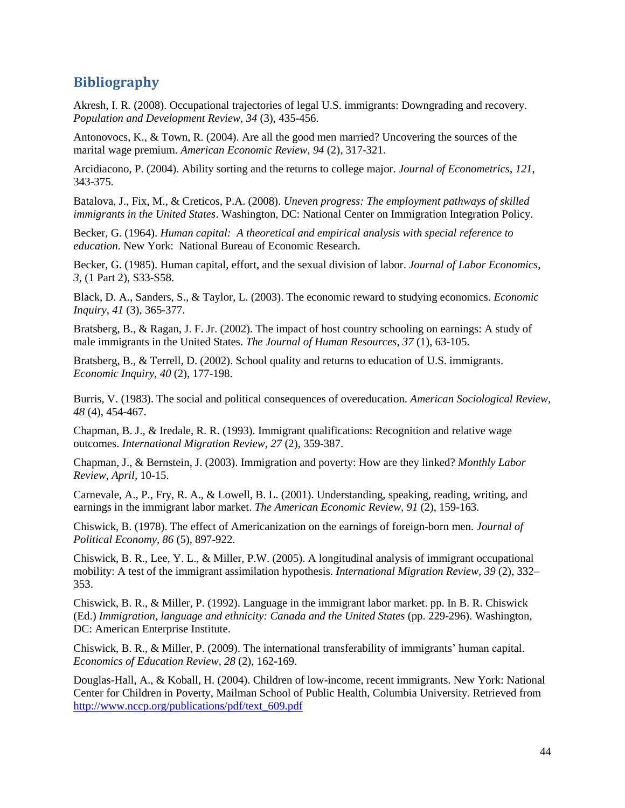## <span id="page-46-0"></span>**Bibliography**

Akresh, I. R. (2008). Occupational trajectories of legal U.S. immigrants: Downgrading and recovery. *Population and Development Review, 34* (3), 435-456.

Antonovocs, K., & Town, R. (2004). Are all the good men married? Uncovering the sources of the marital wage premium. *American Economic Review, 94* (2), 317-321.

Arcidiacono, P. (2004). Ability sorting and the returns to college major. *Journal of Econometrics*, *121*, 343-375.

Batalova, J., Fix, M., & Creticos, P.A. (2008). *Uneven progress: The employment pathways of skilled immigrants in the United States*. Washington, DC: National Center on Immigration Integration Policy.

Becker, G. (1964). *Human capital: A theoretical and empirical analysis with special reference to education*. New York: National Bureau of Economic Research.

Becker, G. (1985). Human capital, effort, and the sexual division of labor. *Journal of Labor Economics*, *3,* (1 Part 2), S33-S58.

Black, D. A., Sanders, S., & Taylor, L. (2003). The economic reward to studying economics. *Economic Inquiry*, *41* (3), 365-377.

Bratsberg, B., & Ragan, J. F. Jr. (2002). The impact of host country schooling on earnings: A study of male immigrants in the United States. *The Journal of Human Resources, 37* (1), 63-105.

Bratsberg, B., & Terrell, D. (2002). School quality and returns to education of U.S. immigrants. *Economic Inquiry*, *40* (2), 177-198.

Burris, V. (1983). The social and political consequences of overeducation. *American Sociological Review*, *48* (4), 454-467.

Chapman, B. J., & Iredale, R. R. (1993). Immigrant qualifications: Recognition and relative wage outcomes. *International Migration Review*, *27* (2), 359-387.

Chapman, J., & Bernstein, J. (2003). Immigration and poverty: How are they linked? *Monthly Labor Review, April,* 10-15.

Carnevale, A., P., Fry, R. A., & Lowell, B. L. (2001). Understanding, speaking, reading, writing, and earnings in the immigrant labor market. *The American Economic Review, 91* (2), 159-163.

Chiswick, B. (1978). The effect of Americanization on the earnings of foreign-born men. *Journal of Political Economy, 86* (5), 897-922.

Chiswick, B. R., Lee, Y. L., & Miller, P.W. (2005). A longitudinal analysis of immigrant occupational mobility: A test of the immigrant assimilation hypothesis. *International Migration Review, 39* (2), 332– 353.

Chiswick, B. R., & Miller, P. (1992). Language in the immigrant labor market. pp. In B. R. Chiswick (Ed.) Immigration, language and ethnicity: Canada and the United States (pp. 229-296). Washington, DC: American Enterprise Institute.

Chiswick, B. R., & Miller, P. (2009). The international transferability of immigrants' human capital. *Economics of Education Review*, *28* (2), 162-169.

Douglas-Hall, A., & Koball, H. (2004). Children of low-income, recent immigrants. New York: National Center for Children in Poverty, Mailman School of Public Health, Columbia University. Retrieved from [http://www.nccp.org/publications/pdf/text\\_609.pdf](http://www.nccp.org/publications/pdf/text_609.pdf)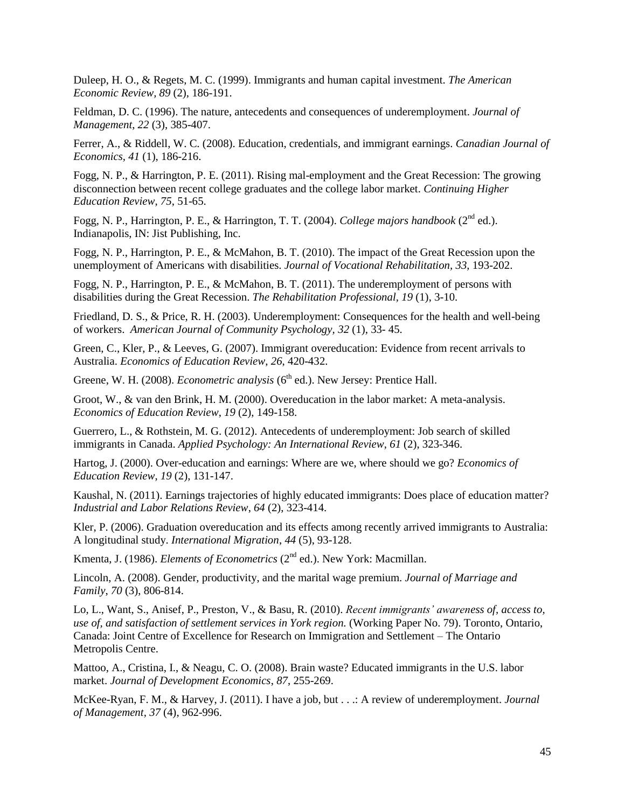Duleep, H. O., & Regets, M. C. (1999). Immigrants and human capital investment. *The American Economic Review, 89* (2), 186-191.

Feldman, D. C. (1996). The nature, antecedents and consequences of underemployment. *Journal of Management*, *22* (3), 385-407.

Ferrer, A., & Riddell, W. C. (2008). Education, credentials, and immigrant earnings. *Canadian Journal of Economics, 41* (1), 186-216.

Fogg, N. P., & Harrington, P. E. (2011). Rising mal-employment and the Great Recession: The growing disconnection between recent college graduates and the college labor market. *Continuing Higher Education Review*, *75*, 51-65.

Fogg, N. P., Harrington, P. E., & Harrington, T. T. (2004). *College majors handbook* (2nd ed.). Indianapolis, IN: Jist Publishing, Inc.

Fogg, N. P., Harrington, P. E., & McMahon, B. T. (2010). The impact of the Great Recession upon the unemployment of Americans with disabilities. *Journal of Vocational Rehabilitation, 33,* 193-202.

Fogg, N. P., Harrington, P. E., & McMahon, B. T. (2011). The underemployment of persons with disabilities during the Great Recession. *The Rehabilitation Professional, 19* (1), 3-10.

Friedland, D. S., & Price, R. H. (2003). Underemployment: Consequences for the health and well-being of workers. *American Journal of Community Psychology, 32* (1), 33- 45.

Green, C., Kler, P., & Leeves, G. (2007). Immigrant overeducation: Evidence from recent arrivals to Australia. *Economics of Education Review*, *26*, 420-432.

Greene, W. H. (2008). *Econometric analysis* (6<sup>th</sup> ed.). New Jersey: Prentice Hall.

Groot, W., & van den Brink, H. M. (2000). Overeducation in the labor market: A meta-analysis. *Economics of Education Review*, *19* (2), 149-158.

Guerrero, L., & Rothstein, M. G. (2012). Antecedents of underemployment: Job search of skilled immigrants in Canada. *Applied Psychology: An International Review*, *61* (2), 323-346.

Hartog, J. (2000). Over-education and earnings: Where are we, where should we go? *Economics of Education Review*, *19* (2), 131-147.

Kaushal, N. (2011). Earnings trajectories of highly educated immigrants: Does place of education matter? *Industrial and Labor Relations Review*, *64* (2), 323-414.

Kler, P. (2006). Graduation overeducation and its effects among recently arrived immigrants to Australia: A longitudinal study. *International Migration*, *44* (5), 93-128.

Kmenta, J. (1986). *Elements of Econometrics* (2<sup>nd</sup> ed.). New York: Macmillan.

Lincoln, A. (2008). Gender, productivity, and the marital wage premium. *Journal of Marriage and Family*, *70* (3), 806-814.

Lo, L., Want, S., Anisef, P., Preston, V., & Basu, R. (2010). *Recent immigrants' awareness of, access to, use of, and satisfaction of settlement services in York region.* (Working Paper No. 79). Toronto, Ontario, Canada: Joint Centre of Excellence for Research on Immigration and Settlement – The Ontario Metropolis Centre.

Mattoo, A., Cristina, I., & Neagu, C. O. (2008). Brain waste? Educated immigrants in the U.S. labor market. *Journal of Development Economics*, *87*, 255-269.

McKee-Ryan, F. M., & Harvey, J. (2011). I have a job, but . . .: A review of underemployment. *Journal of Management, 37* (4), 962-996.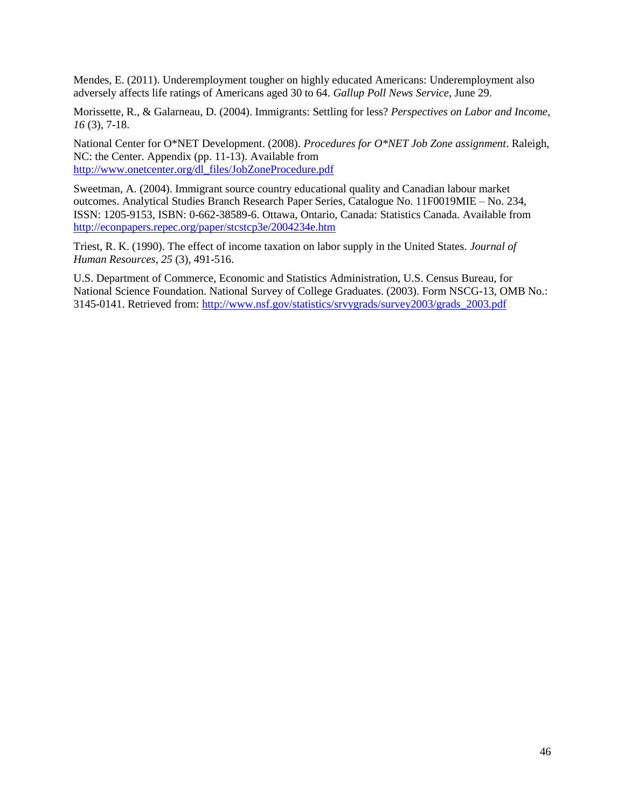Mendes, E. (2011). Underemployment tougher on highly educated Americans: Underemployment also adversely affects life ratings of Americans aged 30 to 64. *Gallup Poll News Service*, June 29.

Morissette, R., & Galarneau, D. (2004). Immigrants: Settling for less? *Perspectives on Labor and Income*, *16* (3), 7-18.

National Center for O\*NET Development. (2008). *Procedures for O\*NET Job Zone assignment*. Raleigh, NC: the Center. Appendix (pp. 11-13). Available from [http://www.onetcenter.org/dl\\_files/JobZoneProcedure.pdf](http://www.onetcenter.org/dl_files/JobZoneProcedure.pdf)

Sweetman, A. (2004). Immigrant source country educational quality and Canadian labour market outcomes. Analytical Studies Branch Research Paper Series, Catalogue No. 11F0019MIE – No. 234, ISSN: 1205-9153, ISBN: 0-662-38589-6. Ottawa, Ontario, Canada: Statistics Canada. Available from <http://econpapers.repec.org/paper/stcstcp3e/2004234e.htm>

Triest, R. K. (1990). The effect of income taxation on labor supply in the United States. *Journal of Human Resources*, *25* (3), 491-516.

U.S. Department of Commerce, Economic and Statistics Administration, U.S. Census Bureau, for National Science Foundation. National Survey of College Graduates. (2003). Form NSCG-13, OMB No.: 3145-0141. Retrieved from: [http://www.nsf.gov/statistics/srvygrads/survey2003/grads\\_2003.pdf](http://www.nsf.gov/statistics/srvygrads/survey2003/grads_2003.pdf)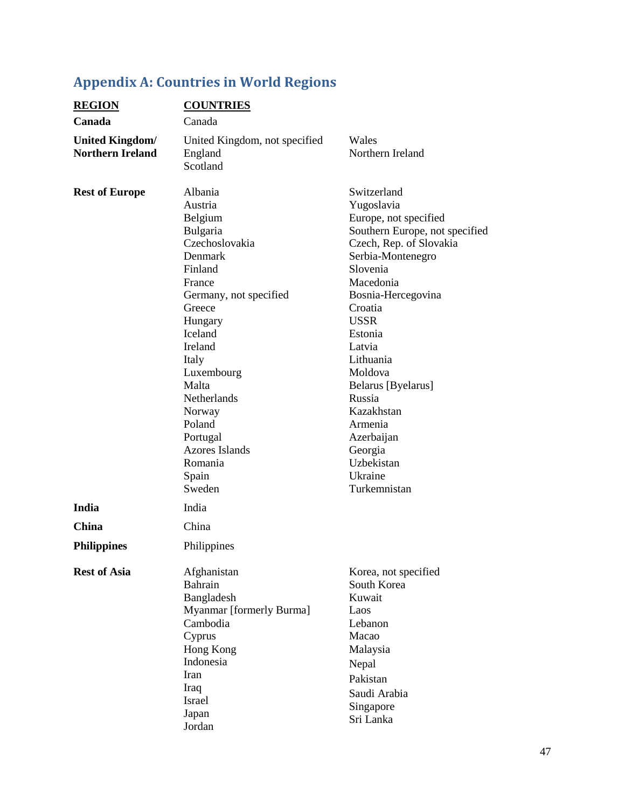# <span id="page-49-0"></span>**Appendix A: Countries in World Regions**

| <b>REGION</b>                                     | <b>COUNTRIES</b>                                                                                                                                                                                                                                                                                       |                                                                                                                                                                                                                                                                                                                                                                                       |
|---------------------------------------------------|--------------------------------------------------------------------------------------------------------------------------------------------------------------------------------------------------------------------------------------------------------------------------------------------------------|---------------------------------------------------------------------------------------------------------------------------------------------------------------------------------------------------------------------------------------------------------------------------------------------------------------------------------------------------------------------------------------|
| Canada                                            | Canada                                                                                                                                                                                                                                                                                                 |                                                                                                                                                                                                                                                                                                                                                                                       |
| <b>United Kingdom/</b><br><b>Northern Ireland</b> | United Kingdom, not specified<br>England<br>Scotland                                                                                                                                                                                                                                                   | Wales<br>Northern Ireland                                                                                                                                                                                                                                                                                                                                                             |
| <b>Rest of Europe</b>                             | Albania<br>Austria<br>Belgium<br>Bulgaria<br>Czechoslovakia<br>Denmark<br>Finland<br>France<br>Germany, not specified<br>Greece<br>Hungary<br>Iceland<br>Ireland<br>Italy<br>Luxembourg<br>Malta<br>Netherlands<br>Norway<br>Poland<br>Portugal<br><b>Azores Islands</b><br>Romania<br>Spain<br>Sweden | Switzerland<br>Yugoslavia<br>Europe, not specified<br>Southern Europe, not specified<br>Czech, Rep. of Slovakia<br>Serbia-Montenegro<br>Slovenia<br>Macedonia<br>Bosnia-Hercegovina<br>Croatia<br><b>USSR</b><br>Estonia<br>Latvia<br>Lithuania<br>Moldova<br>Belarus [Byelarus]<br>Russia<br>Kazakhstan<br>Armenia<br>Azerbaijan<br>Georgia<br>Uzbekistan<br>Ukraine<br>Turkemnistan |
| India                                             | India                                                                                                                                                                                                                                                                                                  |                                                                                                                                                                                                                                                                                                                                                                                       |
| <b>China</b>                                      | China                                                                                                                                                                                                                                                                                                  |                                                                                                                                                                                                                                                                                                                                                                                       |
| <b>Philippines</b>                                | Philippines                                                                                                                                                                                                                                                                                            |                                                                                                                                                                                                                                                                                                                                                                                       |
| <b>Rest of Asia</b>                               | Afghanistan<br>Bahrain<br>Bangladesh<br><b>Myanmar</b> [formerly Burma]<br>Cambodia<br>Cyprus<br>Hong Kong<br>Indonesia<br>Iran<br>Iraq<br>Israel<br>Japan<br>Jordan                                                                                                                                   | Korea, not specified<br>South Korea<br>Kuwait<br>Laos<br>Lebanon<br>Macao<br>Malaysia<br>Nepal<br>Pakistan<br>Saudi Arabia<br>Singapore<br>Sri Lanka                                                                                                                                                                                                                                  |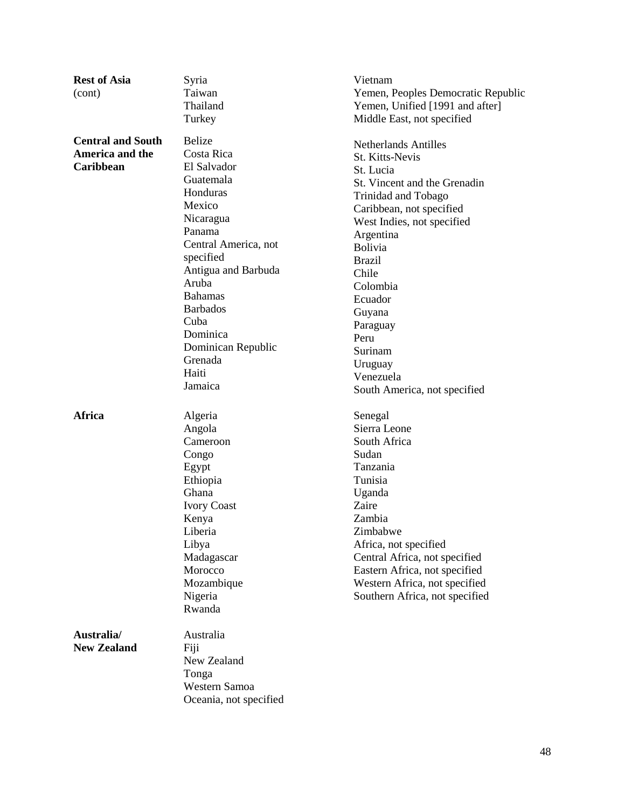| <b>Rest of Asia</b>      | Syria                  | Vietnam                            |
|--------------------------|------------------------|------------------------------------|
| (cont)                   | Taiwan                 | Yemen, Peoples Democratic Republic |
|                          | Thailand               | Yemen, Unified [1991 and after]    |
|                          | Turkey                 | Middle East, not specified         |
| <b>Central and South</b> | <b>Belize</b>          | <b>Netherlands Antilles</b>        |
| America and the          | Costa Rica             | St. Kitts-Nevis                    |
| Caribbean                | El Salvador            | St. Lucia                          |
|                          | Guatemala              | St. Vincent and the Grenadin       |
|                          | Honduras               | Trinidad and Tobago                |
|                          | Mexico                 | Caribbean, not specified           |
|                          | Nicaragua              | West Indies, not specified         |
|                          | Panama                 | Argentina                          |
|                          | Central America, not   | Bolivia                            |
|                          | specified              | <b>Brazil</b>                      |
|                          | Antigua and Barbuda    | Chile                              |
|                          | Aruba                  | Colombia                           |
|                          | <b>Bahamas</b>         | Ecuador                            |
|                          | <b>Barbados</b>        | Guyana                             |
|                          | Cuba                   | Paraguay                           |
|                          | Dominica               | Peru                               |
|                          | Dominican Republic     | Surinam                            |
|                          | Grenada                | Uruguay                            |
|                          | Haiti                  | Venezuela                          |
|                          | Jamaica                | South America, not specified       |
| Africa                   | Algeria                | Senegal                            |
|                          | Angola                 | Sierra Leone                       |
|                          | Cameroon               | South Africa                       |
|                          | Congo                  | Sudan                              |
|                          | Egypt                  | Tanzania                           |
|                          | Ethiopia               | Tunisia                            |
|                          | Ghana                  | Uganda                             |
|                          | <b>Ivory Coast</b>     | Zaire                              |
|                          | Kenya                  | Zambia                             |
|                          | Liberia                | Zimbabwe                           |
|                          | Libya                  | Africa, not specified              |
|                          | Madagascar             | Central Africa, not specified      |
|                          | Morocco                | Eastern Africa, not specified      |
|                          | Mozambique             | Western Africa, not specified      |
|                          | Nigeria                | Southern Africa, not specified     |
|                          | Rwanda                 |                                    |
| Australia/               | Australia              |                                    |
| <b>New Zealand</b>       | Fiji                   |                                    |
|                          | New Zealand            |                                    |
|                          | Tonga                  |                                    |
|                          | Western Samoa          |                                    |
|                          | Oceania, not specified |                                    |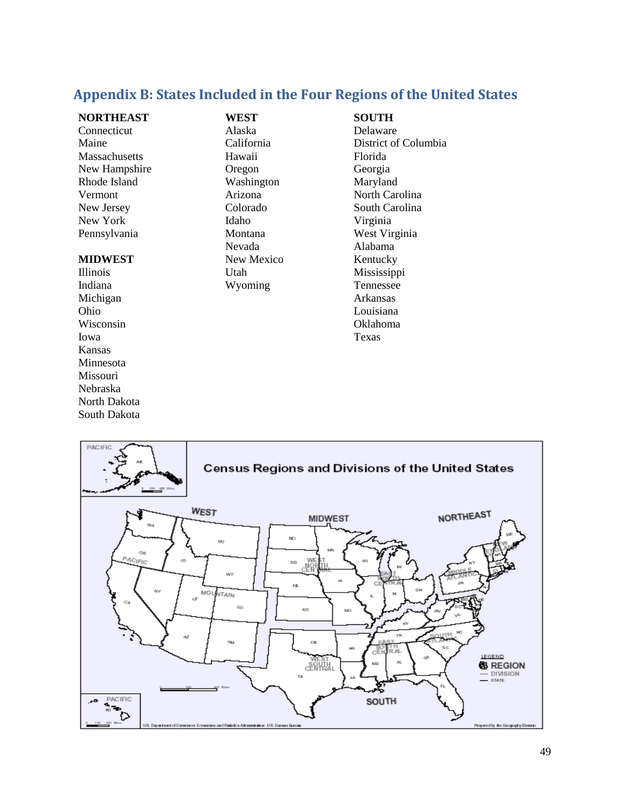## <span id="page-51-0"></span>**Appendix B: States Included in the Four Regions of the United States**

## **NORTHEAST**

Connecticut Maine Massachusetts New Hampshire Rhode Island Vermont New Jersey New York Pennsylvania

#### **MIDWEST**

Illinois Indiana Michigan Ohio Wisconsin Iowa Kansas Minnesota Missouri Nebraska North Dakota South Dakota

**WEST**  Alaska California Hawaii Oregon Washington Arizona Colorado Idaho Montana Nevada New Mexico Utah Wyoming

## **SOUTH**

Delaware District of Columbia Florida Georgia Maryland North Carolina South Carolina Virginia West Virginia Alabama Kentucky Mississippi Tennessee Arkansas Louisiana Oklahoma Texas

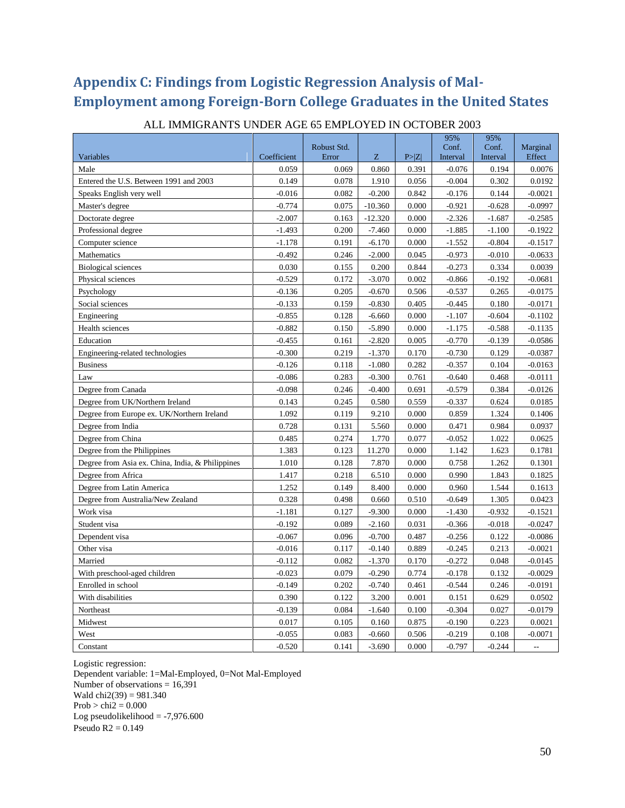# <span id="page-52-0"></span>**Appendix C: Findings from Logistic Regression Analysis of Mal-Employment among Foreign-Born College Graduates in the United States**

|                                                  |             |                      |           |        | 95%               | 95%               |                    |
|--------------------------------------------------|-------------|----------------------|-----------|--------|-------------------|-------------------|--------------------|
| Variables                                        | Coefficient | Robust Std.<br>Error | Z         | P >  Z | Conf.<br>Interval | Conf.<br>Interval | Marginal<br>Effect |
| Male                                             | 0.059       | 0.069                | 0.860     | 0.391  | $-0.076$          | 0.194             | 0.0076             |
| Entered the U.S. Between 1991 and 2003           | 0.149       | 0.078                | 1.910     | 0.056  | $-0.004$          | 0.302             | 0.0192             |
| Speaks English very well                         | $-0.016$    | 0.082                | $-0.200$  | 0.842  | $-0.176$          | 0.144             | $-0.0021$          |
| Master's degree                                  | $-0.774$    | 0.075                | $-10.360$ | 0.000  | $-0.921$          | $-0.628$          | $-0.0997$          |
| Doctorate degree                                 | $-2.007$    | 0.163                | $-12.320$ | 0.000  | $-2.326$          | $-1.687$          | $-0.2585$          |
| Professional degree                              | $-1.493$    | 0.200                | $-7.460$  | 0.000  | $-1.885$          | $-1.100$          | $-0.1922$          |
| Computer science                                 | $-1.178$    | 0.191                | $-6.170$  | 0.000  | $-1.552$          | $-0.804$          | $-0.1517$          |
| Mathematics                                      | $-0.492$    | 0.246                | $-2.000$  | 0.045  | $-0.973$          | $-0.010$          | $-0.0633$          |
| <b>Biological sciences</b>                       | 0.030       | 0.155                | 0.200     | 0.844  | $-0.273$          | 0.334             | 0.0039             |
| Physical sciences                                | $-0.529$    | 0.172                | $-3.070$  | 0.002  | $-0.866$          | $-0.192$          | $-0.0681$          |
| Psychology                                       | $-0.136$    | 0.205                | $-0.670$  | 0.506  | $-0.537$          | 0.265             | $-0.0175$          |
| Social sciences                                  | $-0.133$    | 0.159                | $-0.830$  | 0.405  | $-0.445$          | 0.180             | $-0.0171$          |
| Engineering                                      | $-0.855$    | 0.128                | $-6.660$  | 0.000  | $-1.107$          | $-0.604$          | $-0.1102$          |
| Health sciences                                  | $-0.882$    | 0.150                | $-5.890$  | 0.000  | $-1.175$          | $-0.588$          | $-0.1135$          |
| Education                                        | $-0.455$    | 0.161                | $-2.820$  | 0.005  | $-0.770$          | $-0.139$          | $-0.0586$          |
| Engineering-related technologies                 | $-0.300$    | 0.219                | $-1.370$  | 0.170  | $-0.730$          | 0.129             | $-0.0387$          |
| <b>Business</b>                                  | $-0.126$    | 0.118                | $-1.080$  | 0.282  | $-0.357$          | 0.104             | $-0.0163$          |
| Law                                              | $-0.086$    | 0.283                | $-0.300$  | 0.761  | $-0.640$          | 0.468             | $-0.0111$          |
| Degree from Canada                               | $-0.098$    | 0.246                | $-0.400$  | 0.691  | $-0.579$          | 0.384             | $-0.0126$          |
| Degree from UK/Northern Ireland                  | 0.143       | 0.245                | 0.580     | 0.559  | $-0.337$          | 0.624             | 0.0185             |
| Degree from Europe ex. UK/Northern Ireland       | 1.092       | 0.119                | 9.210     | 0.000  | 0.859             | 1.324             | 0.1406             |
| Degree from India                                | 0.728       | 0.131                | 5.560     | 0.000  | 0.471             | 0.984             | 0.0937             |
| Degree from China                                | 0.485       | 0.274                | 1.770     | 0.077  | $-0.052$          | 1.022             | 0.0625             |
| Degree from the Philippines                      | 1.383       | 0.123                | 11.270    | 0.000  | 1.142             | 1.623             | 0.1781             |
| Degree from Asia ex. China, India, & Philippines | 1.010       | 0.128                | 7.870     | 0.000  | 0.758             | 1.262             | 0.1301             |
| Degree from Africa                               | 1.417       | 0.218                | 6.510     | 0.000  | 0.990             | 1.843             | 0.1825             |
| Degree from Latin America                        | 1.252       | 0.149                | 8.400     | 0.000  | 0.960             | 1.544             | 0.1613             |
| Degree from Australia/New Zealand                | 0.328       | 0.498                | 0.660     | 0.510  | $-0.649$          | 1.305             | 0.0423             |
| Work visa                                        | $-1.181$    | 0.127                | $-9.300$  | 0.000  | $-1.430$          | $-0.932$          | $-0.1521$          |
| Student visa                                     | $-0.192$    | 0.089                | $-2.160$  | 0.031  | $-0.366$          | $-0.018$          | $-0.0247$          |
| Dependent visa                                   | $-0.067$    | 0.096                | $-0.700$  | 0.487  | $-0.256$          | 0.122             | $-0.0086$          |
| Other visa                                       | $-0.016$    | 0.117                | $-0.140$  | 0.889  | $-0.245$          | 0.213             | $-0.0021$          |
| Married                                          | $-0.112$    | 0.082                | $-1.370$  | 0.170  | $-0.272$          | 0.048             | $-0.0145$          |
| With preschool-aged children                     | $-0.023$    | 0.079                | $-0.290$  | 0.774  | $-0.178$          | 0.132             | $-0.0029$          |
| Enrolled in school                               | $-0.149$    | 0.202                | $-0.740$  | 0.461  | $-0.544$          | 0.246             | $-0.0191$          |
| With disabilities                                | 0.390       | 0.122                | 3.200     | 0.001  | 0.151             | 0.629             | 0.0502             |
| Northeast                                        | $-0.139$    | 0.084                | $-1.640$  | 0.100  | $-0.304$          | 0.027             | $-0.0179$          |
| Midwest                                          | 0.017       | 0.105                | 0.160     | 0.875  | $-0.190$          | 0.223             | 0.0021             |
| West                                             | $-0.055$    | 0.083                | $-0.660$  | 0.506  | $-0.219$          | 0.108             | $-0.0071$          |
| Constant                                         | $-0.520$    | 0.141                | $-3.690$  | 0.000  | $-0.797$          | $-0.244$          | $\overline{a}$     |

#### ALL IMMIGRANTS UNDER AGE 65 EMPLOYED IN OCTOBER 2003

Logistic regression:

Dependent variable: 1=Mal-Employed, 0=Not Mal-Employed Number of observations  $= 16,391$ Wald  $chi2(39) = 981.340$  $Prob > chi2 = 0.000$ Log pseudolikelihood  $= -7,976.600$ Pseudo  $R2 = 0.149$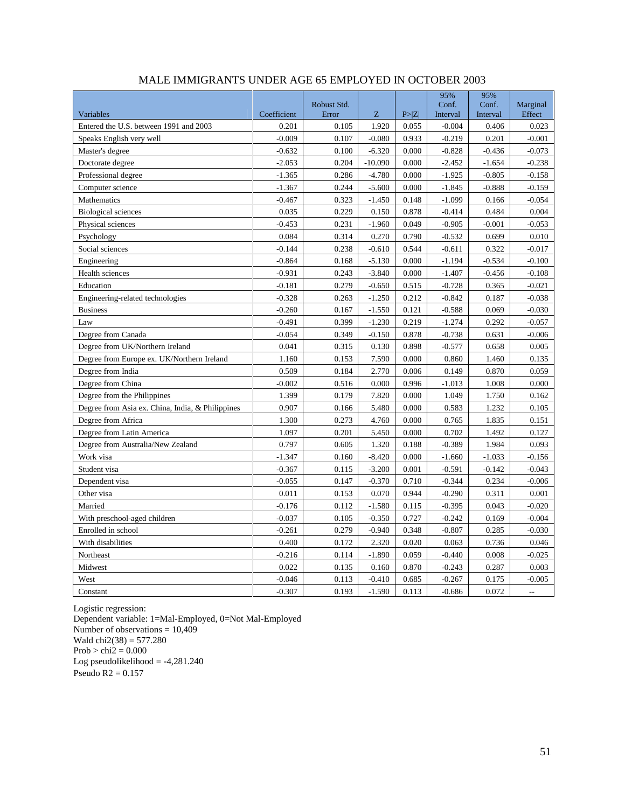|                                                  |             | Robust Std. |           |        | 95%<br>Conf. | 95%<br>Conf. | Marginal |
|--------------------------------------------------|-------------|-------------|-----------|--------|--------------|--------------|----------|
| Variables                                        | Coefficient | Error       | Z         | P >  Z | Interval     | Interval     | Effect   |
| Entered the U.S. between 1991 and 2003           | 0.201       | 0.105       | 1.920     | 0.055  | $-0.004$     | 0.406        | 0.023    |
| Speaks English very well                         | $-0.009$    | 0.107       | $-0.080$  | 0.933  | $-0.219$     | 0.201        | $-0.001$ |
| Master's degree                                  | $-0.632$    | 0.100       | $-6.320$  | 0.000  | $-0.828$     | $-0.436$     | $-0.073$ |
| Doctorate degree                                 | $-2.053$    | 0.204       | $-10.090$ | 0.000  | $-2.452$     | $-1.654$     | $-0.238$ |
| Professional degree                              | $-1.365$    | 0.286       | $-4.780$  | 0.000  | $-1.925$     | $-0.805$     | $-0.158$ |
| Computer science                                 | $-1.367$    | 0.244       | $-5.600$  | 0.000  | $-1.845$     | $-0.888$     | $-0.159$ |
| Mathematics                                      | $-0.467$    | 0.323       | $-1.450$  | 0.148  | $-1.099$     | 0.166        | $-0.054$ |
| <b>Biological sciences</b>                       | 0.035       | 0.229       | 0.150     | 0.878  | $-0.414$     | 0.484        | 0.004    |
| Physical sciences                                | $-0.453$    | 0.231       | $-1.960$  | 0.049  | $-0.905$     | $-0.001$     | $-0.053$ |
| Psychology                                       | 0.084       | 0.314       | 0.270     | 0.790  | $-0.532$     | 0.699        | 0.010    |
| Social sciences                                  | $-0.144$    | 0.238       | $-0.610$  | 0.544  | $-0.611$     | 0.322        | $-0.017$ |
| Engineering                                      | $-0.864$    | 0.168       | $-5.130$  | 0.000  | $-1.194$     | $-0.534$     | $-0.100$ |
| Health sciences                                  | $-0.931$    | 0.243       | $-3.840$  | 0.000  | $-1.407$     | $-0.456$     | $-0.108$ |
| Education                                        | $-0.181$    | 0.279       | $-0.650$  | 0.515  | $-0.728$     | 0.365        | $-0.021$ |
| Engineering-related technologies                 | $-0.328$    | 0.263       | $-1.250$  | 0.212  | $-0.842$     | 0.187        | $-0.038$ |
| <b>Business</b>                                  | $-0.260$    | 0.167       | $-1.550$  | 0.121  | $-0.588$     | 0.069        | $-0.030$ |
| Law                                              | $-0.491$    | 0.399       | $-1.230$  | 0.219  | $-1.274$     | 0.292        | $-0.057$ |
| Degree from Canada                               | $-0.054$    | 0.349       | $-0.150$  | 0.878  | $-0.738$     | 0.631        | $-0.006$ |
| Degree from UK/Northern Ireland                  | 0.041       | 0.315       | 0.130     | 0.898  | $-0.577$     | 0.658        | 0.005    |
| Degree from Europe ex. UK/Northern Ireland       | 1.160       | 0.153       | 7.590     | 0.000  | 0.860        | 1.460        | 0.135    |
| Degree from India                                | 0.509       | 0.184       | 2.770     | 0.006  | 0.149        | 0.870        | 0.059    |
| Degree from China                                | $-0.002$    | 0.516       | 0.000     | 0.996  | $-1.013$     | 1.008        | 0.000    |
| Degree from the Philippines                      | 1.399       | 0.179       | 7.820     | 0.000  | 1.049        | 1.750        | 0.162    |
| Degree from Asia ex. China, India, & Philippines | 0.907       | 0.166       | 5.480     | 0.000  | 0.583        | 1.232        | 0.105    |
| Degree from Africa                               | 1.300       | 0.273       | 4.760     | 0.000  | 0.765        | 1.835        | 0.151    |
| Degree from Latin America                        | 1.097       | 0.201       | 5.450     | 0.000  | 0.702        | 1.492        | 0.127    |
| Degree from Australia/New Zealand                | 0.797       | 0.605       | 1.320     | 0.188  | $-0.389$     | 1.984        | 0.093    |
| Work visa                                        | $-1.347$    | 0.160       | $-8.420$  | 0.000  | $-1.660$     | $-1.033$     | $-0.156$ |
| Student visa                                     | $-0.367$    | 0.115       | $-3.200$  | 0.001  | $-0.591$     | $-0.142$     | $-0.043$ |
| Dependent visa                                   | $-0.055$    | 0.147       | $-0.370$  | 0.710  | $-0.344$     | 0.234        | $-0.006$ |
| Other visa                                       | 0.011       | 0.153       | 0.070     | 0.944  | $-0.290$     | 0.311        | 0.001    |
| Married                                          | $-0.176$    | 0.112       | $-1.580$  | 0.115  | $-0.395$     | 0.043        | $-0.020$ |
| With preschool-aged children                     | $-0.037$    | 0.105       | $-0.350$  | 0.727  | $-0.242$     | 0.169        | $-0.004$ |
| Enrolled in school                               | $-0.261$    | 0.279       | $-0.940$  | 0.348  | $-0.807$     | 0.285        | $-0.030$ |
| With disabilities                                | 0.400       | 0.172       | 2.320     | 0.020  | 0.063        | 0.736        | 0.046    |
| Northeast                                        | $-0.216$    | 0.114       | $-1.890$  | 0.059  | $-0.440$     | 0.008        | $-0.025$ |
| Midwest                                          | 0.022       | 0.135       | 0.160     | 0.870  | $-0.243$     | 0.287        | 0.003    |
| West                                             | $-0.046$    | 0.113       | $-0.410$  | 0.685  | $-0.267$     | 0.175        | $-0.005$ |
| Constant                                         | $-0.307$    | 0.193       | $-1.590$  | 0.113  | $-0.686$     | 0.072        | $\sim$   |

## MALE IMMIGRANTS UNDER AGE 65 EMPLOYED IN OCTOBER 2003

Logistic regression: Dependent variable: 1=Mal-Employed, 0=Not Mal-Employed Number of observations =  $10,409$ Wald  $chi2(38) = 577.280$  $Prob > chi2 = 0.000$ Log pseudolikelihood = -4,281.240 Pseudo R2 = 0.157